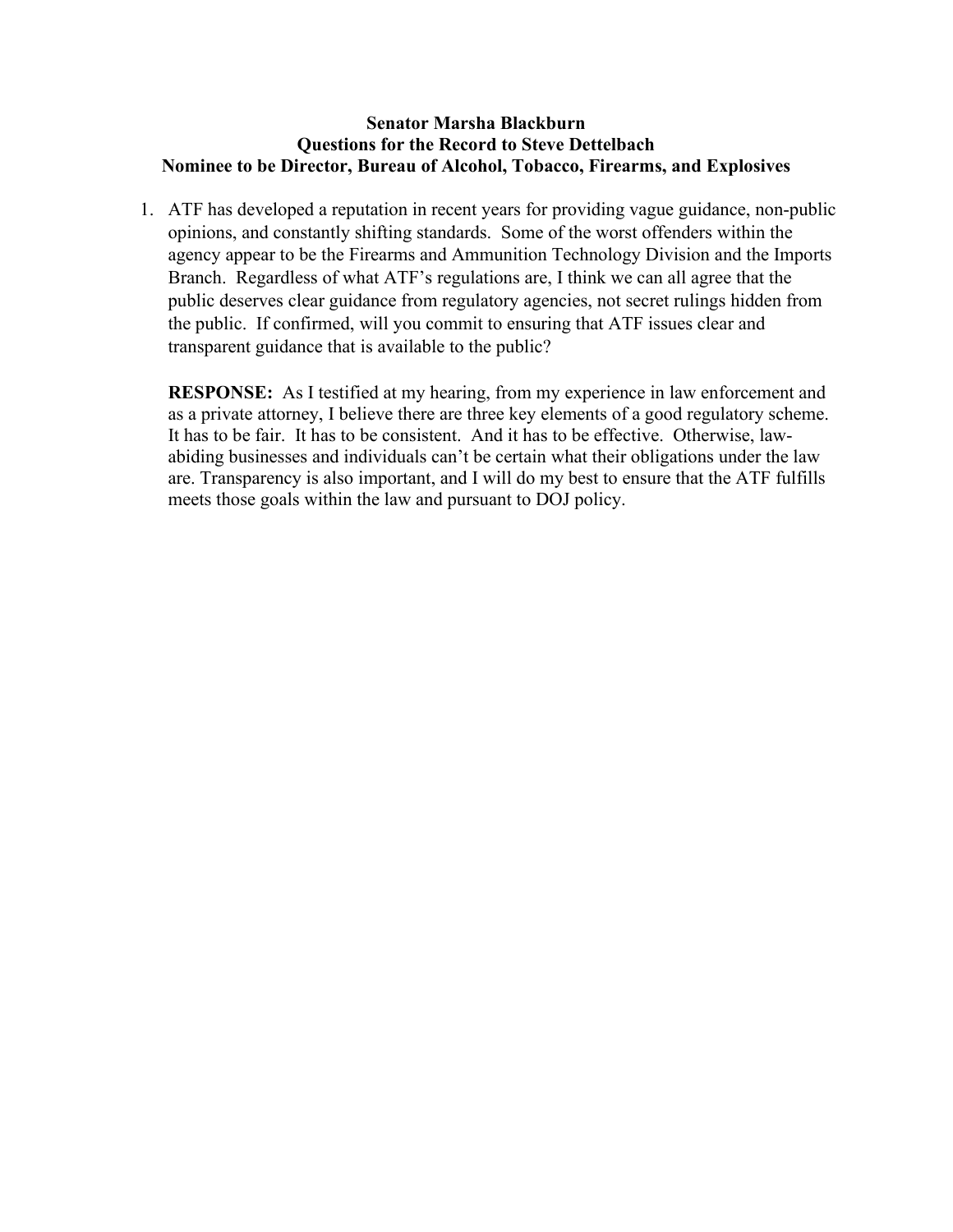#### **Senator Marsha Blackburn Questions for the Record to Steve Dettelbach Nominee to be Director, Bureau of Alcohol, Tobacco, Firearms, and Explosives**

1. ATF has developed a reputation in recent years for providing vague guidance, non-public opinions, and constantly shifting standards. Some of the worst offenders within the agency appear to be the Firearms and Ammunition Technology Division and the Imports Branch. Regardless of what ATF's regulations are, I think we can all agree that the public deserves clear guidance from regulatory agencies, not secret rulings hidden from the public. If confirmed, will you commit to ensuring that ATF issues clear and transparent guidance that is available to the public?

**RESPONSE:** As I testified at my hearing, from my experience in law enforcement and as a private attorney, I believe there are three key elements of a good regulatory scheme. It has to be fair. It has to be consistent. And it has to be effective. Otherwise, lawabiding businesses and individuals can't be certain what their obligations under the law are. Transparency is also important, and I will do my best to ensure that the ATF fulfills meets those goals within the law and pursuant to DOJ policy.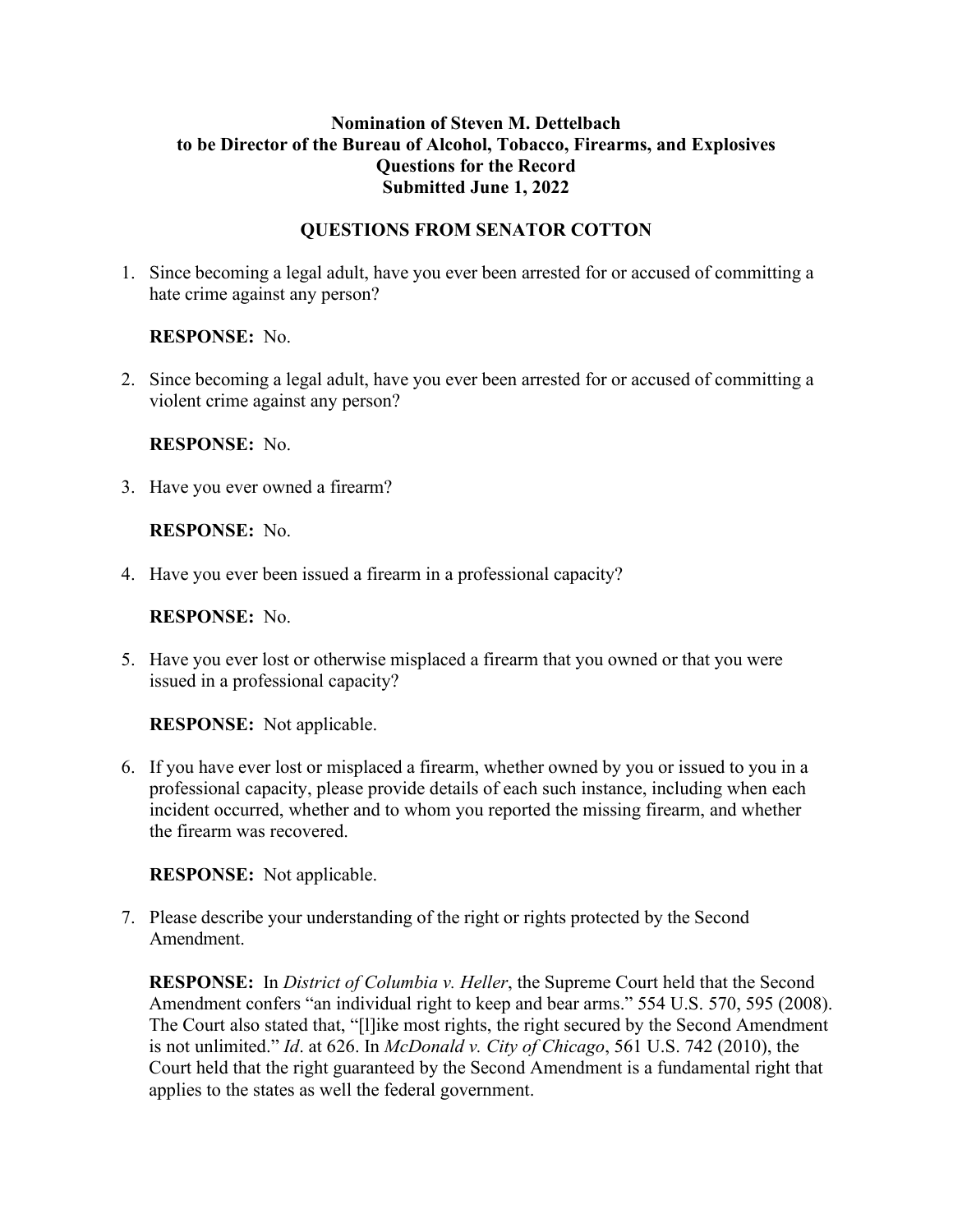### **Nomination of Steven M. Dettelbach to be Director of the Bureau of Alcohol, Tobacco, Firearms, and Explosives Questions for the Record Submitted June 1, 2022**

### **QUESTIONS FROM SENATOR COTTON**

1. Since becoming a legal adult, have you ever been arrested for or accused of committing a hate crime against any person?

**RESPONSE:** No.

2. Since becoming a legal adult, have you ever been arrested for or accused of committing a violent crime against any person?

**RESPONSE:** No.

3. Have you ever owned a firearm?

**RESPONSE:** No.

4. Have you ever been issued a firearm in a professional capacity?

**RESPONSE:** No.

5. Have you ever lost or otherwise misplaced a firearm that you owned or that you were issued in a professional capacity?

**RESPONSE:** Not applicable.

6. If you have ever lost or misplaced a firearm, whether owned by you or issued to you in a professional capacity, please provide details of each such instance, including when each incident occurred, whether and to whom you reported the missing firearm, and whether the firearm was recovered.

**RESPONSE:** Not applicable.

7. Please describe your understanding of the right or rights protected by the Second Amendment.

**RESPONSE:** In *District of Columbia v. Heller*, the Supreme Court held that the Second Amendment confers "an individual right to keep and bear arms." 554 U.S. 570, 595 (2008). The Court also stated that, "[l]ike most rights, the right secured by the Second Amendment is not unlimited." *Id*. at 626. In *McDonald v. City of Chicago*, 561 U.S. 742 (2010), the Court held that the right guaranteed by the Second Amendment is a fundamental right that applies to the states as well the federal government.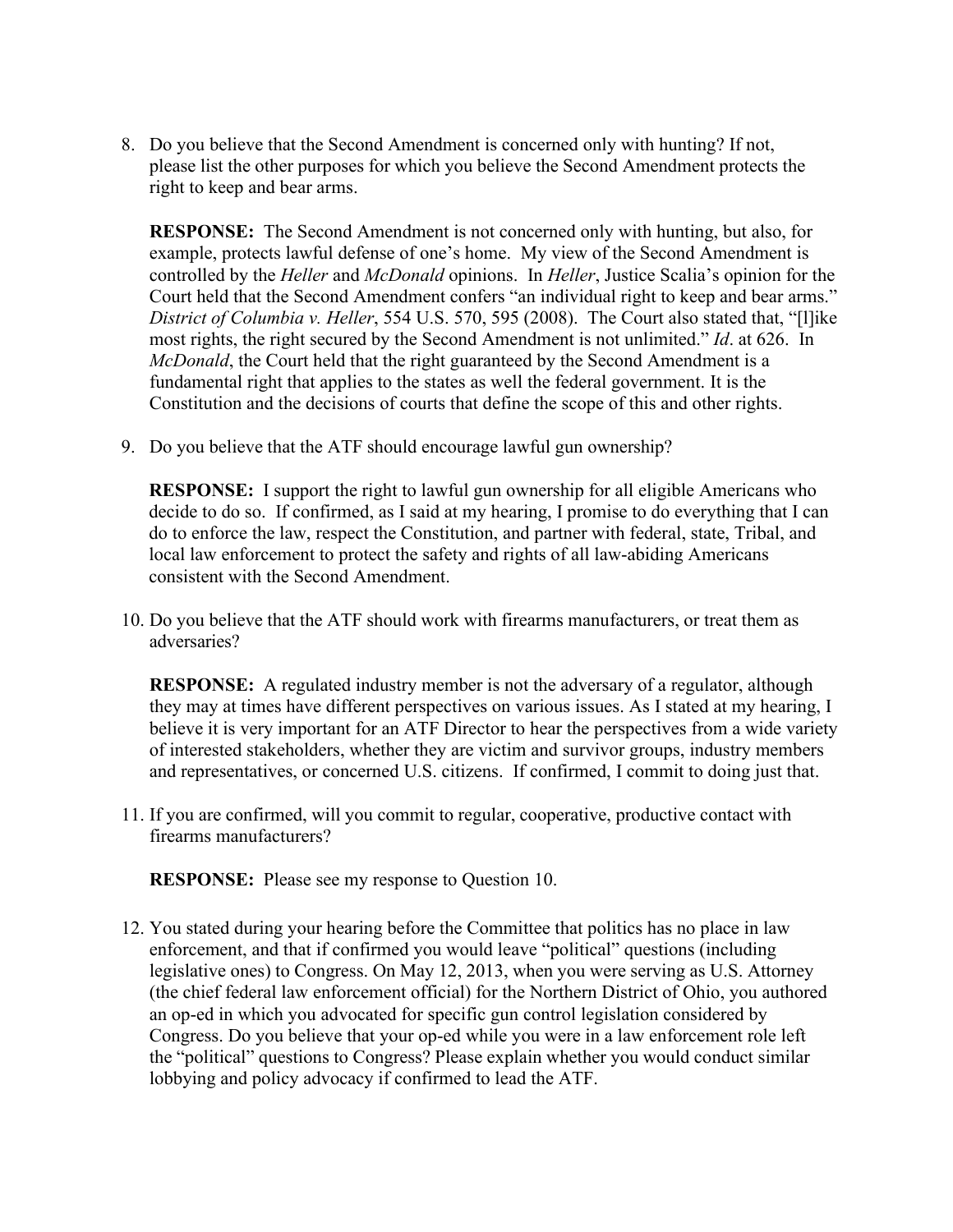8. Do you believe that the Second Amendment is concerned only with hunting? If not, please list the other purposes for which you believe the Second Amendment protects the right to keep and bear arms.

**RESPONSE:** The Second Amendment is not concerned only with hunting, but also, for example, protects lawful defense of one's home. My view of the Second Amendment is controlled by the *Heller* and *McDonald* opinions. In *Heller*, Justice Scalia's opinion for the Court held that the Second Amendment confers "an individual right to keep and bear arms." *District of Columbia v. Heller*, 554 U.S. 570, 595 (2008). The Court also stated that, "[l]ike most rights, the right secured by the Second Amendment is not unlimited." *Id*. at 626. In *McDonald*, the Court held that the right guaranteed by the Second Amendment is a fundamental right that applies to the states as well the federal government. It is the Constitution and the decisions of courts that define the scope of this and other rights.

9. Do you believe that the ATF should encourage lawful gun ownership?

**RESPONSE:** I support the right to lawful gun ownership for all eligible Americans who decide to do so. If confirmed, as I said at my hearing, I promise to do everything that I can do to enforce the law, respect the Constitution, and partner with federal, state, Tribal, and local law enforcement to protect the safety and rights of all law-abiding Americans consistent with the Second Amendment.

10. Do you believe that the ATF should work with firearms manufacturers, or treat them as adversaries?

**RESPONSE:** A regulated industry member is not the adversary of a regulator, although they may at times have different perspectives on various issues. As I stated at my hearing, I believe it is very important for an ATF Director to hear the perspectives from a wide variety of interested stakeholders, whether they are victim and survivor groups, industry members and representatives, or concerned U.S. citizens. If confirmed, I commit to doing just that.

11. If you are confirmed, will you commit to regular, cooperative, productive contact with firearms manufacturers?

**RESPONSE:** Please see my response to Question 10.

12. You stated during your hearing before the Committee that politics has no place in law enforcement, and that if confirmed you would leave "political" questions (including legislative ones) to Congress. On May 12, 2013, when you were serving as U.S. Attorney (the chief federal law enforcement official) for the Northern District of Ohio, you authored an op-ed in which you advocated for specific gun control legislation considered by Congress. Do you believe that your op-ed while you were in a law enforcement role left the "political" questions to Congress? Please explain whether you would conduct similar lobbying and policy advocacy if confirmed to lead the ATF.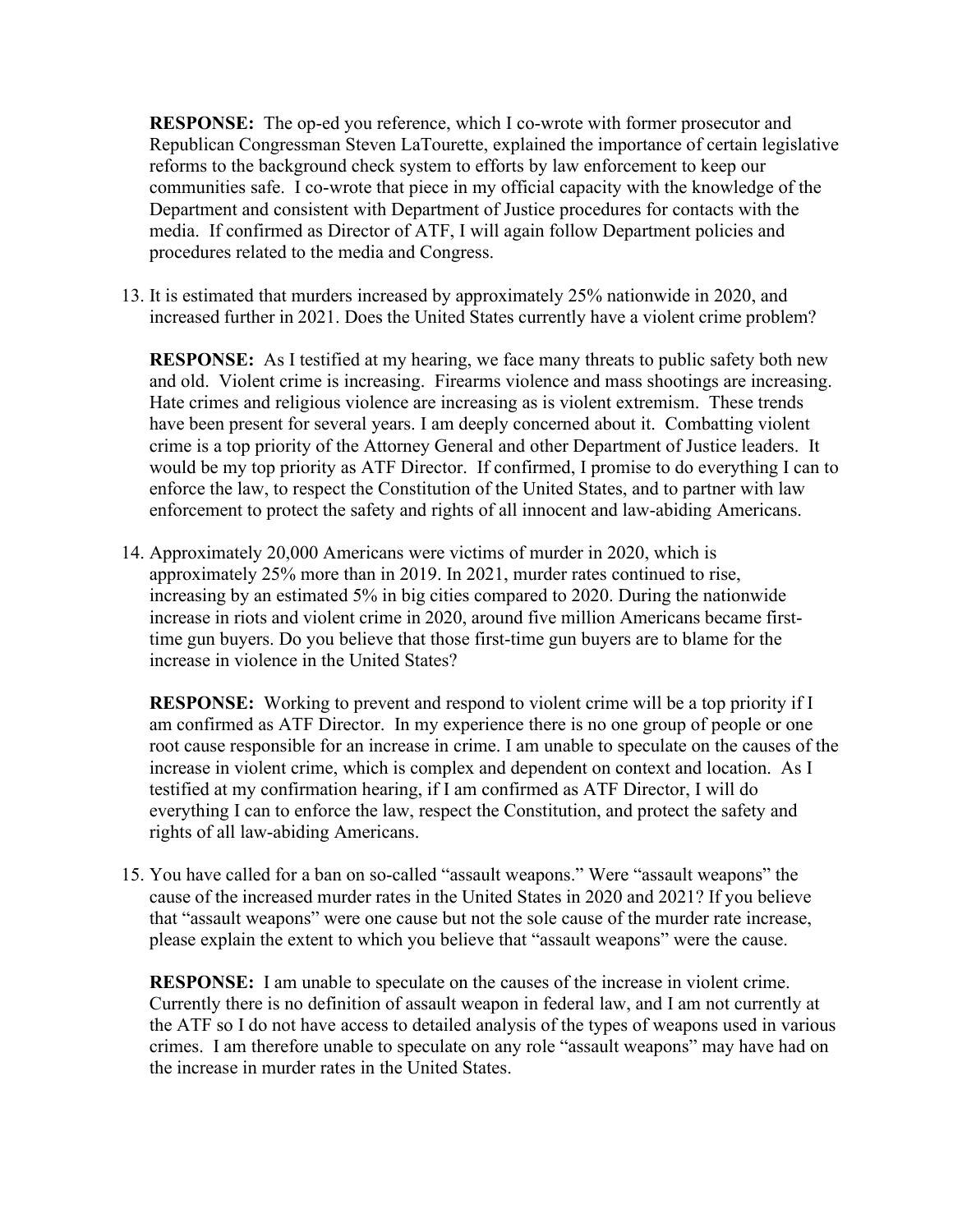**RESPONSE:** The op-ed you reference, which I co-wrote with former prosecutor and Republican Congressman Steven LaTourette, explained the importance of certain legislative reforms to the background check system to efforts by law enforcement to keep our communities safe. I co-wrote that piece in my official capacity with the knowledge of the Department and consistent with Department of Justice procedures for contacts with the media. If confirmed as Director of ATF, I will again follow Department policies and procedures related to the media and Congress.

13. It is estimated that murders increased by approximately 25% nationwide in 2020, and increased further in 2021. Does the United States currently have a violent crime problem?

**RESPONSE:** As I testified at my hearing, we face many threats to public safety both new and old. Violent crime is increasing. Firearms violence and mass shootings are increasing. Hate crimes and religious violence are increasing as is violent extremism. These trends have been present for several years. I am deeply concerned about it. Combatting violent crime is a top priority of the Attorney General and other Department of Justice leaders. It would be my top priority as ATF Director. If confirmed, I promise to do everything I can to enforce the law, to respect the Constitution of the United States, and to partner with law enforcement to protect the safety and rights of all innocent and law-abiding Americans.

14. Approximately 20,000 Americans were victims of murder in 2020, which is approximately 25% more than in 2019. In 2021, murder rates continued to rise, increasing by an estimated 5% in big cities compared to 2020. During the nationwide increase in riots and violent crime in 2020, around five million Americans became firsttime gun buyers. Do you believe that those first-time gun buyers are to blame for the increase in violence in the United States?

**RESPONSE:** Working to prevent and respond to violent crime will be a top priority if I am confirmed as ATF Director. In my experience there is no one group of people or one root cause responsible for an increase in crime. I am unable to speculate on the causes of the increase in violent crime, which is complex and dependent on context and location. As I testified at my confirmation hearing, if I am confirmed as ATF Director, I will do everything I can to enforce the law, respect the Constitution, and protect the safety and rights of all law-abiding Americans.

15. You have called for a ban on so-called "assault weapons." Were "assault weapons" the cause of the increased murder rates in the United States in 2020 and 2021? If you believe that "assault weapons" were one cause but not the sole cause of the murder rate increase, please explain the extent to which you believe that "assault weapons" were the cause.

**RESPONSE:** I am unable to speculate on the causes of the increase in violent crime. Currently there is no definition of assault weapon in federal law, and I am not currently at the ATF so I do not have access to detailed analysis of the types of weapons used in various crimes. I am therefore unable to speculate on any role "assault weapons" may have had on the increase in murder rates in the United States.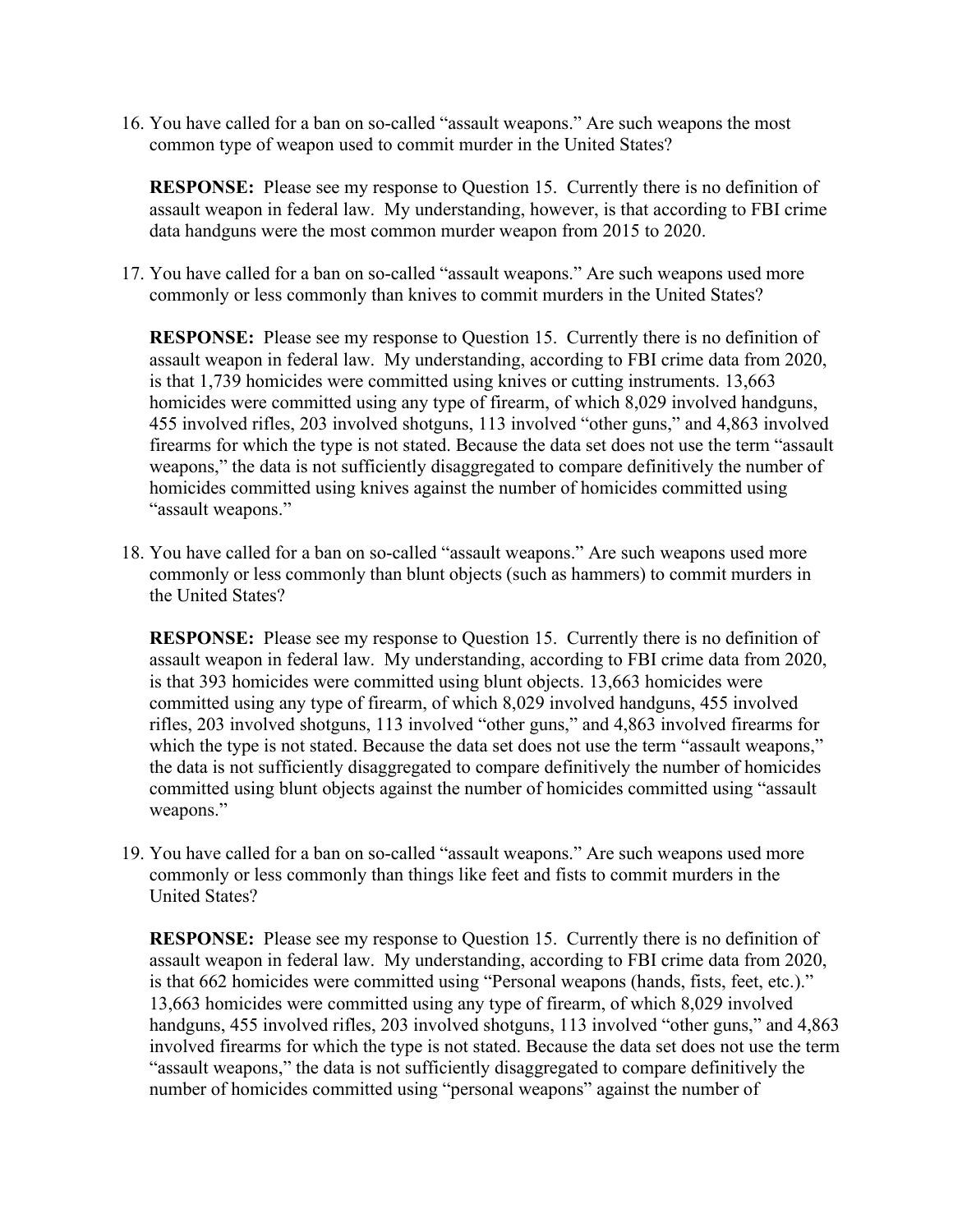16. You have called for a ban on so-called "assault weapons." Are such weapons the most common type of weapon used to commit murder in the United States?

**RESPONSE:** Please see my response to Question 15. Currently there is no definition of assault weapon in federal law. My understanding, however, is that according to FBI crime data handguns were the most common murder weapon from 2015 to 2020.

17. You have called for a ban on so-called "assault weapons." Are such weapons used more commonly or less commonly than knives to commit murders in the United States?

**RESPONSE:** Please see my response to Question 15. Currently there is no definition of assault weapon in federal law. My understanding, according to FBI crime data from 2020, is that 1,739 homicides were committed using knives or cutting instruments. 13,663 homicides were committed using any type of firearm, of which 8,029 involved handguns, 455 involved rifles, 203 involved shotguns, 113 involved "other guns," and 4,863 involved firearms for which the type is not stated. Because the data set does not use the term "assault weapons," the data is not sufficiently disaggregated to compare definitively the number of homicides committed using knives against the number of homicides committed using "assault weapons."

18. You have called for a ban on so-called "assault weapons." Are such weapons used more commonly or less commonly than blunt objects (such as hammers) to commit murders in the United States?

**RESPONSE:** Please see my response to Question 15. Currently there is no definition of assault weapon in federal law. My understanding, according to FBI crime data from 2020, is that 393 homicides were committed using blunt objects. 13,663 homicides were committed using any type of firearm, of which 8,029 involved handguns, 455 involved rifles, 203 involved shotguns, 113 involved "other guns," and 4,863 involved firearms for which the type is not stated. Because the data set does not use the term "assault weapons," the data is not sufficiently disaggregated to compare definitively the number of homicides committed using blunt objects against the number of homicides committed using "assault weapons."

19. You have called for a ban on so-called "assault weapons." Are such weapons used more commonly or less commonly than things like feet and fists to commit murders in the United States?

**RESPONSE:** Please see my response to Question 15. Currently there is no definition of assault weapon in federal law. My understanding, according to FBI crime data from 2020, is that 662 homicides were committed using "Personal weapons (hands, fists, feet, etc.)." 13,663 homicides were committed using any type of firearm, of which 8,029 involved handguns, 455 involved rifles, 203 involved shotguns, 113 involved "other guns," and 4,863 involved firearms for which the type is not stated. Because the data set does not use the term "assault weapons," the data is not sufficiently disaggregated to compare definitively the number of homicides committed using "personal weapons" against the number of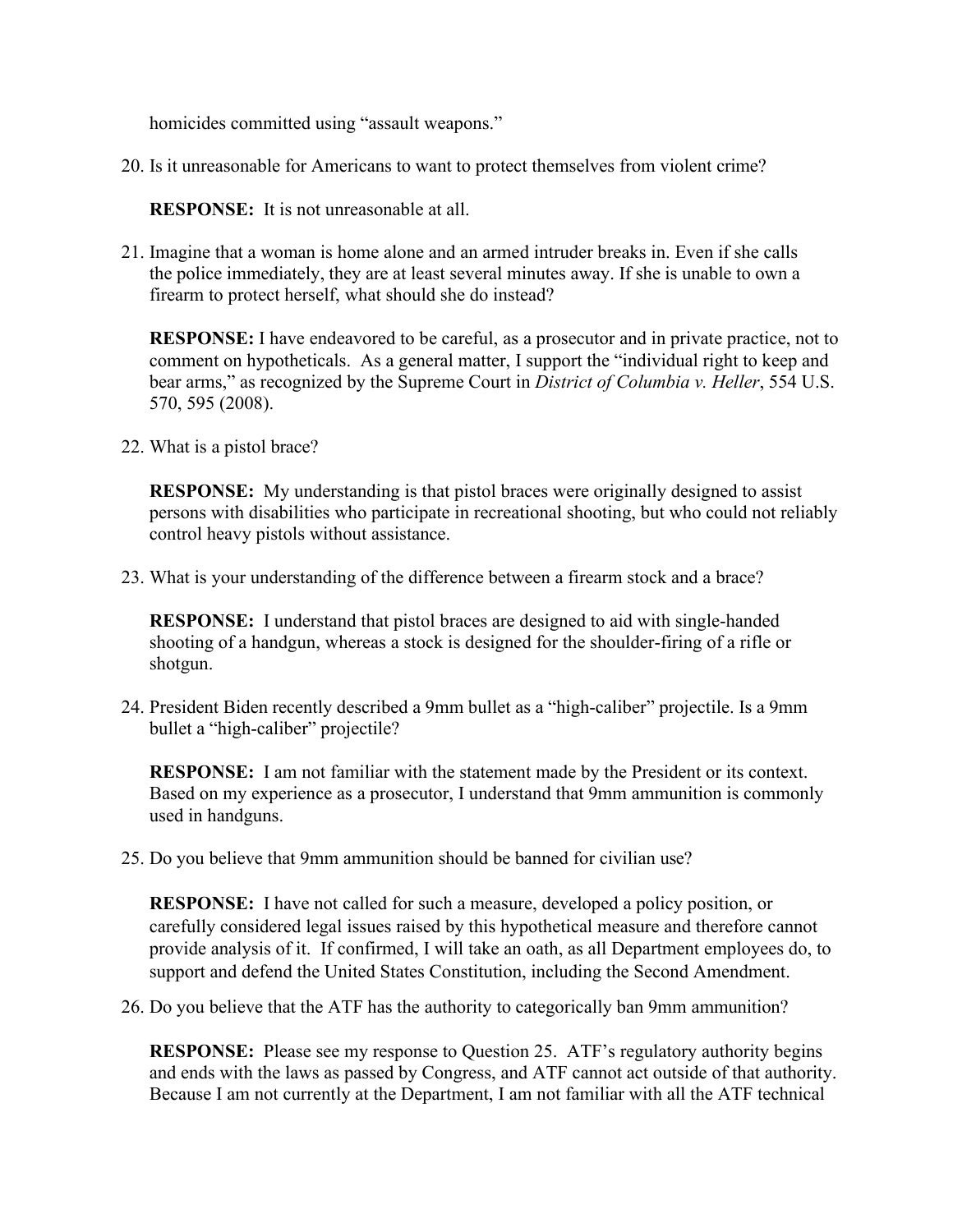homicides committed using "assault weapons."

20. Is it unreasonable for Americans to want to protect themselves from violent crime?

**RESPONSE:** It is not unreasonable at all.

21. Imagine that a woman is home alone and an armed intruder breaks in. Even if she calls the police immediately, they are at least several minutes away. If she is unable to own a firearm to protect herself, what should she do instead?

**RESPONSE:** I have endeavored to be careful, as a prosecutor and in private practice, not to comment on hypotheticals. As a general matter, I support the "individual right to keep and bear arms," as recognized by the Supreme Court in *District of Columbia v. Heller*, 554 U.S. 570, 595 (2008).

22. What is a pistol brace?

**RESPONSE:** My understanding is that pistol braces were originally designed to assist persons with disabilities who participate in recreational shooting, but who could not reliably control heavy pistols without assistance.

23. What is your understanding of the difference between a firearm stock and a brace?

**RESPONSE:** I understand that pistol braces are designed to aid with single-handed shooting of a handgun, whereas a stock is designed for the shoulder-firing of a rifle or shotgun.

24. President Biden recently described a 9mm bullet as a "high-caliber" projectile. Is a 9mm bullet a "high-caliber" projectile?

**RESPONSE:** I am not familiar with the statement made by the President or its context. Based on my experience as a prosecutor, I understand that 9mm ammunition is commonly used in handguns.

25. Do you believe that 9mm ammunition should be banned for civilian use?

**RESPONSE:** I have not called for such a measure, developed a policy position, or carefully considered legal issues raised by this hypothetical measure and therefore cannot provide analysis of it. If confirmed, I will take an oath, as all Department employees do, to support and defend the United States Constitution, including the Second Amendment.

26. Do you believe that the ATF has the authority to categorically ban 9mm ammunition?

**RESPONSE:** Please see my response to Question 25. ATF's regulatory authority begins and ends with the laws as passed by Congress, and ATF cannot act outside of that authority. Because I am not currently at the Department, I am not familiar with all the ATF technical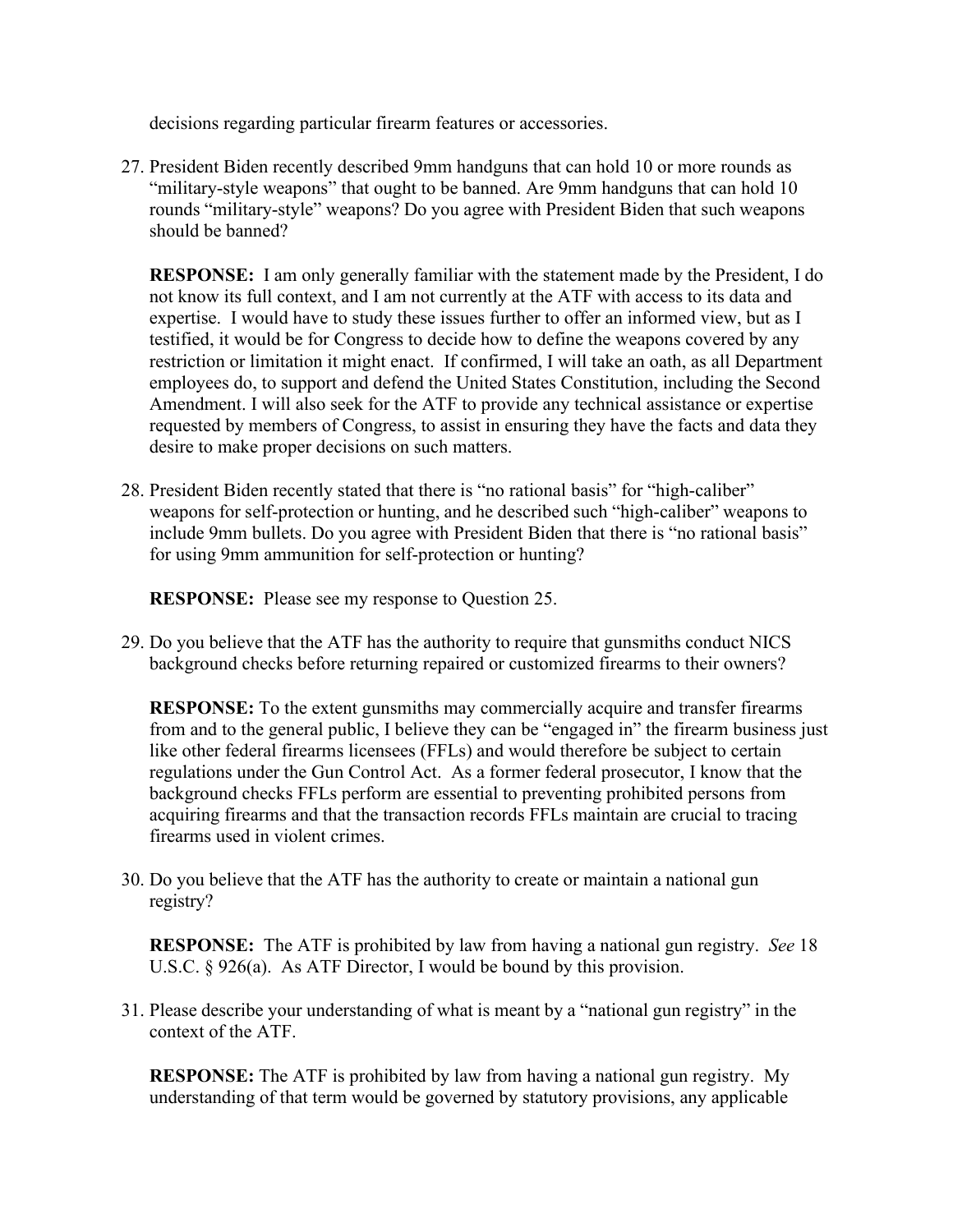decisions regarding particular firearm features or accessories.

27. President Biden recently described 9mm handguns that can hold 10 or more rounds as "military-style weapons" that ought to be banned. Are 9mm handguns that can hold 10 rounds "military-style" weapons? Do you agree with President Biden that such weapons should be banned?

**RESPONSE:** I am only generally familiar with the statement made by the President, I do not know its full context, and I am not currently at the ATF with access to its data and expertise. I would have to study these issues further to offer an informed view, but as I testified, it would be for Congress to decide how to define the weapons covered by any restriction or limitation it might enact. If confirmed, I will take an oath, as all Department employees do, to support and defend the United States Constitution, including the Second Amendment. I will also seek for the ATF to provide any technical assistance or expertise requested by members of Congress, to assist in ensuring they have the facts and data they desire to make proper decisions on such matters.

28. President Biden recently stated that there is "no rational basis" for "high-caliber" weapons for self-protection or hunting, and he described such "high-caliber" weapons to include 9mm bullets. Do you agree with President Biden that there is "no rational basis" for using 9mm ammunition for self-protection or hunting?

**RESPONSE:** Please see my response to Question 25.

29. Do you believe that the ATF has the authority to require that gunsmiths conduct NICS background checks before returning repaired or customized firearms to their owners?

**RESPONSE:** To the extent gunsmiths may commercially acquire and transfer firearms from and to the general public, I believe they can be "engaged in" the firearm business just like other federal firearms licensees (FFLs) and would therefore be subject to certain regulations under the Gun Control Act. As a former federal prosecutor, I know that the background checks FFLs perform are essential to preventing prohibited persons from acquiring firearms and that the transaction records FFLs maintain are crucial to tracing firearms used in violent crimes.

30. Do you believe that the ATF has the authority to create or maintain a national gun registry?

**RESPONSE:** The ATF is prohibited by law from having a national gun registry. *See* 18 U.S.C. § 926(a). As ATF Director, I would be bound by this provision.

31. Please describe your understanding of what is meant by a "national gun registry" in the context of the ATF.

**RESPONSE:** The ATF is prohibited by law from having a national gun registry. My understanding of that term would be governed by statutory provisions, any applicable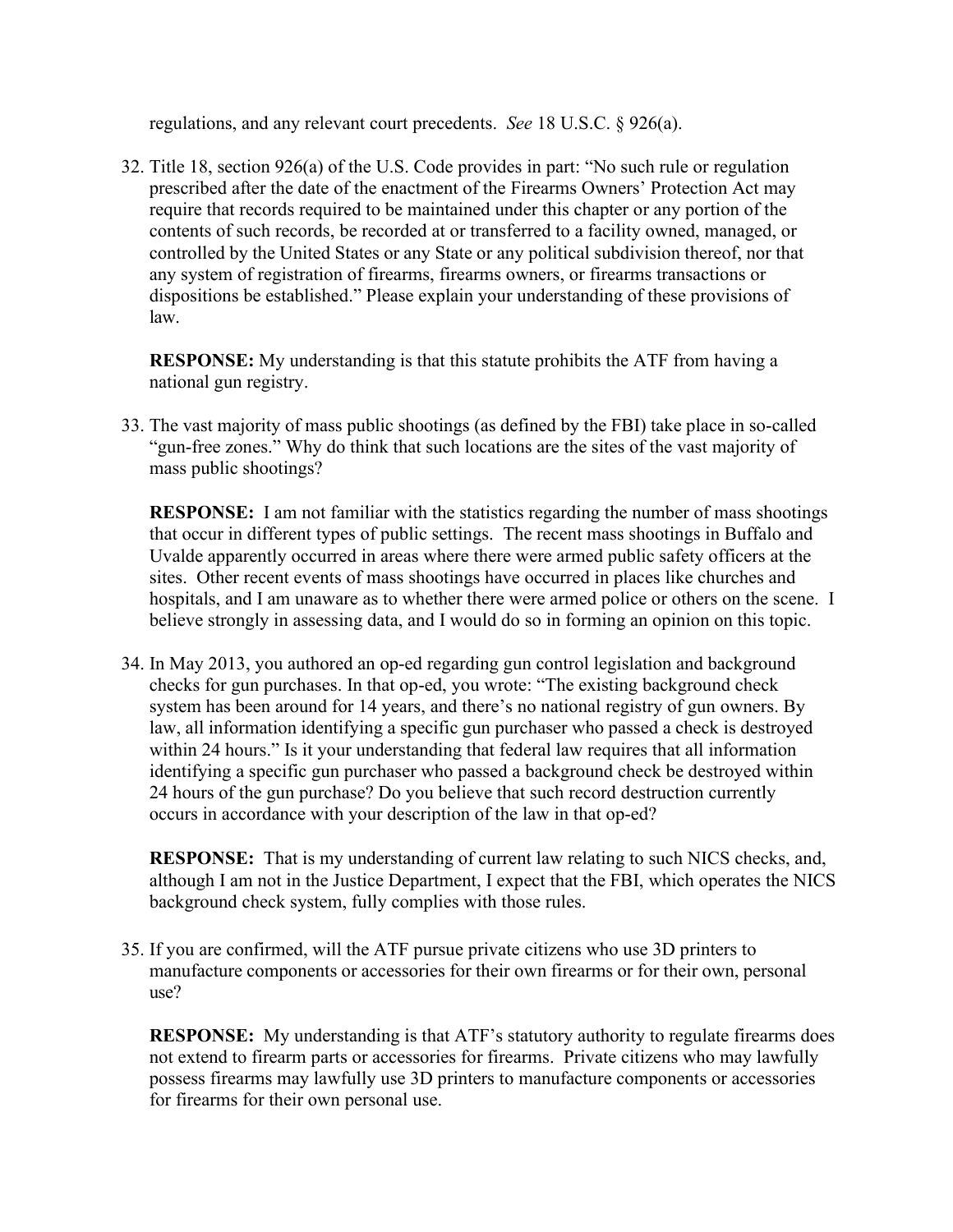regulations, and any relevant court precedents. *See* 18 U.S.C. § 926(a).

32. Title 18, section 926(a) of the U.S. Code provides in part: "No such rule or regulation prescribed after the date of the enactment of the Firearms Owners' Protection Act may require that records required to be maintained under this chapter or any portion of the contents of such records, be recorded at or transferred to a facility owned, managed, or controlled by the United States or any State or any political subdivision thereof, nor that any system of registration of firearms, firearms owners, or firearms transactions or dispositions be established." Please explain your understanding of these provisions of law.

**RESPONSE:** My understanding is that this statute prohibits the ATF from having a national gun registry.

33. The vast majority of mass public shootings (as defined by the FBI) take place in so-called "gun-free zones." Why do think that such locations are the sites of the vast majority of mass public shootings?

**RESPONSE:** I am not familiar with the statistics regarding the number of mass shootings that occur in different types of public settings. The recent mass shootings in Buffalo and Uvalde apparently occurred in areas where there were armed public safety officers at the sites. Other recent events of mass shootings have occurred in places like churches and hospitals, and I am unaware as to whether there were armed police or others on the scene. I believe strongly in assessing data, and I would do so in forming an opinion on this topic.

34. In May 2013, you authored an op-ed regarding gun control legislation and background checks for gun purchases. In that op-ed, you wrote: "The existing background check system has been around for 14 years, and there's no national registry of gun owners. By law, all information identifying a specific gun purchaser who passed a check is destroyed within 24 hours." Is it your understanding that federal law requires that all information identifying a specific gun purchaser who passed a background check be destroyed within 24 hours of the gun purchase? Do you believe that such record destruction currently occurs in accordance with your description of the law in that op-ed?

**RESPONSE:** That is my understanding of current law relating to such NICS checks, and, although I am not in the Justice Department, I expect that the FBI, which operates the NICS background check system, fully complies with those rules.

35. If you are confirmed, will the ATF pursue private citizens who use 3D printers to manufacture components or accessories for their own firearms or for their own, personal use?

**RESPONSE:** My understanding is that ATF's statutory authority to regulate firearms does not extend to firearm parts or accessories for firearms. Private citizens who may lawfully possess firearms may lawfully use 3D printers to manufacture components or accessories for firearms for their own personal use.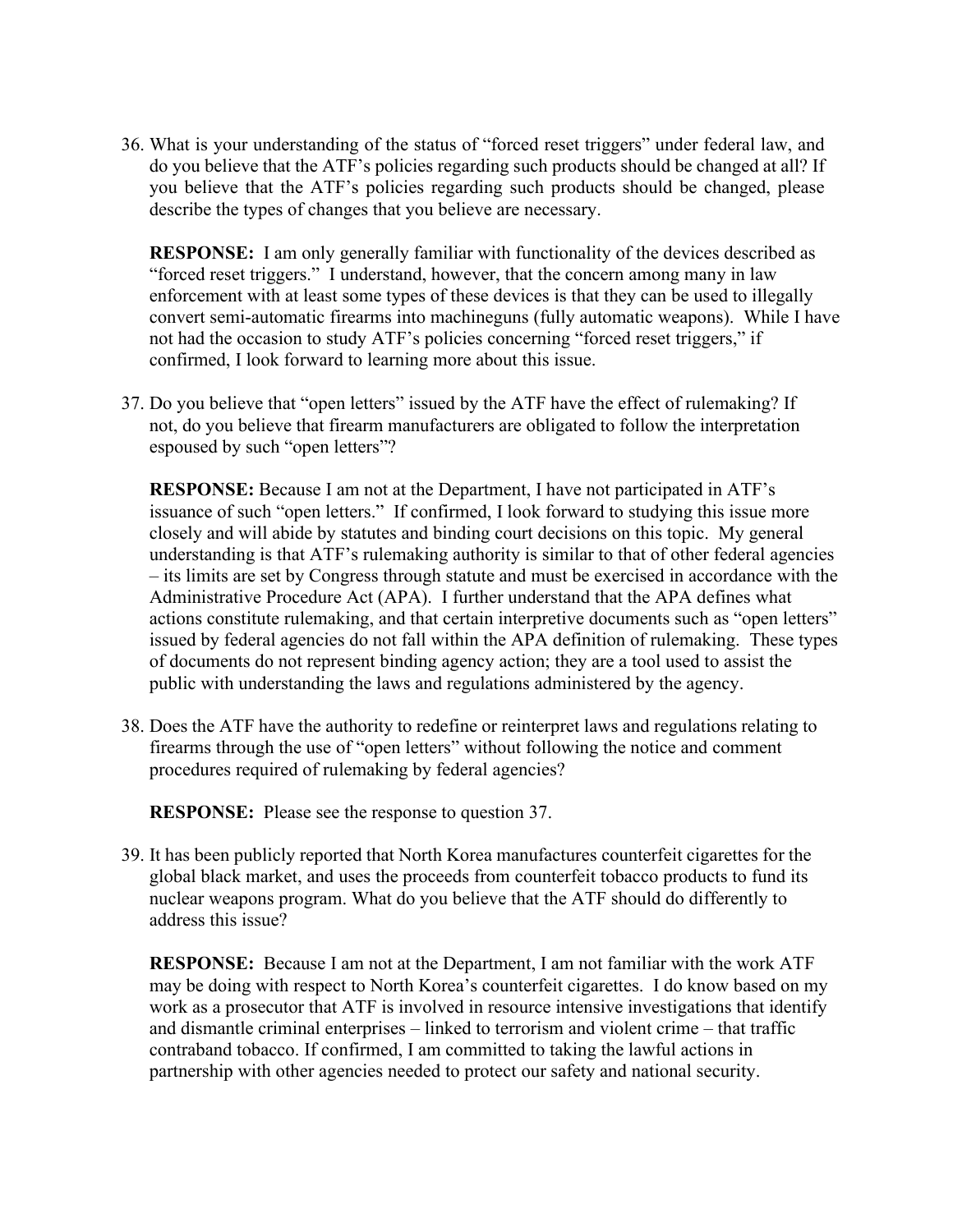36. What is your understanding of the status of "forced reset triggers" under federal law, and do you believe that the ATF's policies regarding such products should be changed at all? If you believe that the ATF's policies regarding such products should be changed, please describe the types of changes that you believe are necessary.

**RESPONSE:** I am only generally familiar with functionality of the devices described as "forced reset triggers." I understand, however, that the concern among many in law enforcement with at least some types of these devices is that they can be used to illegally convert semi-automatic firearms into machineguns (fully automatic weapons). While I have not had the occasion to study ATF's policies concerning "forced reset triggers," if confirmed, I look forward to learning more about this issue.

37. Do you believe that "open letters" issued by the ATF have the effect of rulemaking? If not, do you believe that firearm manufacturers are obligated to follow the interpretation espoused by such "open letters"?

**RESPONSE:** Because I am not at the Department, I have not participated in ATF's issuance of such "open letters." If confirmed, I look forward to studying this issue more closely and will abide by statutes and binding court decisions on this topic. My general understanding is that ATF's rulemaking authority is similar to that of other federal agencies – its limits are set by Congress through statute and must be exercised in accordance with the Administrative Procedure Act (APA). I further understand that the APA defines what actions constitute rulemaking, and that certain interpretive documents such as "open letters" issued by federal agencies do not fall within the APA definition of rulemaking. These types of documents do not represent binding agency action; they are a tool used to assist the public with understanding the laws and regulations administered by the agency.

38. Does the ATF have the authority to redefine or reinterpret laws and regulations relating to firearms through the use of "open letters" without following the notice and comment procedures required of rulemaking by federal agencies?

**RESPONSE:** Please see the response to question 37.

39. It has been publicly reported that North Korea manufactures counterfeit cigarettes for the global black market, and uses the proceeds from counterfeit tobacco products to fund its nuclear weapons program. What do you believe that the ATF should do differently to address this issue?

**RESPONSE:** Because I am not at the Department, I am not familiar with the work ATF may be doing with respect to North Korea's counterfeit cigarettes. I do know based on my work as a prosecutor that ATF is involved in resource intensive investigations that identify and dismantle criminal enterprises – linked to terrorism and violent crime – that traffic contraband tobacco. If confirmed, I am committed to taking the lawful actions in partnership with other agencies needed to protect our safety and national security.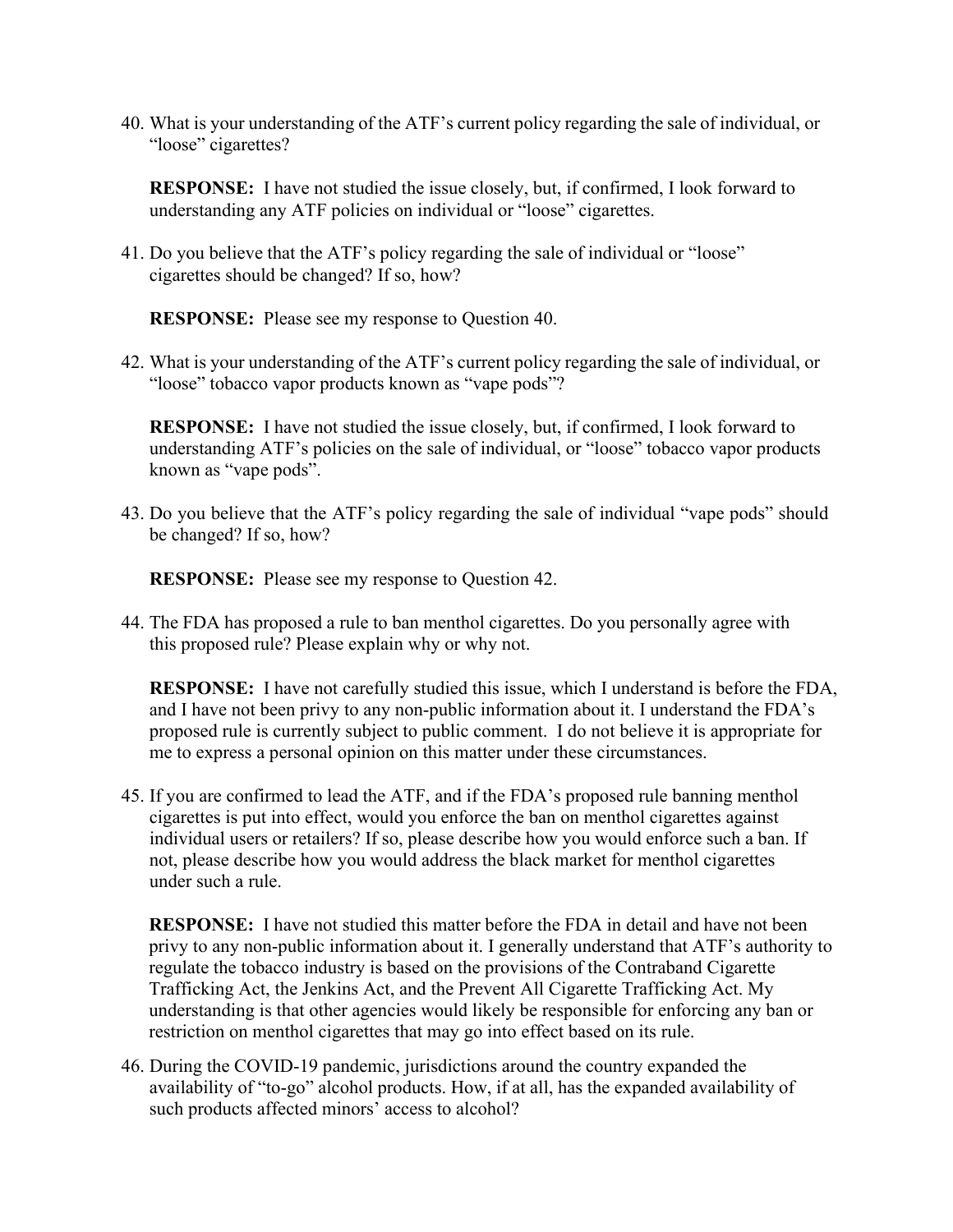40. What is your understanding of the ATF's current policy regarding the sale of individual, or "loose" cigarettes?

**RESPONSE:** I have not studied the issue closely, but, if confirmed, I look forward to understanding any ATF policies on individual or "loose" cigarettes.

41. Do you believe that the ATF's policy regarding the sale of individual or "loose" cigarettes should be changed? If so, how?

**RESPONSE:** Please see my response to Question 40.

42. What is your understanding of the ATF's current policy regarding the sale of individual, or "loose" tobacco vapor products known as "vape pods"?

**RESPONSE:** I have not studied the issue closely, but, if confirmed, I look forward to understanding ATF's policies on the sale of individual, or "loose" tobacco vapor products known as "vape pods".

43. Do you believe that the ATF's policy regarding the sale of individual "vape pods" should be changed? If so, how?

**RESPONSE:** Please see my response to Question 42.

44. The FDA has proposed a rule to ban menthol cigarettes. Do you personally agree with this proposed rule? Please explain why or why not.

**RESPONSE:** I have not carefully studied this issue, which I understand is before the FDA, and I have not been privy to any non-public information about it. I understand the FDA's proposed rule is currently subject to public comment. I do not believe it is appropriate for me to express a personal opinion on this matter under these circumstances.

45. If you are confirmed to lead the ATF, and if the FDA's proposed rule banning menthol cigarettes is put into effect, would you enforce the ban on menthol cigarettes against individual users or retailers? If so, please describe how you would enforce such a ban. If not, please describe how you would address the black market for menthol cigarettes under such a rule.

**RESPONSE:** I have not studied this matter before the FDA in detail and have not been privy to any non-public information about it. I generally understand that ATF's authority to regulate the tobacco industry is based on the provisions of the Contraband Cigarette Trafficking Act, the Jenkins Act, and the Prevent All Cigarette Trafficking Act. My understanding is that other agencies would likely be responsible for enforcing any ban or restriction on menthol cigarettes that may go into effect based on its rule.

46. During the COVID-19 pandemic, jurisdictions around the country expanded the availability of "to-go" alcohol products. How, if at all, has the expanded availability of such products affected minors' access to alcohol?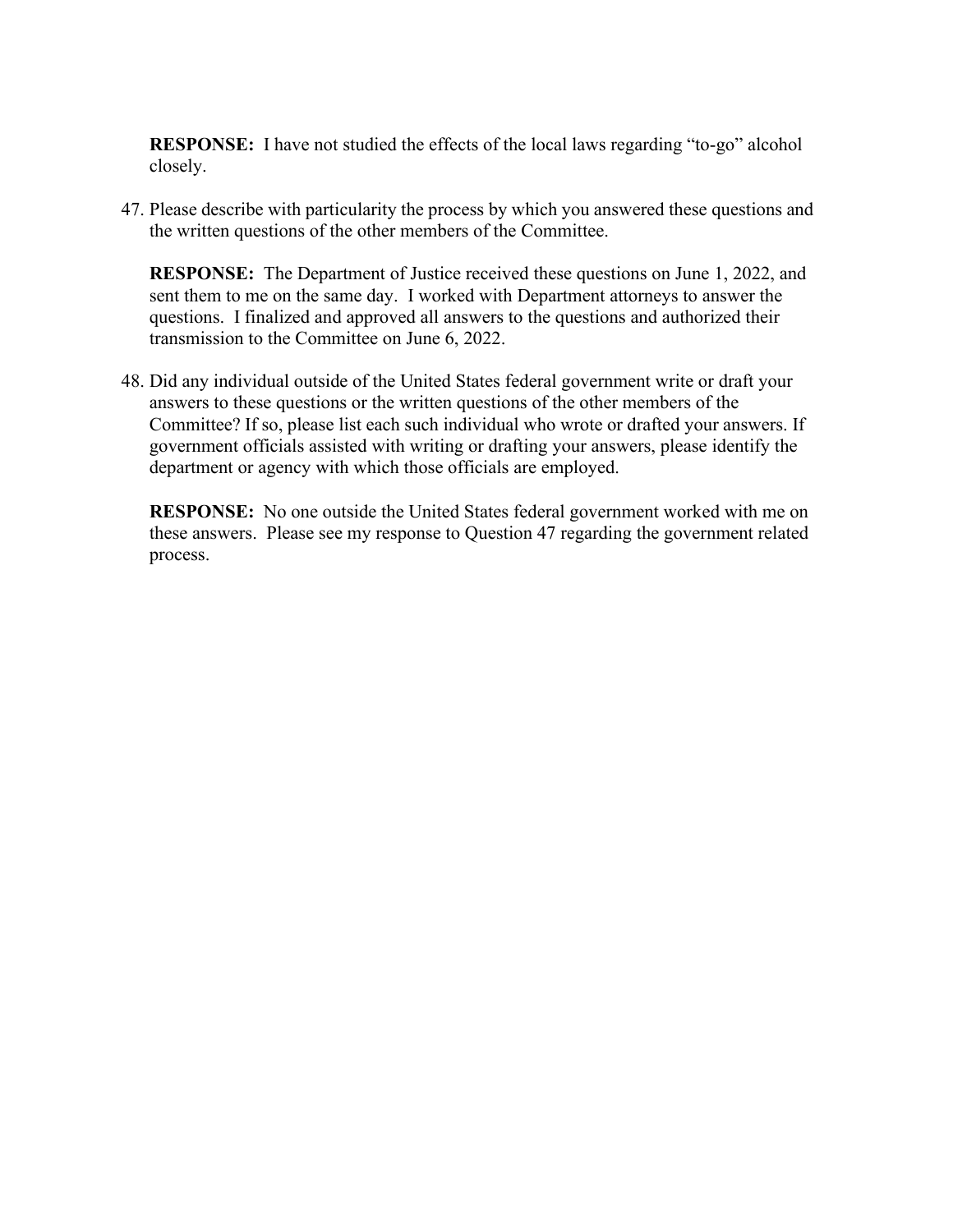**RESPONSE:** I have not studied the effects of the local laws regarding "to-go" alcohol closely.

47. Please describe with particularity the process by which you answered these questions and the written questions of the other members of the Committee.

**RESPONSE:** The Department of Justice received these questions on June 1, 2022, and sent them to me on the same day. I worked with Department attorneys to answer the questions. I finalized and approved all answers to the questions and authorized their transmission to the Committee on June 6, 2022.

48. Did any individual outside of the United States federal government write or draft your answers to these questions or the written questions of the other members of the Committee? If so, please list each such individual who wrote or drafted your answers. If government officials assisted with writing or drafting your answers, please identify the department or agency with which those officials are employed.

**RESPONSE:** No one outside the United States federal government worked with me on these answers. Please see my response to Question 47 regarding the government related process.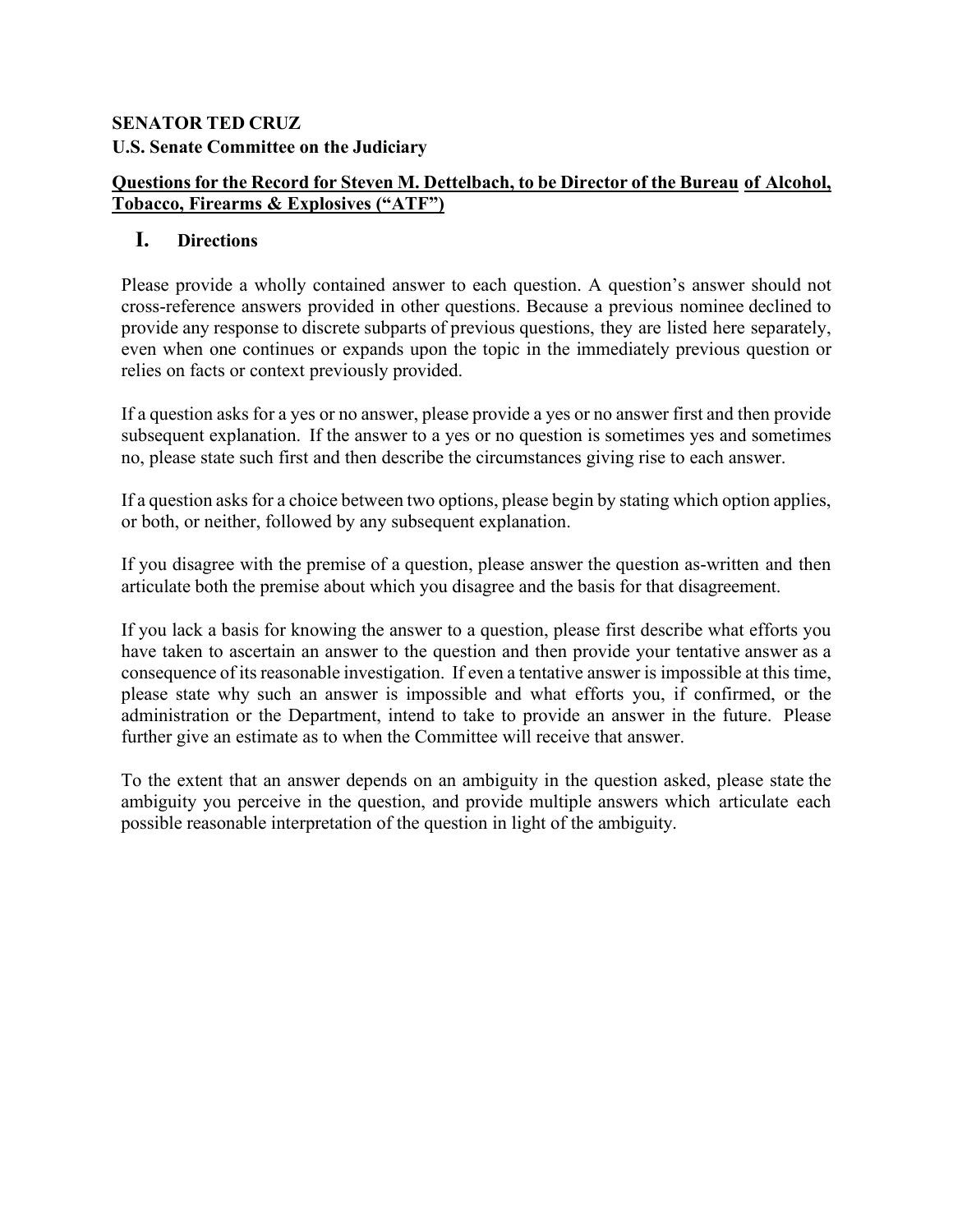# **SENATOR TED CRUZ U.S. Senate Committee on the Judiciary**

# **Questions for the Record for Steven M. Dettelbach, to be Director of the Bureau of Alcohol, Tobacco, Firearms & Explosives ("ATF")**

# **I. Directions**

Please provide a wholly contained answer to each question. A question's answer should not cross-reference answers provided in other questions. Because a previous nominee declined to provide any response to discrete subparts of previous questions, they are listed here separately, even when one continues or expands upon the topic in the immediately previous question or relies on facts or context previously provided.

If a question asks for a yes or no answer, please provide a yes or no answer first and then provide subsequent explanation. If the answer to a yes or no question is sometimes yes and sometimes no, please state such first and then describe the circumstances giving rise to each answer.

If a question asks for a choice between two options, please begin by stating which option applies, or both, or neither, followed by any subsequent explanation.

If you disagree with the premise of a question, please answer the question as-written and then articulate both the premise about which you disagree and the basis for that disagreement.

If you lack a basis for knowing the answer to a question, please first describe what efforts you have taken to ascertain an answer to the question and then provide your tentative answer as a consequence of its reasonable investigation. If even a tentative answer is impossible at this time, please state why such an answer is impossible and what efforts you, if confirmed, or the administration or the Department, intend to take to provide an answer in the future. Please further give an estimate as to when the Committee will receive that answer.

To the extent that an answer depends on an ambiguity in the question asked, please state the ambiguity you perceive in the question, and provide multiple answers which articulate each possible reasonable interpretation of the question in light of the ambiguity.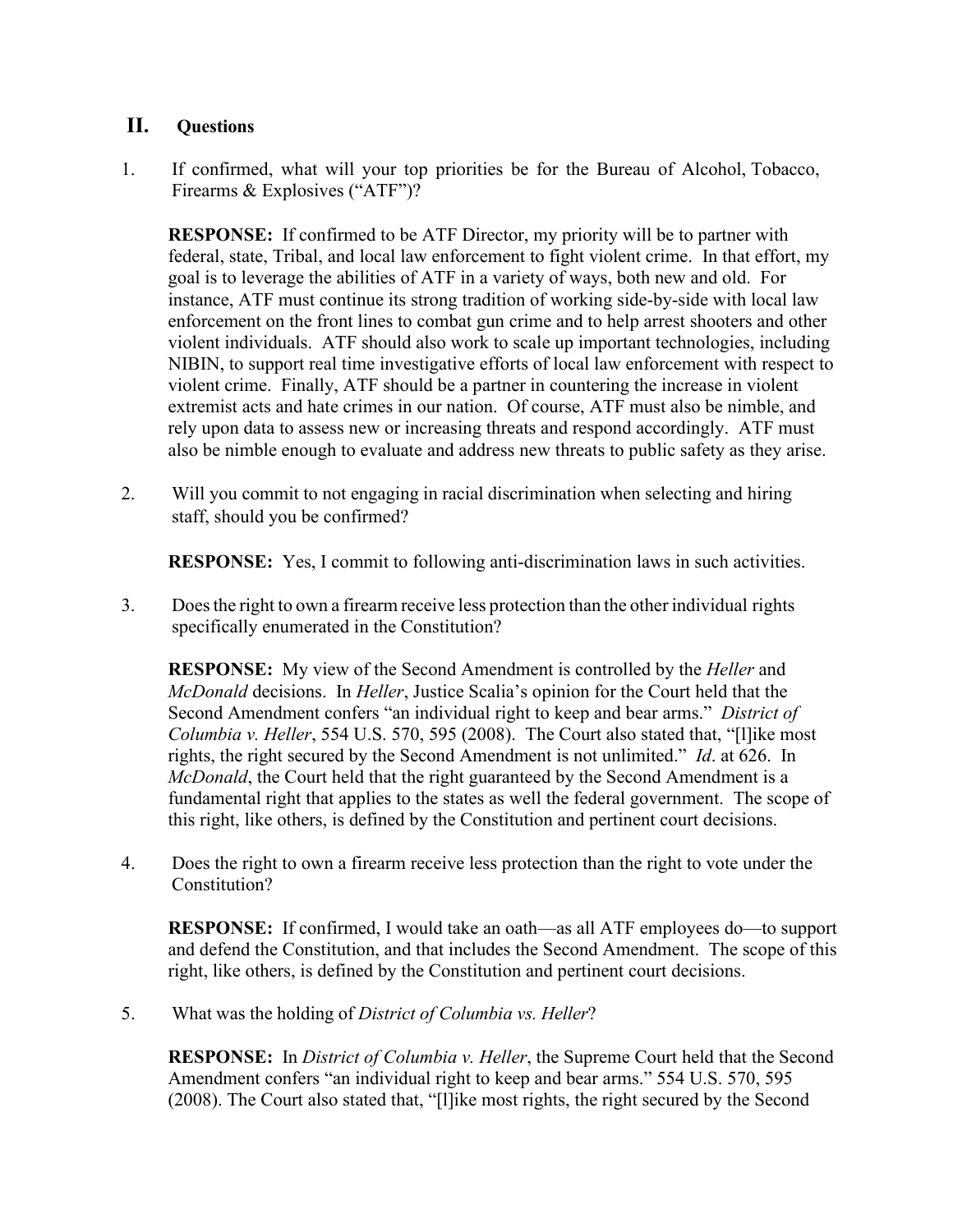## **II. Questions**

1. If confirmed, what will your top priorities be for the Bureau of Alcohol, Tobacco, Firearms & Explosives ("ATF")?

**RESPONSE:** If confirmed to be ATF Director, my priority will be to partner with federal, state, Tribal, and local law enforcement to fight violent crime. In that effort, my goal is to leverage the abilities of ATF in a variety of ways, both new and old. For instance, ATF must continue its strong tradition of working side-by-side with local law enforcement on the front lines to combat gun crime and to help arrest shooters and other violent individuals. ATF should also work to scale up important technologies, including NIBIN, to support real time investigative efforts of local law enforcement with respect to violent crime. Finally, ATF should be a partner in countering the increase in violent extremist acts and hate crimes in our nation. Of course, ATF must also be nimble, and rely upon data to assess new or increasing threats and respond accordingly. ATF must also be nimble enough to evaluate and address new threats to public safety as they arise.

2. Will you commit to not engaging in racial discrimination when selecting and hiring staff, should you be confirmed?

**RESPONSE:** Yes, I commit to following anti-discrimination laws in such activities.

3. Doesthe right to own a firearm receive less protection than the other individual rights specifically enumerated in the Constitution?

**RESPONSE:** My view of the Second Amendment is controlled by the *Heller* and *McDonald* decisions. In *Heller*, Justice Scalia's opinion for the Court held that the Second Amendment confers "an individual right to keep and bear arms." *District of Columbia v. Heller*, 554 U.S. 570, 595 (2008). The Court also stated that, "[l]ike most rights, the right secured by the Second Amendment is not unlimited." *Id*. at 626. In *McDonald*, the Court held that the right guaranteed by the Second Amendment is a fundamental right that applies to the states as well the federal government. The scope of this right, like others, is defined by the Constitution and pertinent court decisions.

4. Does the right to own a firearm receive less protection than the right to vote under the Constitution?

**RESPONSE:** If confirmed, I would take an oath—as all ATF employees do—to support and defend the Constitution, and that includes the Second Amendment. The scope of this right, like others, is defined by the Constitution and pertinent court decisions.

5. What was the holding of *District of Columbia vs. Heller*?

**RESPONSE:** In *District of Columbia v. Heller*, the Supreme Court held that the Second Amendment confers "an individual right to keep and bear arms." 554 U.S. 570, 595 (2008). The Court also stated that, "[l]ike most rights, the right secured by the Second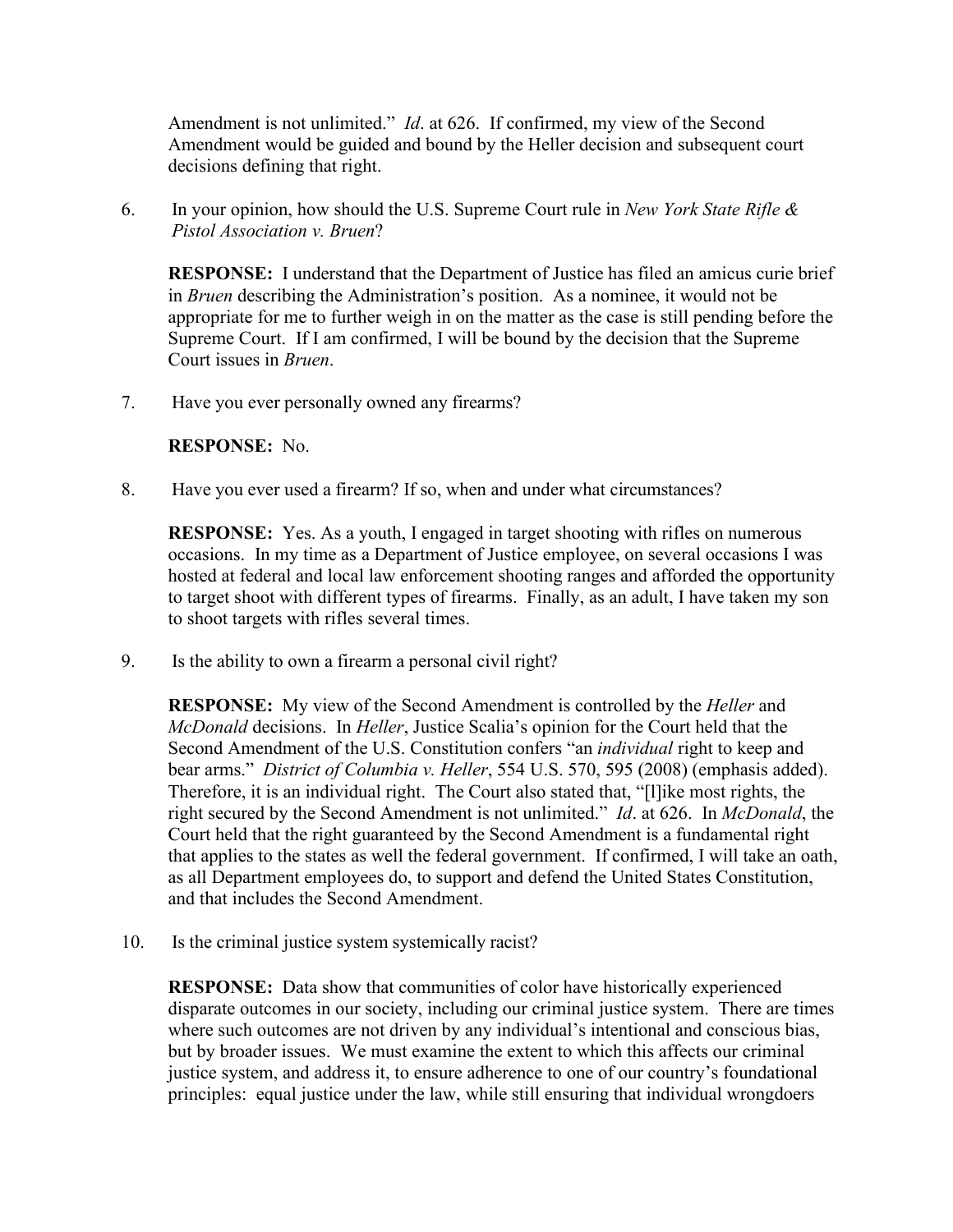Amendment is not unlimited." *Id*. at 626. If confirmed, my view of the Second Amendment would be guided and bound by the Heller decision and subsequent court decisions defining that right.

6. In your opinion, how should the U.S. Supreme Court rule in *New York State Rifle & Pistol Association v. Bruen*?

**RESPONSE:** I understand that the Department of Justice has filed an amicus curie brief in *Bruen* describing the Administration's position. As a nominee, it would not be appropriate for me to further weigh in on the matter as the case is still pending before the Supreme Court. If I am confirmed, I will be bound by the decision that the Supreme Court issues in *Bruen*.

7. Have you ever personally owned any firearms?

### **RESPONSE:** No.

8. Have you ever used a firearm? If so, when and under what circumstances?

**RESPONSE:** Yes. As a youth, I engaged in target shooting with rifles on numerous occasions. In my time as a Department of Justice employee, on several occasions I was hosted at federal and local law enforcement shooting ranges and afforded the opportunity to target shoot with different types of firearms. Finally, as an adult, I have taken my son to shoot targets with rifles several times.

9. Is the ability to own a firearm a personal civil right?

**RESPONSE:** My view of the Second Amendment is controlled by the *Heller* and *McDonald* decisions. In *Heller*, Justice Scalia's opinion for the Court held that the Second Amendment of the U.S. Constitution confers "an *individual* right to keep and bear arms." *District of Columbia v. Heller*, 554 U.S. 570, 595 (2008) (emphasis added). Therefore, it is an individual right. The Court also stated that, "[l]ike most rights, the right secured by the Second Amendment is not unlimited." *Id*. at 626. In *McDonald*, the Court held that the right guaranteed by the Second Amendment is a fundamental right that applies to the states as well the federal government. If confirmed, I will take an oath, as all Department employees do, to support and defend the United States Constitution, and that includes the Second Amendment.

10. Is the criminal justice system systemically racist?

**RESPONSE:** Data show that communities of color have historically experienced disparate outcomes in our society, including our criminal justice system. There are times where such outcomes are not driven by any individual's intentional and conscious bias, but by broader issues. We must examine the extent to which this affects our criminal justice system, and address it, to ensure adherence to one of our country's foundational principles: equal justice under the law, while still ensuring that individual wrongdoers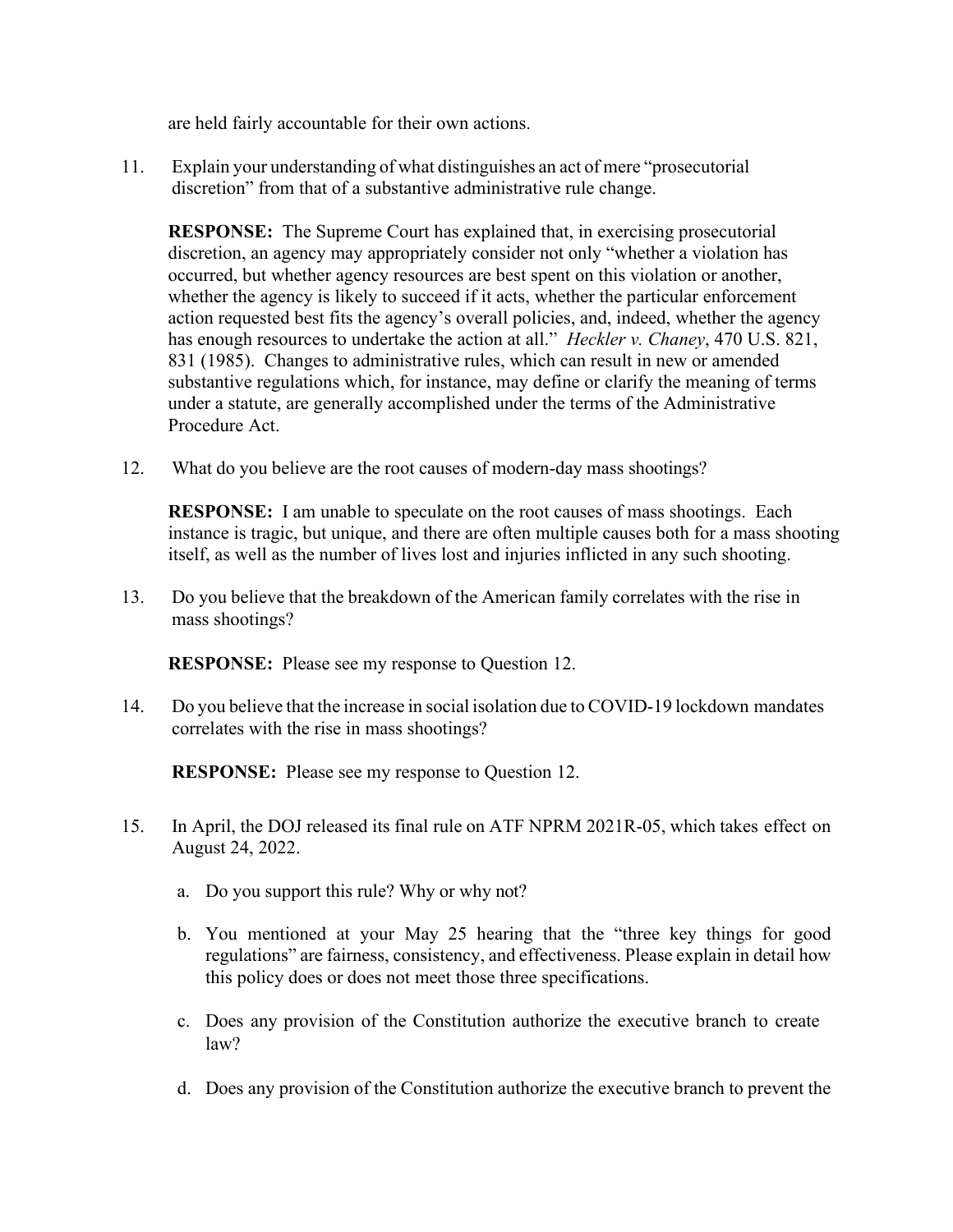are held fairly accountable for their own actions.

11. Explain your understanding of what distinguishes an act of mere "prosecutorial discretion" from that of a substantive administrative rule change.

**RESPONSE:** The Supreme Court has explained that, in exercising prosecutorial discretion, an agency may appropriately consider not only "whether a violation has occurred, but whether agency resources are best spent on this violation or another, whether the agency is likely to succeed if it acts, whether the particular enforcement action requested best fits the agency's overall policies, and, indeed, whether the agency has enough resources to undertake the action at all." *Heckler v. Chaney*, 470 U.S. 821, 831 (1985). Changes to administrative rules, which can result in new or amended substantive regulations which, for instance, may define or clarify the meaning of terms under a statute, are generally accomplished under the terms of the Administrative Procedure Act.

12. What do you believe are the root causes of modern-day mass shootings?

**RESPONSE:** I am unable to speculate on the root causes of mass shootings. Each instance is tragic, but unique, and there are often multiple causes both for a mass shooting itself, as well as the number of lives lost and injuries inflicted in any such shooting.

13. Do you believe that the breakdown of the American family correlates with the rise in mass shootings?

**RESPONSE:** Please see my response to Question 12.

14. Do you believe that the increase in social isolation due to COVID-19 lockdown mandates correlates with the rise in mass shootings?

**RESPONSE:** Please see my response to Question 12.

- 15. In April, the DOJ released its final rule on ATF NPRM 2021R-05, which takes effect on August 24, 2022.
	- a. Do you support this rule? Why or why not?
	- b. You mentioned at your May 25 hearing that the "three key things for good regulations" are fairness, consistency, and effectiveness. Please explain in detail how this policy does or does not meet those three specifications.
	- c. Does any provision of the Constitution authorize the executive branch to create law?
	- d. Does any provision of the Constitution authorize the executive branch to prevent the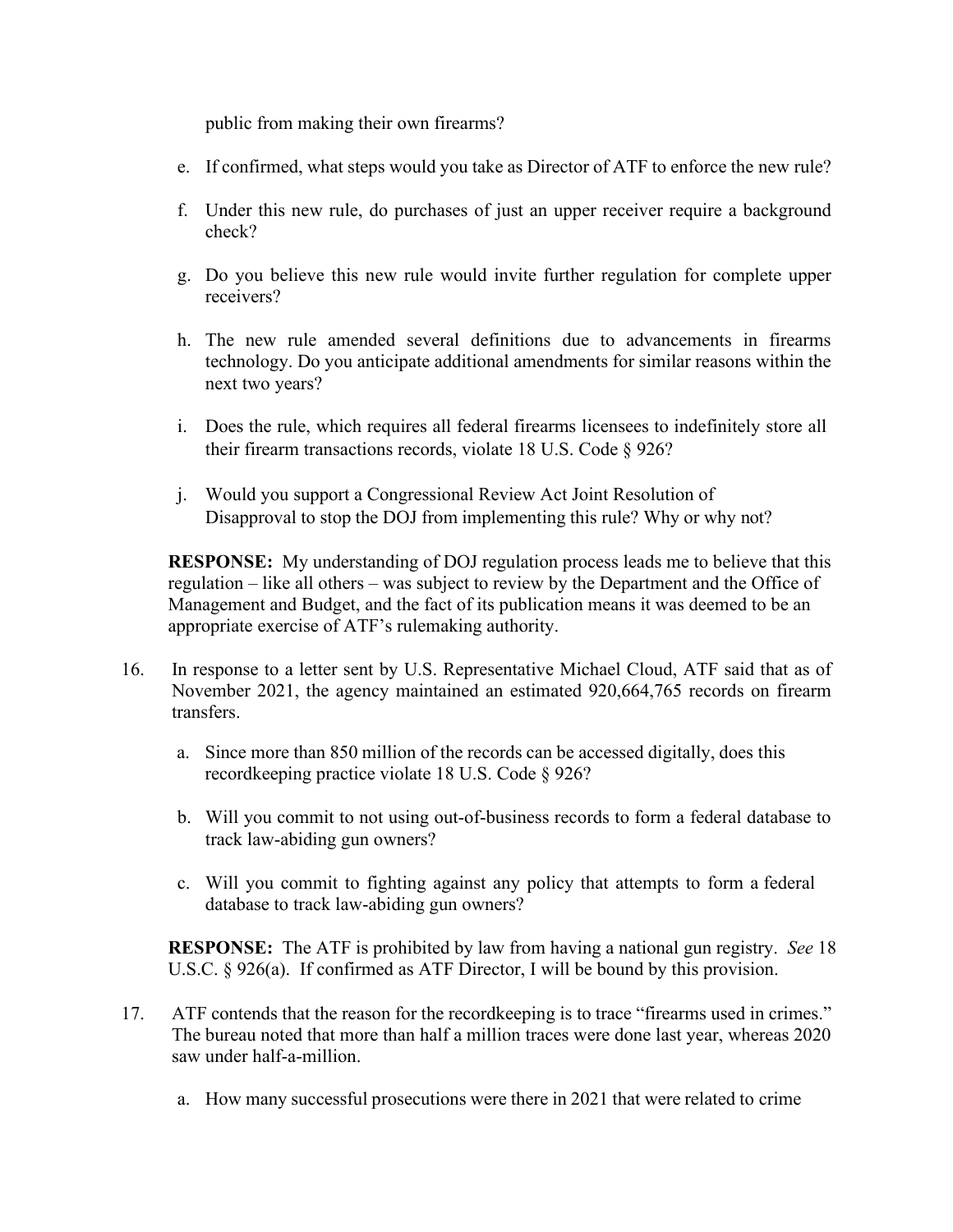public from making their own firearms?

- e. If confirmed, what steps would you take as Director of ATF to enforce the new rule?
- f. Under this new rule, do purchases of just an upper receiver require a background check?
- g. Do you believe this new rule would invite further regulation for complete upper receivers?
- h. The new rule amended several definitions due to advancements in firearms technology. Do you anticipate additional amendments for similar reasons within the next two years?
- i. Does the rule, which requires all federal firearms licensees to indefinitely store all their firearm transactions records, violate 18 U.S. Code § 926?
- j. Would you support a Congressional Review Act Joint Resolution of Disapproval to stop the DOJ from implementing this rule? Why or why not?

**RESPONSE:** My understanding of DOJ regulation process leads me to believe that this regulation – like all others – was subject to review by the Department and the Office of Management and Budget, and the fact of its publication means it was deemed to be an appropriate exercise of ATF's rulemaking authority.

- 16. In response to a letter sent by U.S. Representative Michael Cloud, ATF said that as of November 2021, the agency maintained an estimated 920,664,765 records on firearm transfers.
	- a. Since more than 850 million of the records can be accessed digitally, does this recordkeeping practice violate 18 U.S. Code § 926?
	- b. Will you commit to not using out-of-business records to form a federal database to track law-abiding gun owners?
	- c. Will you commit to fighting against any policy that attempts to form a federal database to track law-abiding gun owners?

**RESPONSE:** The ATF is prohibited by law from having a national gun registry. *See* 18 U.S.C. § 926(a). If confirmed as ATF Director, I will be bound by this provision.

- 17. ATF contends that the reason for the recordkeeping is to trace "firearms used in crimes." The bureau noted that more than half a million traces were done last year, whereas 2020 saw under half-a-million.
	- a. How many successful prosecutions were there in 2021 that were related to crime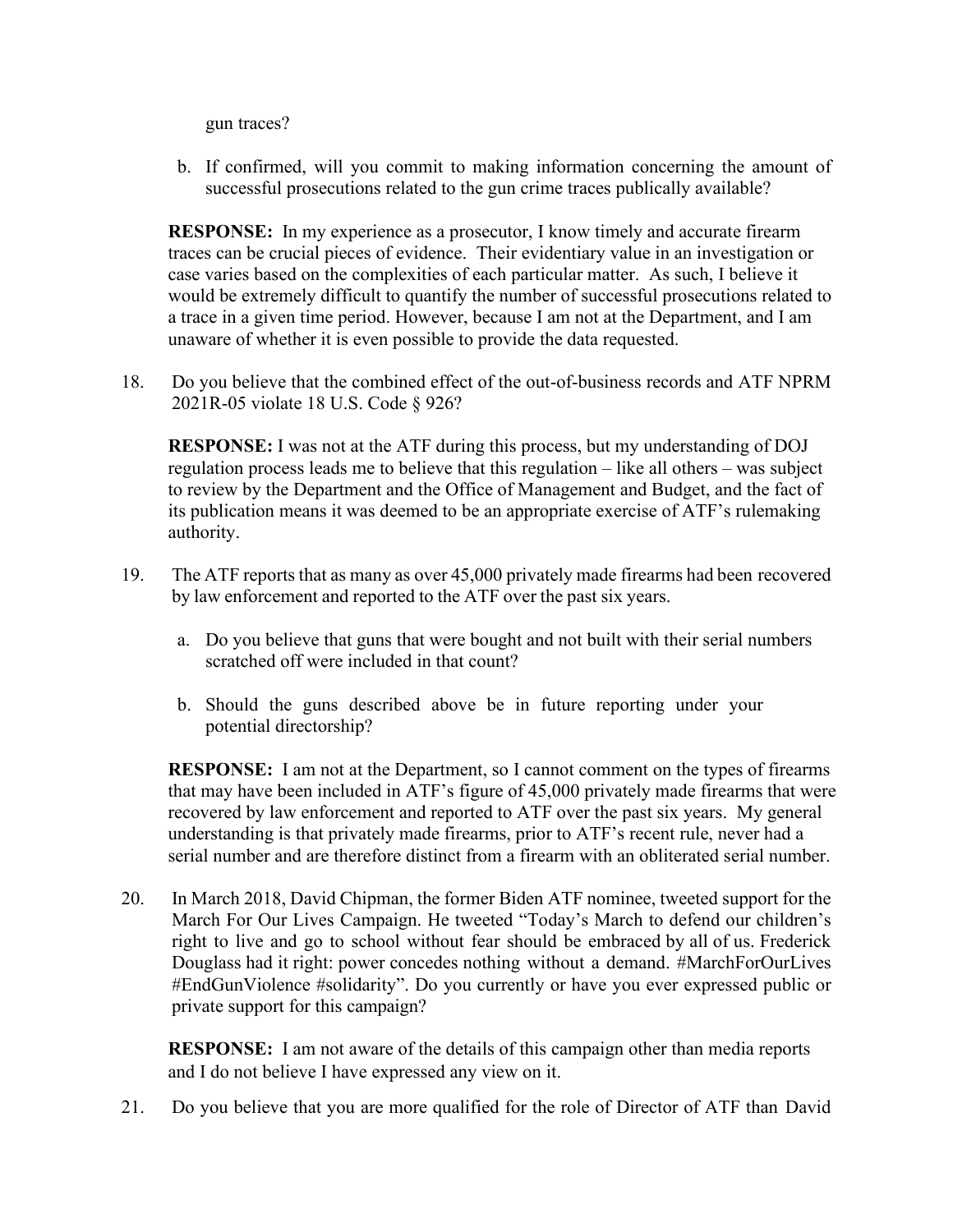gun traces?

b. If confirmed, will you commit to making information concerning the amount of successful prosecutions related to the gun crime traces publically available?

**RESPONSE:** In my experience as a prosecutor, I know timely and accurate firearm traces can be crucial pieces of evidence. Their evidentiary value in an investigation or case varies based on the complexities of each particular matter. As such, I believe it would be extremely difficult to quantify the number of successful prosecutions related to a trace in a given time period. However, because I am not at the Department, and I am unaware of whether it is even possible to provide the data requested.

18. Do you believe that the combined effect of the out-of-business records and ATF NPRM 2021R-05 violate 18 U.S. Code § 926?

**RESPONSE:** I was not at the ATF during this process, but my understanding of DOJ regulation process leads me to believe that this regulation – like all others – was subject to review by the Department and the Office of Management and Budget, and the fact of its publication means it was deemed to be an appropriate exercise of ATF's rulemaking authority.

- 19. The ATF reports that as many as over 45,000 privately made firearms had been recovered by law enforcement and reported to the ATF over the past six years.
	- a. Do you believe that guns that were bought and not built with their serial numbers scratched off were included in that count?
	- b. Should the guns described above be in future reporting under your potential directorship?

**RESPONSE:** I am not at the Department, so I cannot comment on the types of firearms that may have been included in ATF's figure of 45,000 privately made firearms that were recovered by law enforcement and reported to ATF over the past six years. My general understanding is that privately made firearms, prior to ATF's recent rule, never had a serial number and are therefore distinct from a firearm with an obliterated serial number.

20. In March 2018, David Chipman, the former Biden ATF nominee, tweeted support for the March For Our Lives Campaign. He tweeted "Today's March to defend our children's right to live and go to school without fear should be embraced by all of us. Frederick Douglass had it right: power concedes nothing without a demand. #MarchForOurLives #EndGunViolence #solidarity". Do you currently or have you ever expressed public or private support for this campaign?

**RESPONSE:** I am not aware of the details of this campaign other than media reports and I do not believe I have expressed any view on it.

21. Do you believe that you are more qualified for the role of Director of ATF than David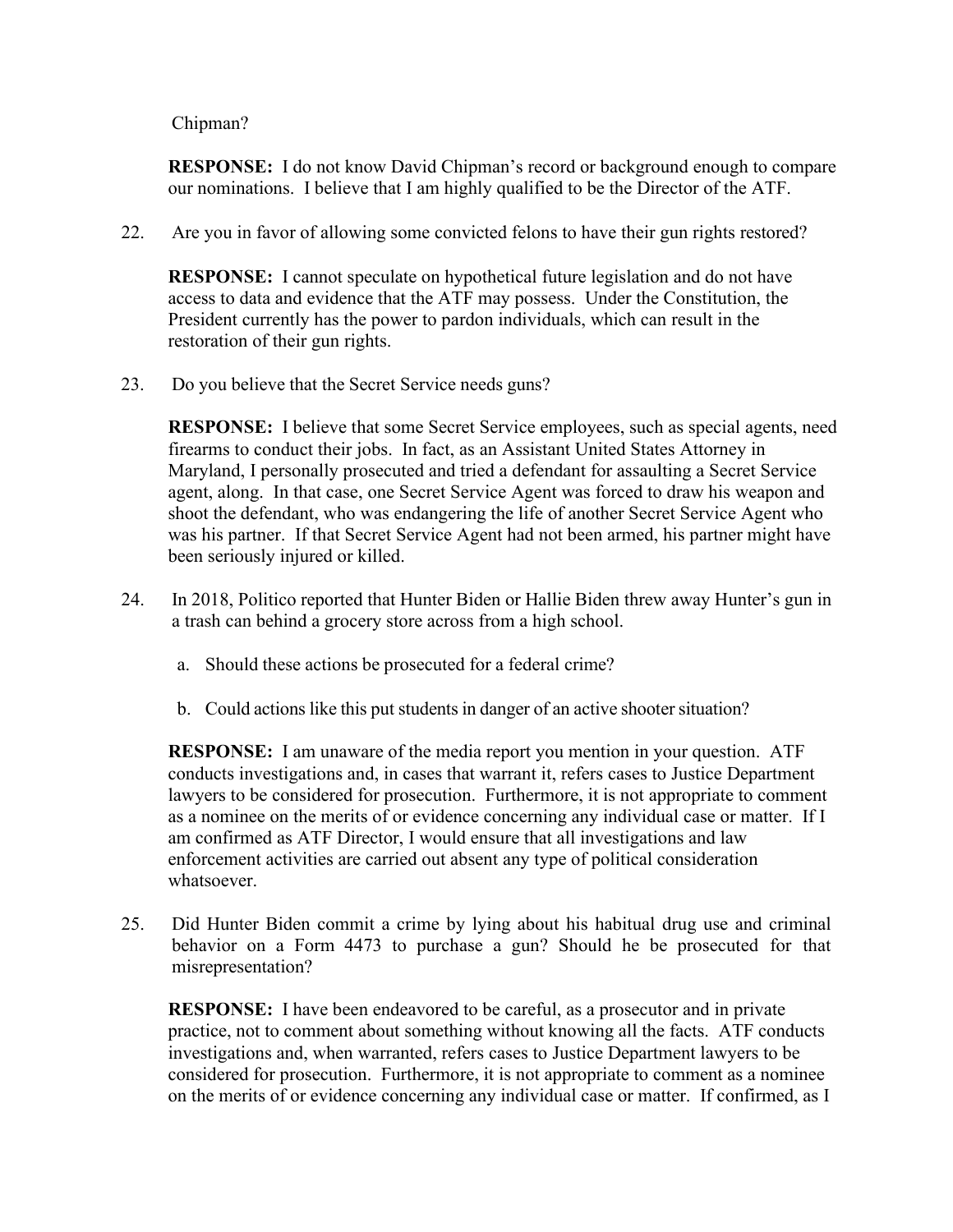Chipman?

**RESPONSE:** I do not know David Chipman's record or background enough to compare our nominations. I believe that I am highly qualified to be the Director of the ATF.

22. Are you in favor of allowing some convicted felons to have their gun rights restored?

**RESPONSE:** I cannot speculate on hypothetical future legislation and do not have access to data and evidence that the ATF may possess. Under the Constitution, the President currently has the power to pardon individuals, which can result in the restoration of their gun rights.

23. Do you believe that the Secret Service needs guns?

**RESPONSE:** I believe that some Secret Service employees, such as special agents, need firearms to conduct their jobs. In fact, as an Assistant United States Attorney in Maryland, I personally prosecuted and tried a defendant for assaulting a Secret Service agent, along. In that case, one Secret Service Agent was forced to draw his weapon and shoot the defendant, who was endangering the life of another Secret Service Agent who was his partner. If that Secret Service Agent had not been armed, his partner might have been seriously injured or killed.

- 24. In 2018, Politico reported that Hunter Biden or Hallie Biden threw away Hunter's gun in a trash can behind a grocery store across from a high school.
	- a. Should these actions be prosecuted for a federal crime?
	- b. Could actions like this put students in danger of an active shooter situation?

**RESPONSE:** I am unaware of the media report you mention in your question. ATF conducts investigations and, in cases that warrant it, refers cases to Justice Department lawyers to be considered for prosecution. Furthermore, it is not appropriate to comment as a nominee on the merits of or evidence concerning any individual case or matter. If I am confirmed as ATF Director, I would ensure that all investigations and law enforcement activities are carried out absent any type of political consideration whatsoever.

25. Did Hunter Biden commit a crime by lying about his habitual drug use and criminal behavior on a Form 4473 to purchase a gun? Should he be prosecuted for that misrepresentation?

**RESPONSE:** I have been endeavored to be careful, as a prosecutor and in private practice, not to comment about something without knowing all the facts. ATF conducts investigations and, when warranted, refers cases to Justice Department lawyers to be considered for prosecution. Furthermore, it is not appropriate to comment as a nominee on the merits of or evidence concerning any individual case or matter. If confirmed, as I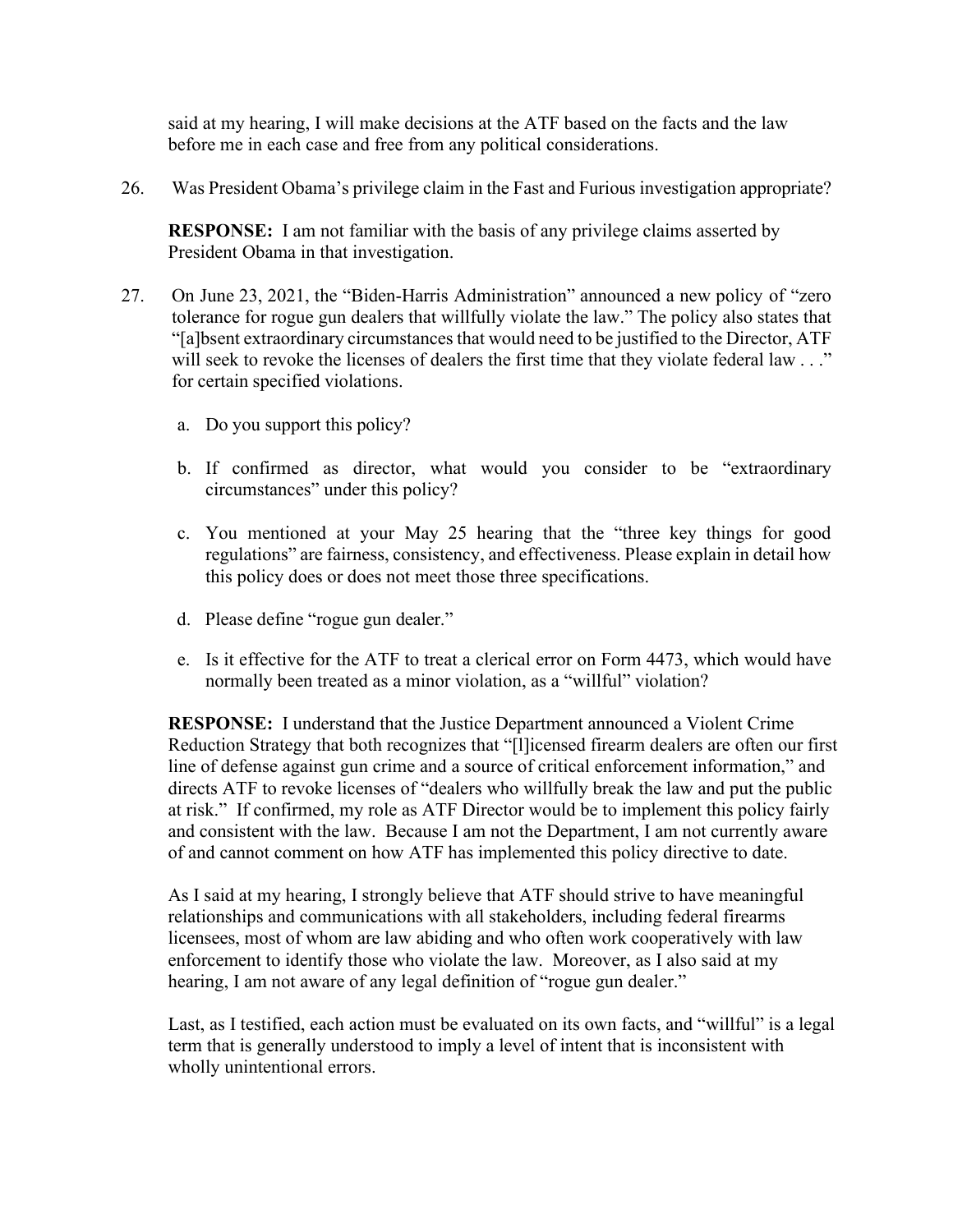said at my hearing, I will make decisions at the ATF based on the facts and the law before me in each case and free from any political considerations.

26. Was President Obama's privilege claim in the Fast and Furious investigation appropriate?

**RESPONSE:** I am not familiar with the basis of any privilege claims asserted by President Obama in that investigation.

- 27. On June 23, 2021, the "Biden-Harris Administration" announced a new policy of "zero tolerance for rogue gun dealers that willfully violate the law." The policy also states that "[a]bsent extraordinary circumstances that would need to be justified to the Director, ATF will seek to revoke the licenses of dealers the first time that they violate federal law . . ." for certain specified violations.
	- a. Do you support this policy?
	- b. If confirmed as director, what would you consider to be "extraordinary circumstances" under this policy?
	- c. You mentioned at your May 25 hearing that the "three key things for good regulations" are fairness, consistency, and effectiveness. Please explain in detail how this policy does or does not meet those three specifications.
	- d. Please define "rogue gun dealer."
	- e. Is it effective for the ATF to treat a clerical error on Form 4473, which would have normally been treated as a minor violation, as a "willful" violation?

**RESPONSE:** I understand that the Justice Department announced a Violent Crime Reduction Strategy that both recognizes that "[l]icensed firearm dealers are often our first line of defense against gun crime and a source of critical enforcement information," and directs ATF to revoke licenses of "dealers who willfully break the law and put the public at risk." If confirmed, my role as ATF Director would be to implement this policy fairly and consistent with the law. Because I am not the Department, I am not currently aware of and cannot comment on how ATF has implemented this policy directive to date.

As I said at my hearing, I strongly believe that ATF should strive to have meaningful relationships and communications with all stakeholders, including federal firearms licensees, most of whom are law abiding and who often work cooperatively with law enforcement to identify those who violate the law. Moreover, as I also said at my hearing, I am not aware of any legal definition of "rogue gun dealer."

Last, as I testified, each action must be evaluated on its own facts, and "willful" is a legal term that is generally understood to imply a level of intent that is inconsistent with wholly unintentional errors.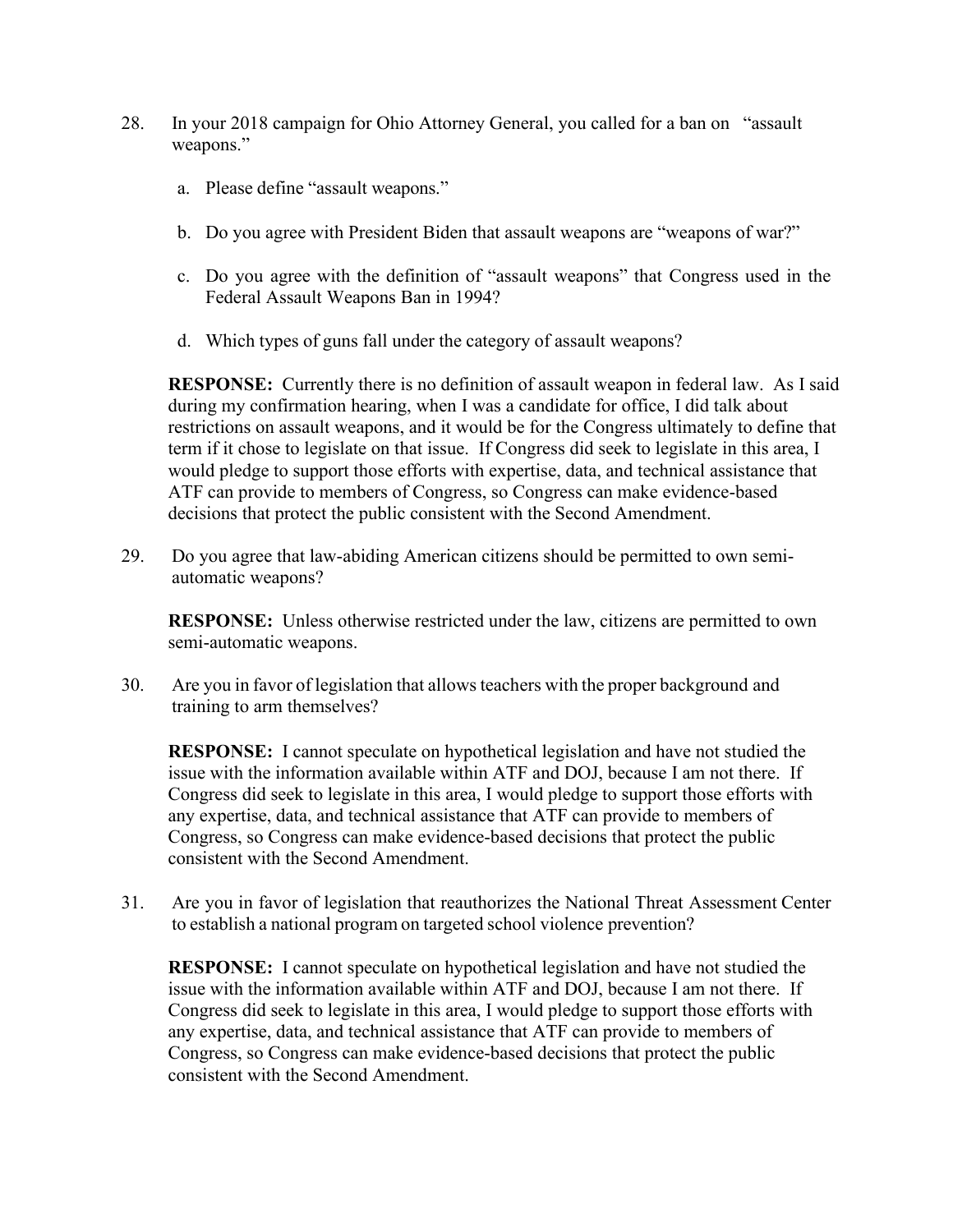- 28. In your 2018 campaign for Ohio Attorney General, you called for a ban on "assault weapons."
	- a. Please define "assault weapons."
	- b. Do you agree with President Biden that assault weapons are "weapons of war?"
	- c. Do you agree with the definition of "assault weapons" that Congress used in the Federal Assault Weapons Ban in 1994?
	- d. Which types of guns fall under the category of assault weapons?

**RESPONSE:** Currently there is no definition of assault weapon in federal law. As I said during my confirmation hearing, when I was a candidate for office, I did talk about restrictions on assault weapons, and it would be for the Congress ultimately to define that term if it chose to legislate on that issue. If Congress did seek to legislate in this area, I would pledge to support those efforts with expertise, data, and technical assistance that ATF can provide to members of Congress, so Congress can make evidence-based decisions that protect the public consistent with the Second Amendment.

29. Do you agree that law-abiding American citizens should be permitted to own semiautomatic weapons?

**RESPONSE:** Unless otherwise restricted under the law, citizens are permitted to own semi-automatic weapons.

30. Are you in favor of legislation that allowsteachers with the proper background and training to arm themselves?

**RESPONSE:** I cannot speculate on hypothetical legislation and have not studied the issue with the information available within ATF and DOJ, because I am not there. If Congress did seek to legislate in this area, I would pledge to support those efforts with any expertise, data, and technical assistance that ATF can provide to members of Congress, so Congress can make evidence-based decisions that protect the public consistent with the Second Amendment.

31. Are you in favor of legislation that reauthorizes the National Threat Assessment Center to establish a national program on targeted school violence prevention?

**RESPONSE:** I cannot speculate on hypothetical legislation and have not studied the issue with the information available within ATF and DOJ, because I am not there. If Congress did seek to legislate in this area, I would pledge to support those efforts with any expertise, data, and technical assistance that ATF can provide to members of Congress, so Congress can make evidence-based decisions that protect the public consistent with the Second Amendment.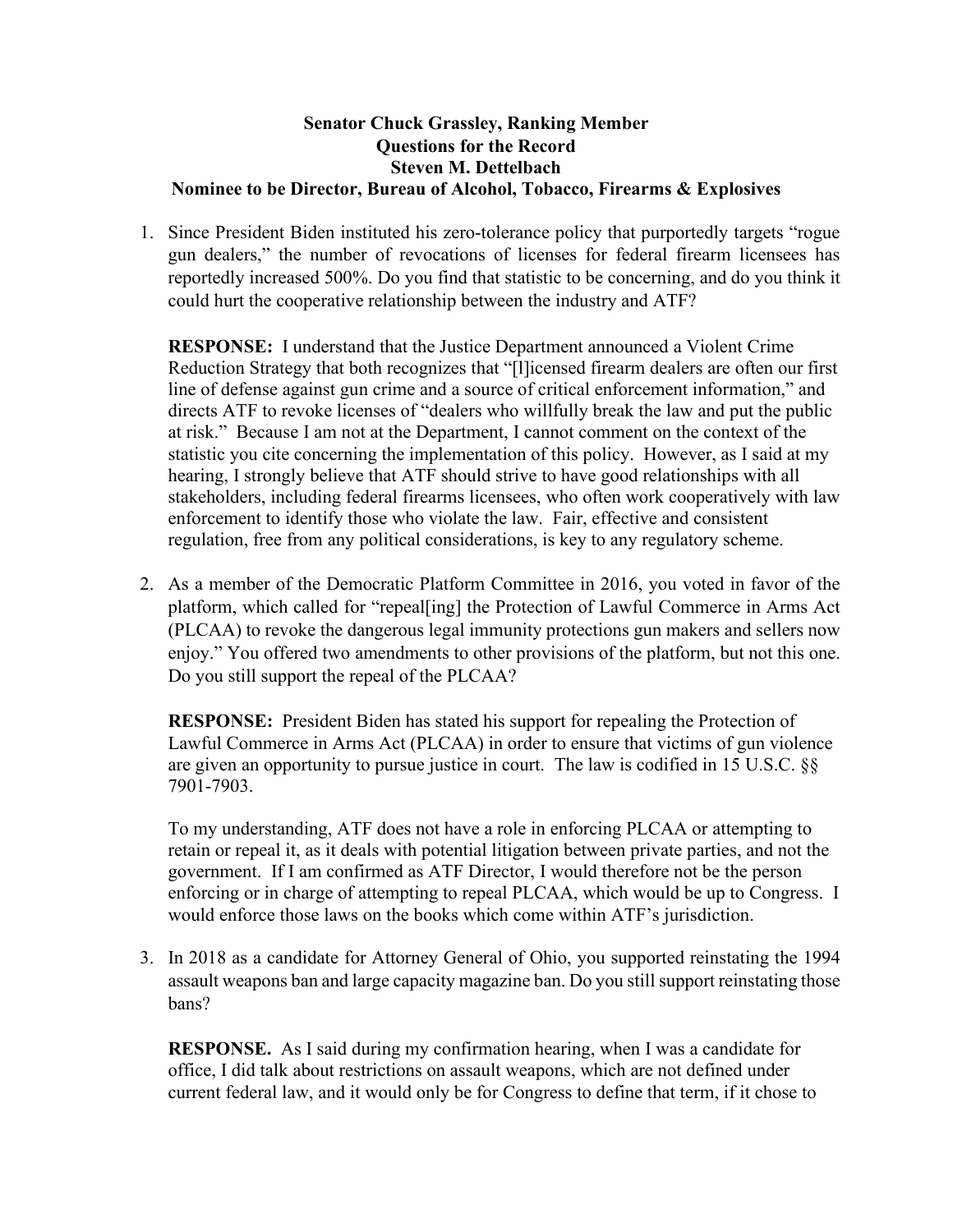#### **Senator Chuck Grassley, Ranking Member Questions for the Record Steven M. Dettelbach Nominee to be Director, Bureau of Alcohol, Tobacco, Firearms & Explosives**

1. Since President Biden instituted his zero-tolerance policy that purportedly targets "rogue gun dealers," the number of revocations of licenses for federal firearm licensees has reportedly increased 500%. Do you find that statistic to be concerning, and do you think it could hurt the cooperative relationship between the industry and ATF?

**RESPONSE:** I understand that the Justice Department announced a Violent Crime Reduction Strategy that both recognizes that "[l]icensed firearm dealers are often our first line of defense against gun crime and a source of critical enforcement information," and directs ATF to revoke licenses of "dealers who willfully break the law and put the public at risk." Because I am not at the Department, I cannot comment on the context of the statistic you cite concerning the implementation of this policy. However, as I said at my hearing, I strongly believe that ATF should strive to have good relationships with all stakeholders, including federal firearms licensees, who often work cooperatively with law enforcement to identify those who violate the law. Fair, effective and consistent regulation, free from any political considerations, is key to any regulatory scheme.

2. As a member of the Democratic Platform Committee in 2016, you voted in favor of the platform, which called for "repeal[ing] the Protection of Lawful Commerce in Arms Act (PLCAA) to revoke the dangerous legal immunity protections gun makers and sellers now enjoy." You offered two amendments to other provisions of the platform, but not this one. Do you still support the repeal of the PLCAA?

**RESPONSE:** President Biden has stated his support for repealing the Protection of Lawful Commerce in Arms Act (PLCAA) in order to ensure that victims of gun violence are given an opportunity to pursue justice in court. The law is codified in 15 U.S.C. §§ 7901-7903.

To my understanding, ATF does not have a role in enforcing PLCAA or attempting to retain or repeal it, as it deals with potential litigation between private parties, and not the government. If I am confirmed as ATF Director, I would therefore not be the person enforcing or in charge of attempting to repeal PLCAA, which would be up to Congress. I would enforce those laws on the books which come within ATF's jurisdiction.

3. In 2018 as a candidate for Attorney General of Ohio, you supported reinstating the 1994 assault weapons ban and large capacity magazine ban. Do you still support reinstating those bans?

**RESPONSE.** As I said during my confirmation hearing, when I was a candidate for office, I did talk about restrictions on assault weapons, which are not defined under current federal law, and it would only be for Congress to define that term, if it chose to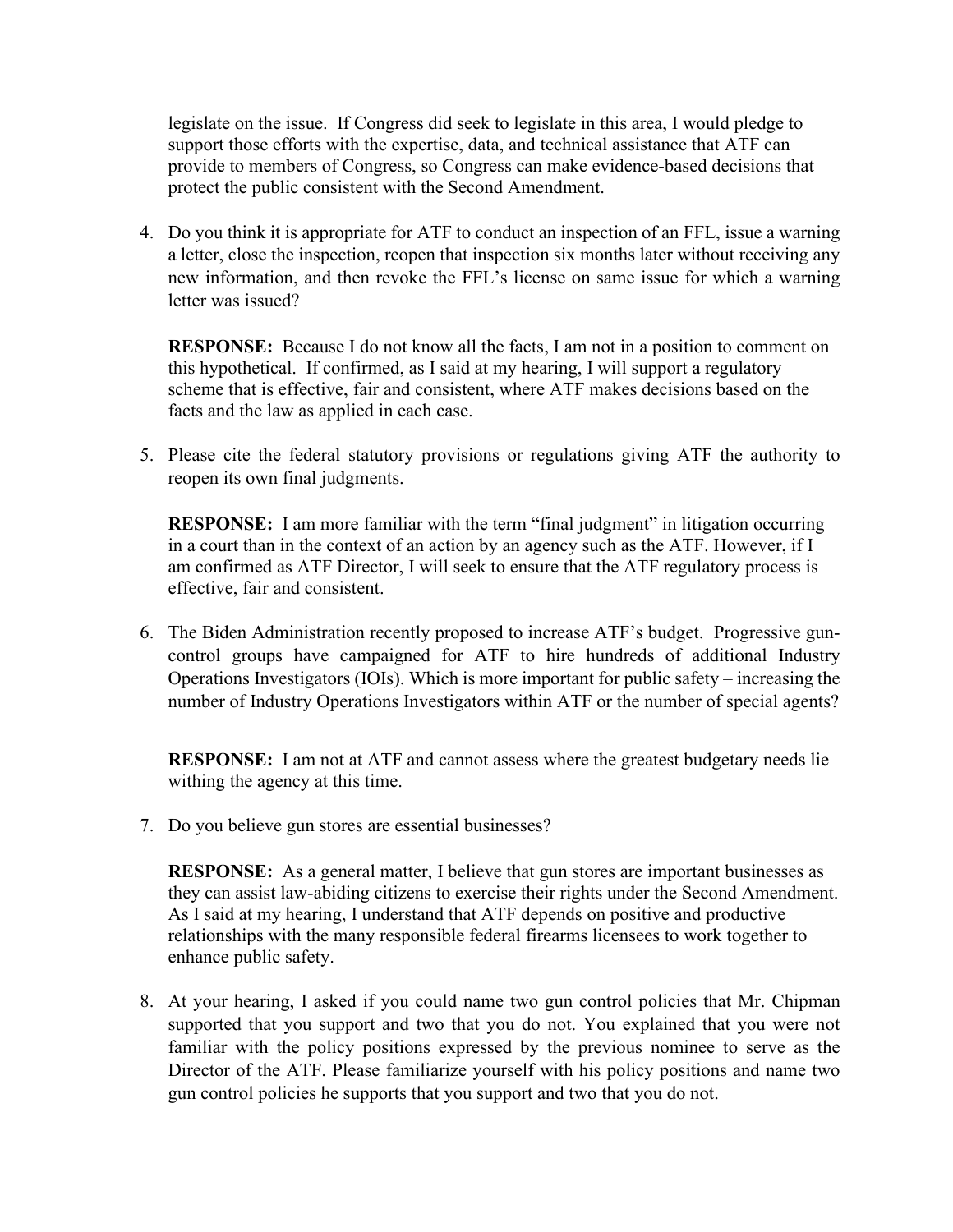legislate on the issue. If Congress did seek to legislate in this area, I would pledge to support those efforts with the expertise, data, and technical assistance that ATF can provide to members of Congress, so Congress can make evidence-based decisions that protect the public consistent with the Second Amendment.

4. Do you think it is appropriate for ATF to conduct an inspection of an FFL, issue a warning a letter, close the inspection, reopen that inspection six months later without receiving any new information, and then revoke the FFL's license on same issue for which a warning letter was issued?

**RESPONSE:** Because I do not know all the facts, I am not in a position to comment on this hypothetical. If confirmed, as I said at my hearing, I will support a regulatory scheme that is effective, fair and consistent, where ATF makes decisions based on the facts and the law as applied in each case.

5. Please cite the federal statutory provisions or regulations giving ATF the authority to reopen its own final judgments.

**RESPONSE:** I am more familiar with the term "final judgment" in litigation occurring in a court than in the context of an action by an agency such as the ATF. However, if I am confirmed as ATF Director, I will seek to ensure that the ATF regulatory process is effective, fair and consistent.

6. The Biden Administration recently proposed to increase ATF's budget. Progressive guncontrol groups have campaigned for ATF to hire hundreds of additional Industry Operations Investigators (IOIs). Which is more important for public safety – increasing the number of Industry Operations Investigators within ATF or the number of special agents?

**RESPONSE:** I am not at ATF and cannot assess where the greatest budgetary needs lie withing the agency at this time.

7. Do you believe gun stores are essential businesses?

**RESPONSE:** As a general matter, I believe that gun stores are important businesses as they can assist law-abiding citizens to exercise their rights under the Second Amendment. As I said at my hearing, I understand that ATF depends on positive and productive relationships with the many responsible federal firearms licensees to work together to enhance public safety.

8. At your hearing, I asked if you could name two gun control policies that Mr. Chipman supported that you support and two that you do not. You explained that you were not familiar with the policy positions expressed by the previous nominee to serve as the Director of the ATF. Please familiarize yourself with his policy positions and name two gun control policies he supports that you support and two that you do not.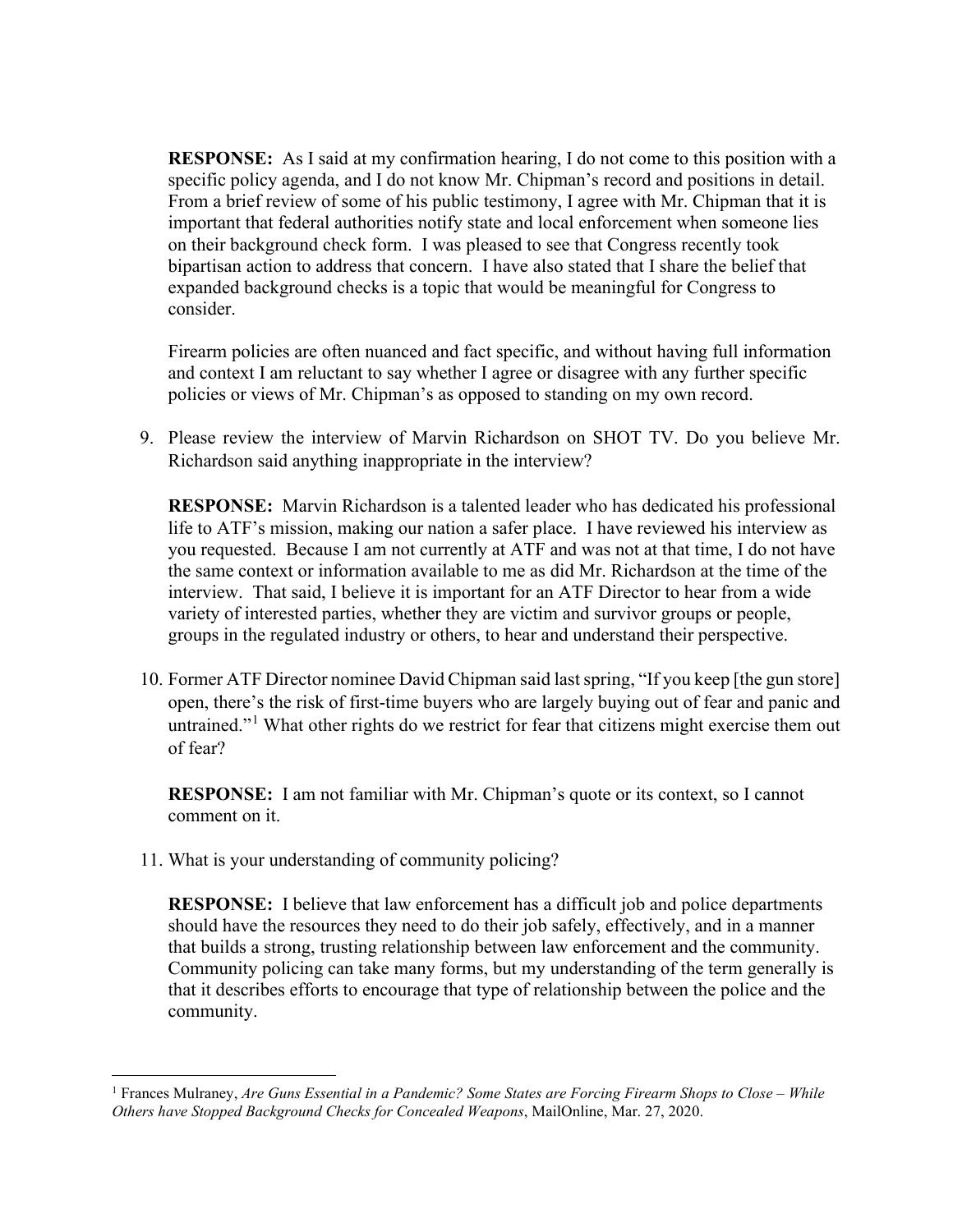**RESPONSE:** As I said at my confirmation hearing, I do not come to this position with a specific policy agenda, and I do not know Mr. Chipman's record and positions in detail. From a brief review of some of his public testimony, I agree with Mr. Chipman that it is important that federal authorities notify state and local enforcement when someone lies on their background check form. I was pleased to see that Congress recently took bipartisan action to address that concern. I have also stated that I share the belief that expanded background checks is a topic that would be meaningful for Congress to consider.

Firearm policies are often nuanced and fact specific, and without having full information and context I am reluctant to say whether I agree or disagree with any further specific policies or views of Mr. Chipman's as opposed to standing on my own record.

9. Please review the interview of Marvin Richardson on SHOT TV. Do you believe Mr. Richardson said anything inappropriate in the interview?

**RESPONSE:** Marvin Richardson is a talented leader who has dedicated his professional life to ATF's mission, making our nation a safer place. I have reviewed his interview as you requested. Because I am not currently at ATF and was not at that time, I do not have the same context or information available to me as did Mr. Richardson at the time of the interview. That said, I believe it is important for an ATF Director to hear from a wide variety of interested parties, whether they are victim and survivor groups or people, groups in the regulated industry or others, to hear and understand their perspective.

10. Former ATF Director nominee David Chipman said last spring, "If you keep [the gun store] open, there's the risk of first-time buyers who are largely buying out of fear and panic and untrained."<sup>1</sup> What other rights do we restrict for fear that citizens might exercise them out of fear?

**RESPONSE:** I am not familiar with Mr. Chipman's quote or its context, so I cannot comment on it.

11. What is your understanding of community policing?

**RESPONSE:** I believe that law enforcement has a difficult job and police departments should have the resources they need to do their job safely, effectively, and in a manner that builds a strong, trusting relationship between law enforcement and the community. Community policing can take many forms, but my understanding of the term generally is that it describes efforts to encourage that type of relationship between the police and the community.

<sup>1</sup> Frances Mulraney, *Are Guns Essential in a Pandemic? Some States are Forcing Firearm Shops to Close – While Others have Stopped Background Checks for Concealed Weapons*, MailOnline, Mar. 27, 2020.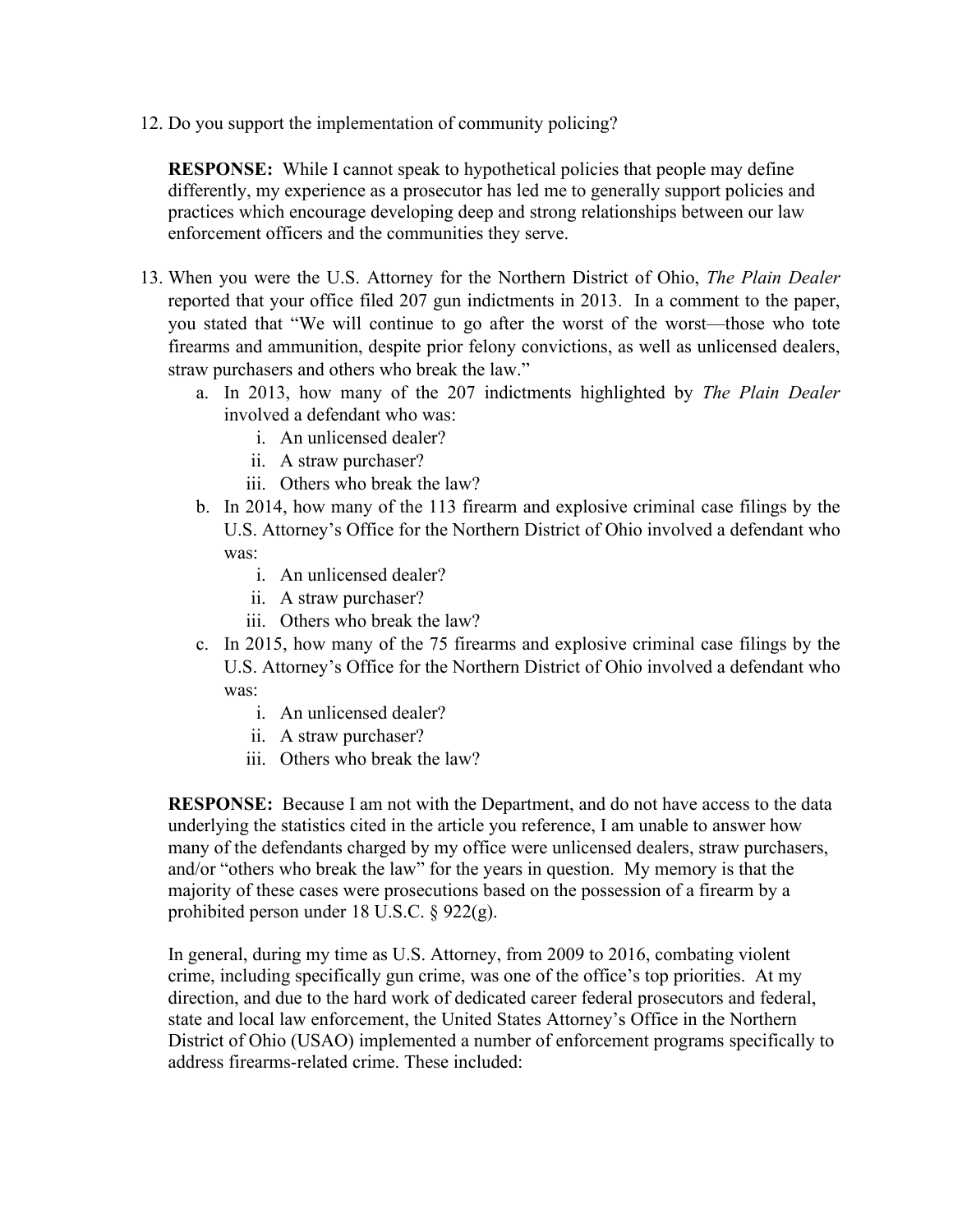12. Do you support the implementation of community policing?

**RESPONSE:** While I cannot speak to hypothetical policies that people may define differently, my experience as a prosecutor has led me to generally support policies and practices which encourage developing deep and strong relationships between our law enforcement officers and the communities they serve.

- 13. When you were the U.S. Attorney for the Northern District of Ohio, *The Plain Dealer* reported that your office filed 207 gun indictments in 2013. In a comment to the paper, you stated that "We will continue to go after the worst of the worst—those who tote firearms and ammunition, despite prior felony convictions, as well as unlicensed dealers, straw purchasers and others who break the law."
	- a. In 2013, how many of the 207 indictments highlighted by *The Plain Dealer* involved a defendant who was:
		- i. An unlicensed dealer?
		- ii. A straw purchaser?
		- iii. Others who break the law?
	- b. In 2014, how many of the 113 firearm and explosive criminal case filings by the U.S. Attorney's Office for the Northern District of Ohio involved a defendant who was:
		- i. An unlicensed dealer?
		- ii. A straw purchaser?
		- iii. Others who break the law?
	- c. In 2015, how many of the 75 firearms and explosive criminal case filings by the U.S. Attorney's Office for the Northern District of Ohio involved a defendant who was:
		- i. An unlicensed dealer?
		- ii. A straw purchaser?
		- iii. Others who break the law?

**RESPONSE:** Because I am not with the Department, and do not have access to the data underlying the statistics cited in the article you reference, I am unable to answer how many of the defendants charged by my office were unlicensed dealers, straw purchasers, and/or "others who break the law" for the years in question. My memory is that the majority of these cases were prosecutions based on the possession of a firearm by a prohibited person under 18 U.S.C. § 922(g).

In general, during my time as U.S. Attorney, from 2009 to 2016, combating violent crime, including specifically gun crime, was one of the office's top priorities. At my direction, and due to the hard work of dedicated career federal prosecutors and federal, state and local law enforcement, the United States Attorney's Office in the Northern District of Ohio (USAO) implemented a number of enforcement programs specifically to address firearms-related crime. These included: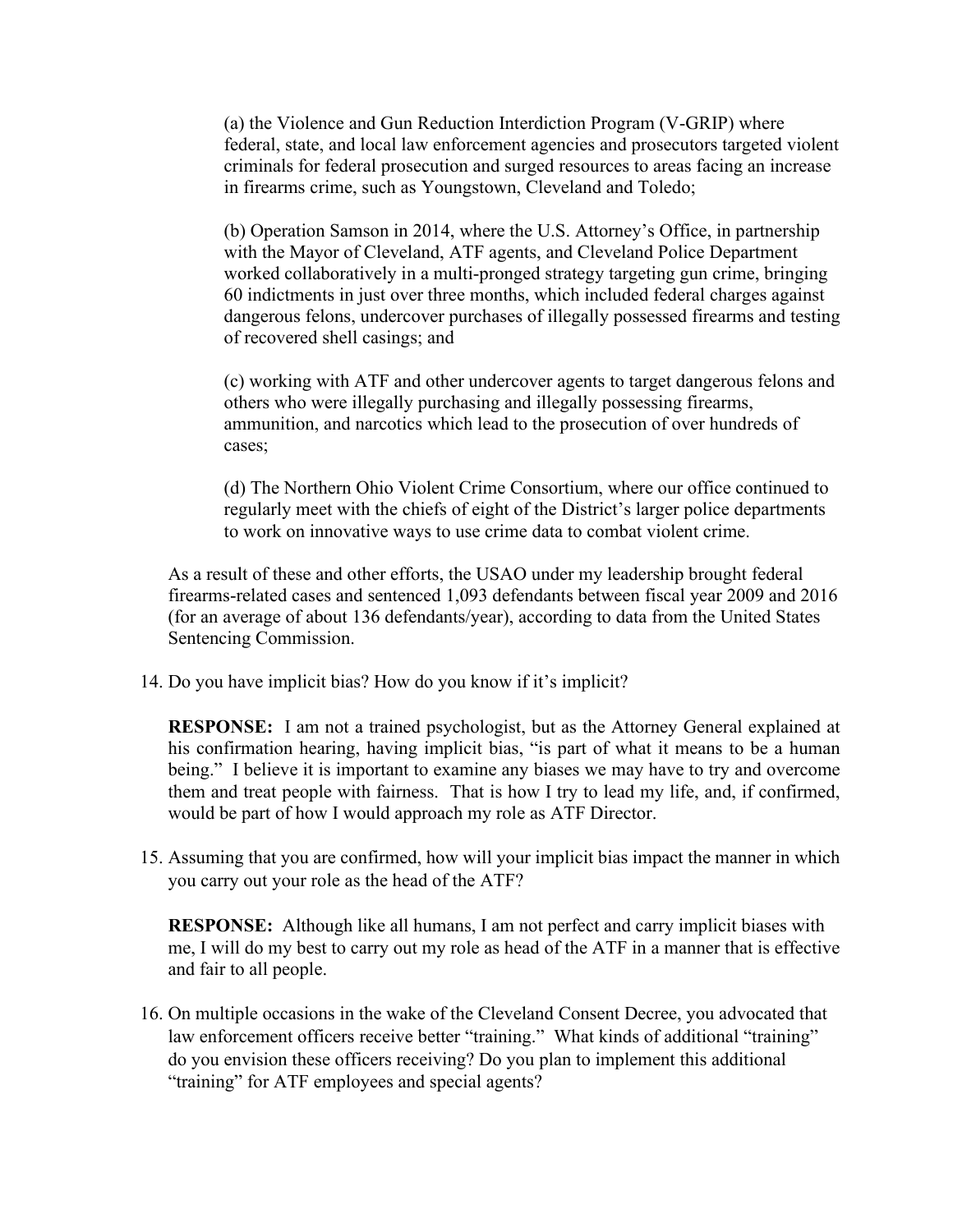(a) the Violence and Gun Reduction Interdiction Program (V-GRIP) where federal, state, and local law enforcement agencies and prosecutors targeted violent criminals for federal prosecution and surged resources to areas facing an increase in firearms crime, such as Youngstown, Cleveland and Toledo;

(b) Operation Samson in 2014, where the U.S. Attorney's Office, in partnership with the Mayor of Cleveland, ATF agents, and Cleveland Police Department worked collaboratively in a multi-pronged strategy targeting gun crime, bringing 60 indictments in just over three months, which included federal charges against dangerous felons, undercover purchases of illegally possessed firearms and testing of recovered shell casings; and

(c) working with ATF and other undercover agents to target dangerous felons and others who were illegally purchasing and illegally possessing firearms, ammunition, and narcotics which lead to the prosecution of over hundreds of cases;

(d) The Northern Ohio Violent Crime Consortium, where our office continued to regularly meet with the chiefs of eight of the District's larger police departments to work on innovative ways to use crime data to combat violent crime.

As a result of these and other efforts, the USAO under my leadership brought federal firearms-related cases and sentenced 1,093 defendants between fiscal year 2009 and 2016 (for an average of about 136 defendants/year), according to data from the United States Sentencing Commission.

14. Do you have implicit bias? How do you know if it's implicit?

**RESPONSE:** I am not a trained psychologist, but as the Attorney General explained at his confirmation hearing, having implicit bias, "is part of what it means to be a human being." I believe it is important to examine any biases we may have to try and overcome them and treat people with fairness. That is how I try to lead my life, and, if confirmed, would be part of how I would approach my role as ATF Director.

15. Assuming that you are confirmed, how will your implicit bias impact the manner in which you carry out your role as the head of the ATF?

**RESPONSE:** Although like all humans, I am not perfect and carry implicit biases with me, I will do my best to carry out my role as head of the ATF in a manner that is effective and fair to all people.

16. On multiple occasions in the wake of the Cleveland Consent Decree, you advocated that law enforcement officers receive better "training." What kinds of additional "training" do you envision these officers receiving? Do you plan to implement this additional "training" for ATF employees and special agents?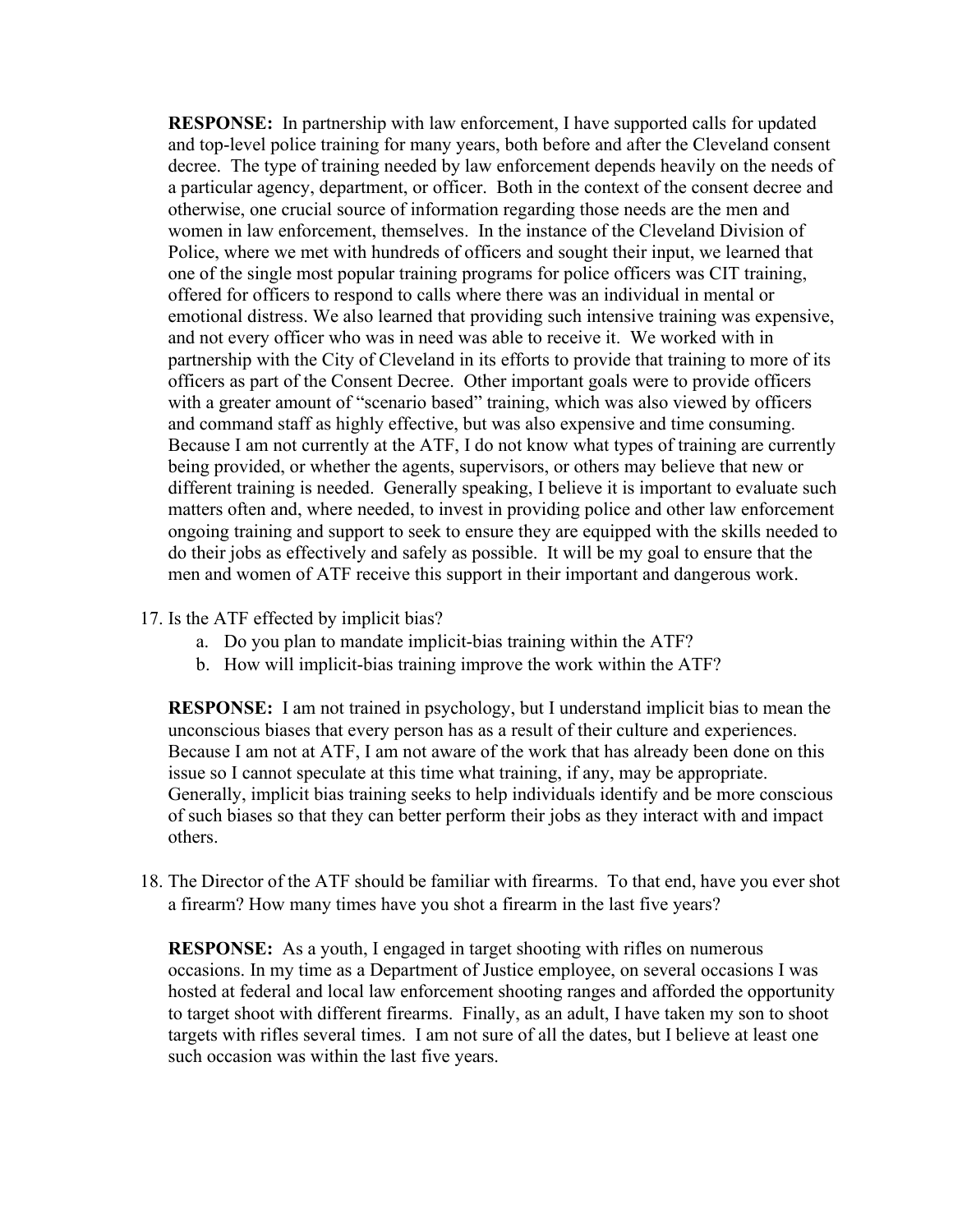**RESPONSE:** In partnership with law enforcement, I have supported calls for updated and top-level police training for many years, both before and after the Cleveland consent decree. The type of training needed by law enforcement depends heavily on the needs of a particular agency, department, or officer. Both in the context of the consent decree and otherwise, one crucial source of information regarding those needs are the men and women in law enforcement, themselves. In the instance of the Cleveland Division of Police, where we met with hundreds of officers and sought their input, we learned that one of the single most popular training programs for police officers was CIT training, offered for officers to respond to calls where there was an individual in mental or emotional distress. We also learned that providing such intensive training was expensive, and not every officer who was in need was able to receive it. We worked with in partnership with the City of Cleveland in its efforts to provide that training to more of its officers as part of the Consent Decree. Other important goals were to provide officers with a greater amount of "scenario based" training, which was also viewed by officers and command staff as highly effective, but was also expensive and time consuming. Because I am not currently at the ATF, I do not know what types of training are currently being provided, or whether the agents, supervisors, or others may believe that new or different training is needed. Generally speaking, I believe it is important to evaluate such matters often and, where needed, to invest in providing police and other law enforcement ongoing training and support to seek to ensure they are equipped with the skills needed to do their jobs as effectively and safely as possible. It will be my goal to ensure that the men and women of ATF receive this support in their important and dangerous work.

- 17. Is the ATF effected by implicit bias?
	- a. Do you plan to mandate implicit-bias training within the ATF?
	- b. How will implicit-bias training improve the work within the ATF?

**RESPONSE:** I am not trained in psychology, but I understand implicit bias to mean the unconscious biases that every person has as a result of their culture and experiences. Because I am not at ATF, I am not aware of the work that has already been done on this issue so I cannot speculate at this time what training, if any, may be appropriate. Generally, implicit bias training seeks to help individuals identify and be more conscious of such biases so that they can better perform their jobs as they interact with and impact others.

18. The Director of the ATF should be familiar with firearms. To that end, have you ever shot a firearm? How many times have you shot a firearm in the last five years?

**RESPONSE:** As a youth, I engaged in target shooting with rifles on numerous occasions. In my time as a Department of Justice employee, on several occasions I was hosted at federal and local law enforcement shooting ranges and afforded the opportunity to target shoot with different firearms. Finally, as an adult, I have taken my son to shoot targets with rifles several times. I am not sure of all the dates, but I believe at least one such occasion was within the last five years.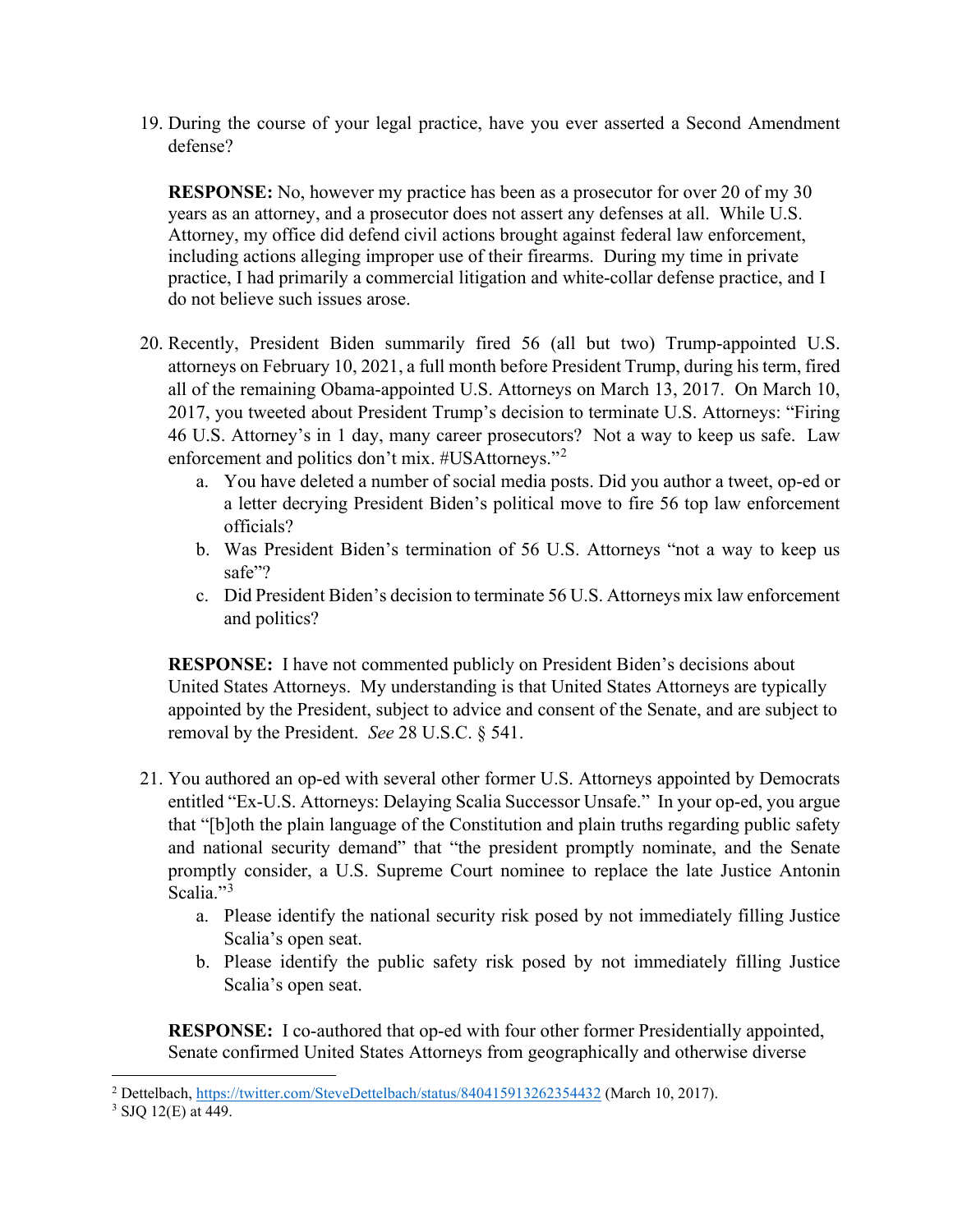19. During the course of your legal practice, have you ever asserted a Second Amendment defense?

**RESPONSE:** No, however my practice has been as a prosecutor for over 20 of my 30 years as an attorney, and a prosecutor does not assert any defenses at all. While U.S. Attorney, my office did defend civil actions brought against federal law enforcement, including actions alleging improper use of their firearms. During my time in private practice, I had primarily a commercial litigation and white-collar defense practice, and I do not believe such issues arose.

- 20. Recently, President Biden summarily fired 56 (all but two) Trump-appointed U.S. attorneys on February 10, 2021, a full month before President Trump, during his term, fired all of the remaining Obama-appointed U.S. Attorneys on March 13, 2017. On March 10, 2017, you tweeted about President Trump's decision to terminate U.S. Attorneys: "Firing 46 U.S. Attorney's in 1 day, many career prosecutors? Not a way to keep us safe. Law enforcement and politics don't mix. #USAttorneys."<sup>2</sup>
	- a. You have deleted a number of social media posts. Did you author a tweet, op-ed or a letter decrying President Biden's political move to fire 56 top law enforcement officials?
	- b. Was President Biden's termination of 56 U.S. Attorneys "not a way to keep us safe"?
	- c. Did President Biden's decision to terminate 56 U.S. Attorneys mix law enforcement and politics?

**RESPONSE:** I have not commented publicly on President Biden's decisions about United States Attorneys. My understanding is that United States Attorneys are typically appointed by the President, subject to advice and consent of the Senate, and are subject to removal by the President. *See* 28 U.S.C. § 541.

- 21. You authored an op-ed with several other former U.S. Attorneys appointed by Democrats entitled "Ex-U.S. Attorneys: Delaying Scalia Successor Unsafe." In your op-ed, you argue that "[b]oth the plain language of the Constitution and plain truths regarding public safety and national security demand" that "the president promptly nominate, and the Senate promptly consider, a U.S. Supreme Court nominee to replace the late Justice Antonin Scalia."<sup>3</sup>
	- a. Please identify the national security risk posed by not immediately filling Justice Scalia's open seat.
	- b. Please identify the public safety risk posed by not immediately filling Justice Scalia's open seat.

**RESPONSE:** I co-authored that op-ed with four other former Presidentially appointed, Senate confirmed United States Attorneys from geographically and otherwise diverse

<sup>&</sup>lt;sup>2</sup> Dettelbach, https://twitter.com/SteveDettelbach/status/840415913262354432 (March 10, 2017).<br><sup>3</sup> SJQ 12(E) at 449.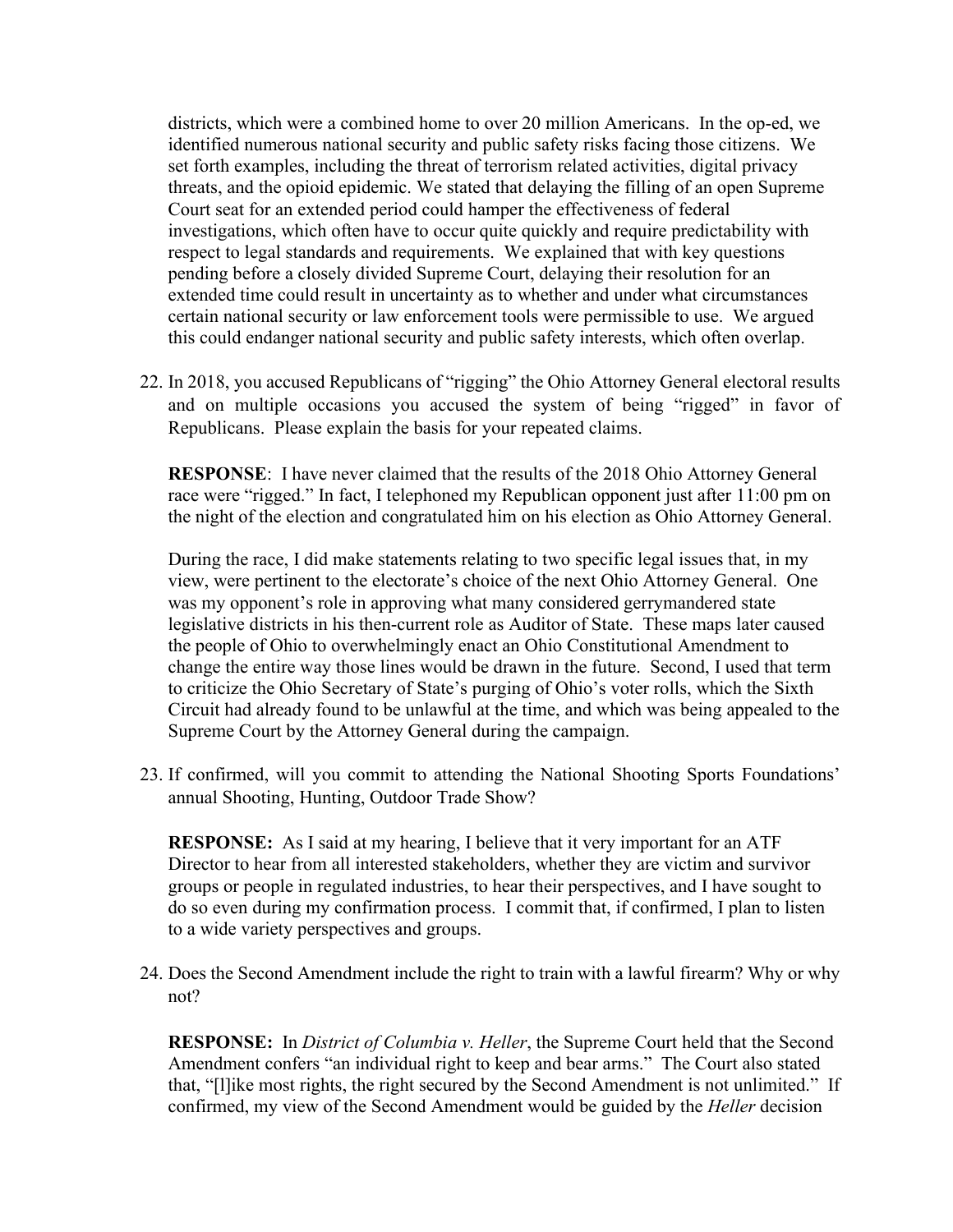districts, which were a combined home to over 20 million Americans. In the op-ed, we identified numerous national security and public safety risks facing those citizens. We set forth examples, including the threat of terrorism related activities, digital privacy threats, and the opioid epidemic. We stated that delaying the filling of an open Supreme Court seat for an extended period could hamper the effectiveness of federal investigations, which often have to occur quite quickly and require predictability with respect to legal standards and requirements. We explained that with key questions pending before a closely divided Supreme Court, delaying their resolution for an extended time could result in uncertainty as to whether and under what circumstances certain national security or law enforcement tools were permissible to use. We argued this could endanger national security and public safety interests, which often overlap.

22. In 2018, you accused Republicans of "rigging" the Ohio Attorney General electoral results and on multiple occasions you accused the system of being "rigged" in favor of Republicans. Please explain the basis for your repeated claims.

**RESPONSE**: I have never claimed that the results of the 2018 Ohio Attorney General race were "rigged." In fact, I telephoned my Republican opponent just after 11:00 pm on the night of the election and congratulated him on his election as Ohio Attorney General.

During the race, I did make statements relating to two specific legal issues that, in my view, were pertinent to the electorate's choice of the next Ohio Attorney General. One was my opponent's role in approving what many considered gerrymandered state legislative districts in his then-current role as Auditor of State. These maps later caused the people of Ohio to overwhelmingly enact an Ohio Constitutional Amendment to change the entire way those lines would be drawn in the future. Second, I used that term to criticize the Ohio Secretary of State's purging of Ohio's voter rolls, which the Sixth Circuit had already found to be unlawful at the time, and which was being appealed to the Supreme Court by the Attorney General during the campaign.

23. If confirmed, will you commit to attending the National Shooting Sports Foundations' annual Shooting, Hunting, Outdoor Trade Show?

**RESPONSE:** As I said at my hearing, I believe that it very important for an ATF Director to hear from all interested stakeholders, whether they are victim and survivor groups or people in regulated industries, to hear their perspectives, and I have sought to do so even during my confirmation process. I commit that, if confirmed, I plan to listen to a wide variety perspectives and groups.

24. Does the Second Amendment include the right to train with a lawful firearm? Why or why not?

**RESPONSE:** In *District of Columbia v. Heller*, the Supreme Court held that the Second Amendment confers "an individual right to keep and bear arms." The Court also stated that, "[l]ike most rights, the right secured by the Second Amendment is not unlimited." If confirmed, my view of the Second Amendment would be guided by the *Heller* decision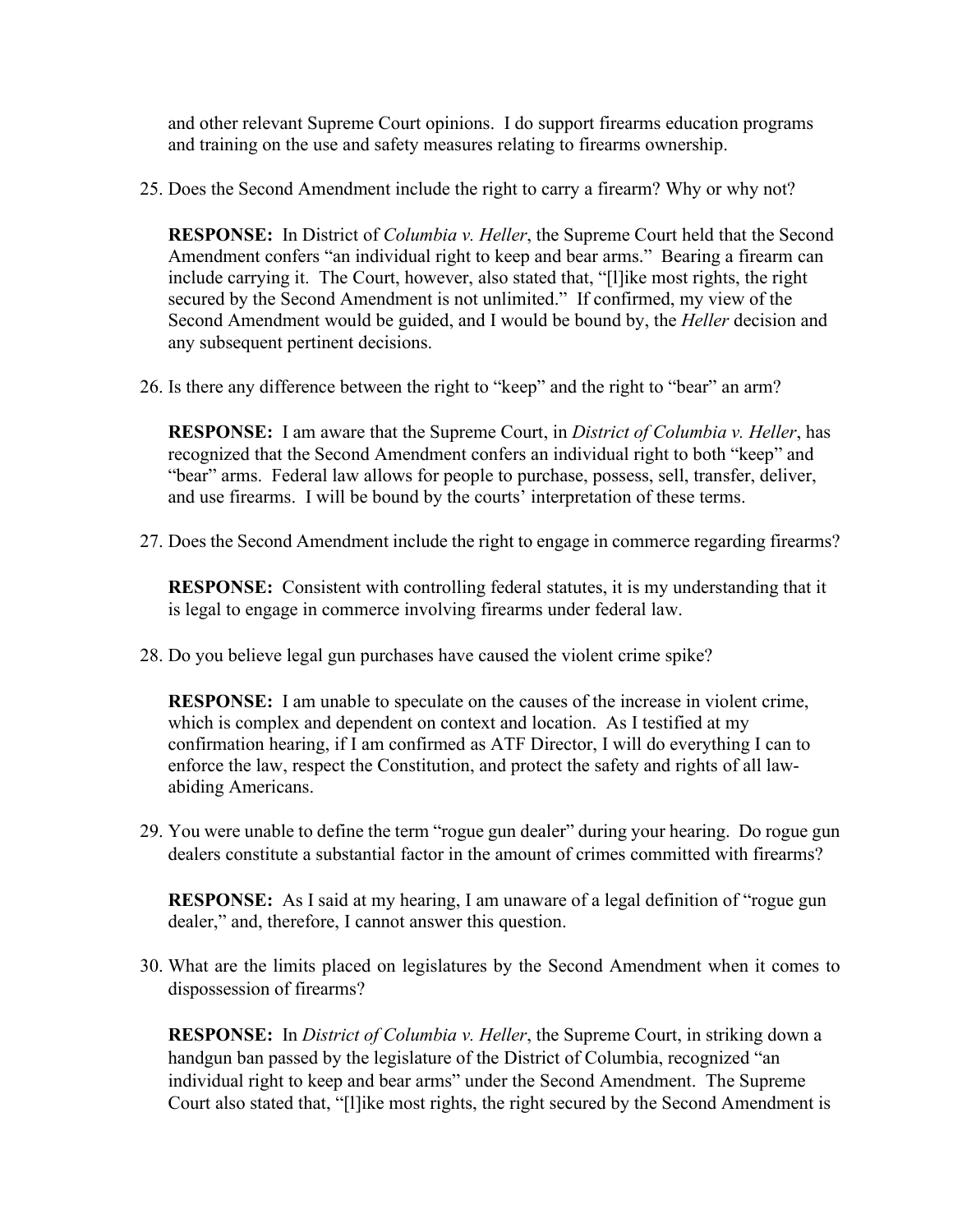and other relevant Supreme Court opinions. I do support firearms education programs and training on the use and safety measures relating to firearms ownership.

25. Does the Second Amendment include the right to carry a firearm? Why or why not?

**RESPONSE:** In District of *Columbia v. Heller*, the Supreme Court held that the Second Amendment confers "an individual right to keep and bear arms." Bearing a firearm can include carrying it. The Court, however, also stated that, "[l]ike most rights, the right secured by the Second Amendment is not unlimited." If confirmed, my view of the Second Amendment would be guided, and I would be bound by, the *Heller* decision and any subsequent pertinent decisions.

26. Is there any difference between the right to "keep" and the right to "bear" an arm?

**RESPONSE:** I am aware that the Supreme Court, in *District of Columbia v. Heller*, has recognized that the Second Amendment confers an individual right to both "keep" and "bear" arms. Federal law allows for people to purchase, possess, sell, transfer, deliver, and use firearms. I will be bound by the courts' interpretation of these terms.

27. Does the Second Amendment include the right to engage in commerce regarding firearms?

**RESPONSE:** Consistent with controlling federal statutes, it is my understanding that it is legal to engage in commerce involving firearms under federal law.

28. Do you believe legal gun purchases have caused the violent crime spike?

**RESPONSE:** I am unable to speculate on the causes of the increase in violent crime, which is complex and dependent on context and location. As I testified at my confirmation hearing, if I am confirmed as ATF Director, I will do everything I can to enforce the law, respect the Constitution, and protect the safety and rights of all lawabiding Americans.

29. You were unable to define the term "rogue gun dealer" during your hearing. Do rogue gun dealers constitute a substantial factor in the amount of crimes committed with firearms?

**RESPONSE:** As I said at my hearing, I am unaware of a legal definition of "rogue gun dealer," and, therefore, I cannot answer this question.

30. What are the limits placed on legislatures by the Second Amendment when it comes to dispossession of firearms?

**RESPONSE:** In *District of Columbia v. Heller*, the Supreme Court, in striking down a handgun ban passed by the legislature of the District of Columbia, recognized "an individual right to keep and bear arms" under the Second Amendment. The Supreme Court also stated that, "[l]ike most rights, the right secured by the Second Amendment is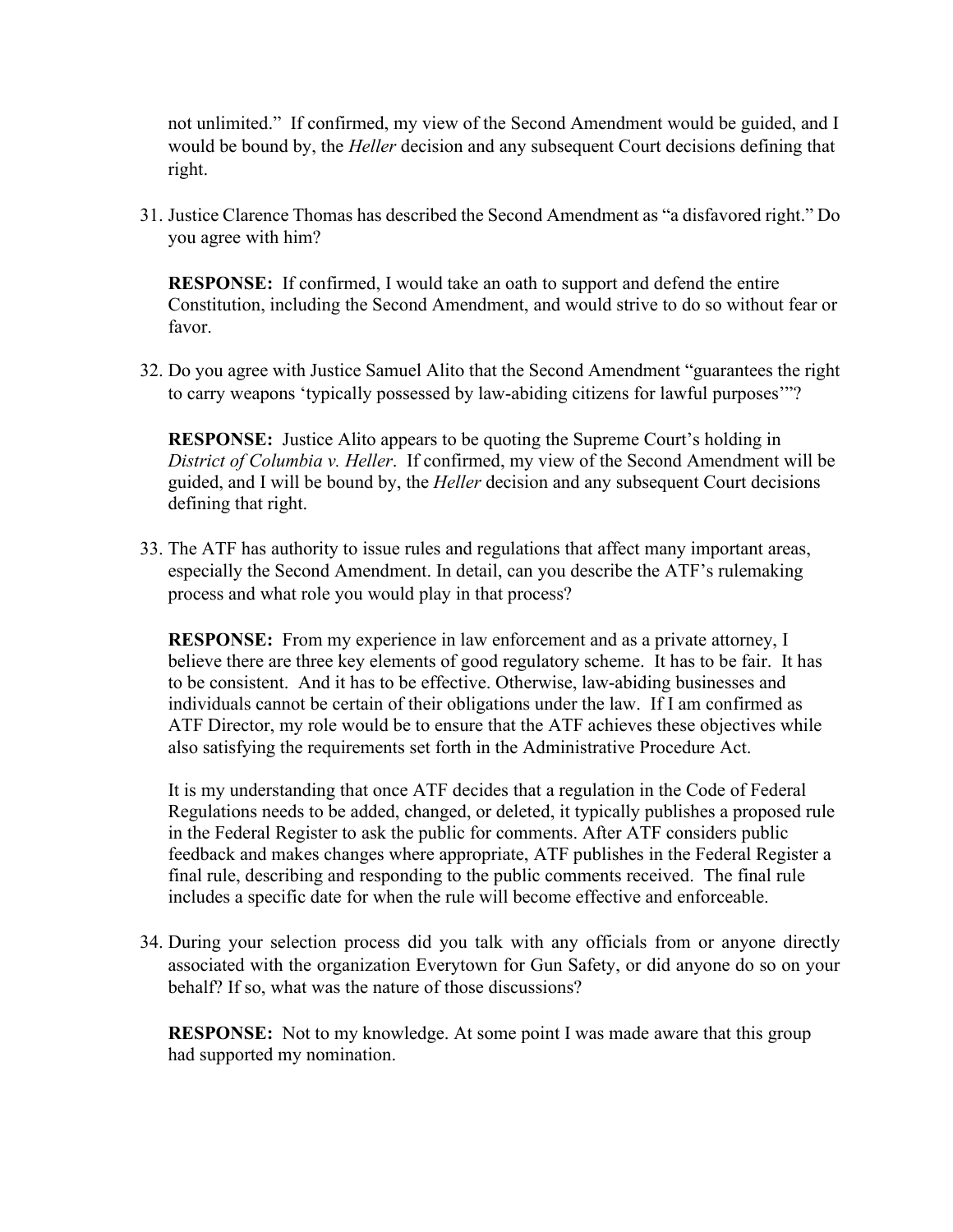not unlimited." If confirmed, my view of the Second Amendment would be guided, and I would be bound by, the *Heller* decision and any subsequent Court decisions defining that right.

31. Justice Clarence Thomas has described the Second Amendment as "a disfavored right." Do you agree with him?

**RESPONSE:** If confirmed, I would take an oath to support and defend the entire Constitution, including the Second Amendment, and would strive to do so without fear or favor.

32. Do you agree with Justice Samuel Alito that the Second Amendment "guarantees the right to carry weapons 'typically possessed by law-abiding citizens for lawful purposes'"?

**RESPONSE:** Justice Alito appears to be quoting the Supreme Court's holding in *District of Columbia v. Heller*. If confirmed, my view of the Second Amendment will be guided, and I will be bound by, the *Heller* decision and any subsequent Court decisions defining that right.

33. The ATF has authority to issue rules and regulations that affect many important areas, especially the Second Amendment. In detail, can you describe the ATF's rulemaking process and what role you would play in that process?

**RESPONSE:** From my experience in law enforcement and as a private attorney, I believe there are three key elements of good regulatory scheme. It has to be fair. It has to be consistent. And it has to be effective. Otherwise, law-abiding businesses and individuals cannot be certain of their obligations under the law. If I am confirmed as ATF Director, my role would be to ensure that the ATF achieves these objectives while also satisfying the requirements set forth in the Administrative Procedure Act.

It is my understanding that once ATF decides that a regulation in the Code of Federal Regulations needs to be added, changed, or deleted, it typically publishes a proposed rule in the Federal Register to ask the public for comments. After ATF considers public feedback and makes changes where appropriate, ATF publishes in the Federal Register a final rule, describing and responding to the public comments received. The final rule includes a specific date for when the rule will become effective and enforceable.

34. During your selection process did you talk with any officials from or anyone directly associated with the organization Everytown for Gun Safety, or did anyone do so on your behalf? If so, what was the nature of those discussions?

**RESPONSE:** Not to my knowledge. At some point I was made aware that this group had supported my nomination.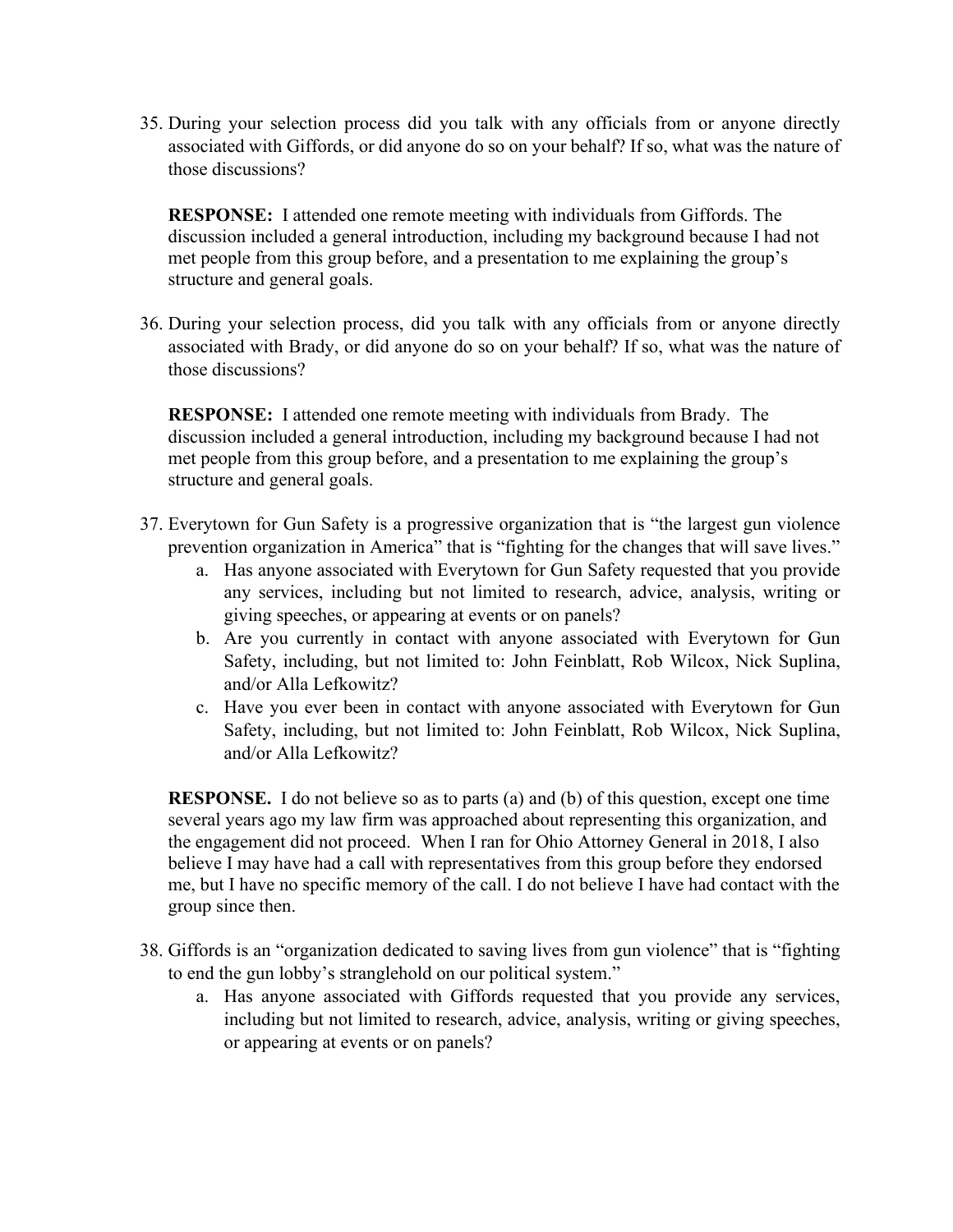35. During your selection process did you talk with any officials from or anyone directly associated with Giffords, or did anyone do so on your behalf? If so, what was the nature of those discussions?

**RESPONSE:** I attended one remote meeting with individuals from Giffords. The discussion included a general introduction, including my background because I had not met people from this group before, and a presentation to me explaining the group's structure and general goals.

36. During your selection process, did you talk with any officials from or anyone directly associated with Brady, or did anyone do so on your behalf? If so, what was the nature of those discussions?

**RESPONSE:** I attended one remote meeting with individuals from Brady. The discussion included a general introduction, including my background because I had not met people from this group before, and a presentation to me explaining the group's structure and general goals.

- 37. Everytown for Gun Safety is a progressive organization that is "the largest gun violence prevention organization in America" that is "fighting for the changes that will save lives."
	- a. Has anyone associated with Everytown for Gun Safety requested that you provide any services, including but not limited to research, advice, analysis, writing or giving speeches, or appearing at events or on panels?
	- b. Are you currently in contact with anyone associated with Everytown for Gun Safety, including, but not limited to: John Feinblatt, Rob Wilcox, Nick Suplina, and/or Alla Lefkowitz?
	- c. Have you ever been in contact with anyone associated with Everytown for Gun Safety, including, but not limited to: John Feinblatt, Rob Wilcox, Nick Suplina, and/or Alla Lefkowitz?

**RESPONSE.** I do not believe so as to parts (a) and (b) of this question, except one time several years ago my law firm was approached about representing this organization, and the engagement did not proceed. When I ran for Ohio Attorney General in 2018, I also believe I may have had a call with representatives from this group before they endorsed me, but I have no specific memory of the call. I do not believe I have had contact with the group since then.

- 38. Giffords is an "organization dedicated to saving lives from gun violence" that is "fighting to end the gun lobby's stranglehold on our political system."
	- a. Has anyone associated with Giffords requested that you provide any services, including but not limited to research, advice, analysis, writing or giving speeches, or appearing at events or on panels?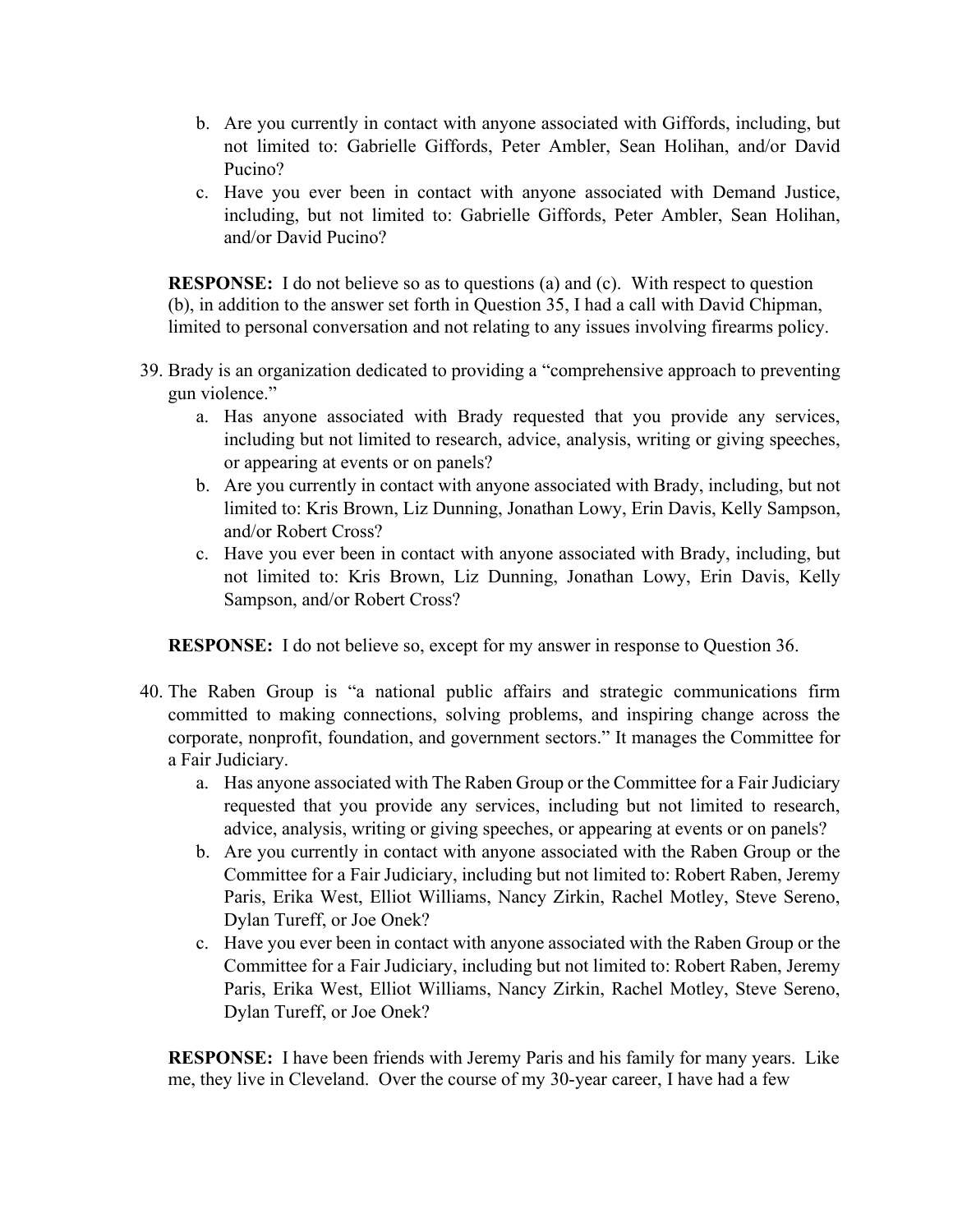- b. Are you currently in contact with anyone associated with Giffords, including, but not limited to: Gabrielle Giffords, Peter Ambler, Sean Holihan, and/or David Pucino?
- c. Have you ever been in contact with anyone associated with Demand Justice, including, but not limited to: Gabrielle Giffords, Peter Ambler, Sean Holihan, and/or David Pucino?

**RESPONSE:** I do not believe so as to questions (a) and (c). With respect to question (b), in addition to the answer set forth in Question 35, I had a call with David Chipman, limited to personal conversation and not relating to any issues involving firearms policy.

- 39. Brady is an organization dedicated to providing a "comprehensive approach to preventing gun violence."
	- a. Has anyone associated with Brady requested that you provide any services, including but not limited to research, advice, analysis, writing or giving speeches, or appearing at events or on panels?
	- b. Are you currently in contact with anyone associated with Brady, including, but not limited to: Kris Brown, Liz Dunning, Jonathan Lowy, Erin Davis, Kelly Sampson, and/or Robert Cross?
	- c. Have you ever been in contact with anyone associated with Brady, including, but not limited to: Kris Brown, Liz Dunning, Jonathan Lowy, Erin Davis, Kelly Sampson, and/or Robert Cross?

**RESPONSE:** I do not believe so, except for my answer in response to Question 36.

- 40. The Raben Group is "a national public affairs and strategic communications firm committed to making connections, solving problems, and inspiring change across the corporate, nonprofit, foundation, and government sectors." It manages the Committee for a Fair Judiciary.
	- a. Has anyone associated with The Raben Group or the Committee for a Fair Judiciary requested that you provide any services, including but not limited to research, advice, analysis, writing or giving speeches, or appearing at events or on panels?
	- b. Are you currently in contact with anyone associated with the Raben Group or the Committee for a Fair Judiciary, including but not limited to: Robert Raben, Jeremy Paris, Erika West, Elliot Williams, Nancy Zirkin, Rachel Motley, Steve Sereno, Dylan Tureff, or Joe Onek?
	- c. Have you ever been in contact with anyone associated with the Raben Group or the Committee for a Fair Judiciary, including but not limited to: Robert Raben, Jeremy Paris, Erika West, Elliot Williams, Nancy Zirkin, Rachel Motley, Steve Sereno, Dylan Tureff, or Joe Onek?

**RESPONSE:** I have been friends with Jeremy Paris and his family for many years. Like me, they live in Cleveland. Over the course of my 30-year career, I have had a few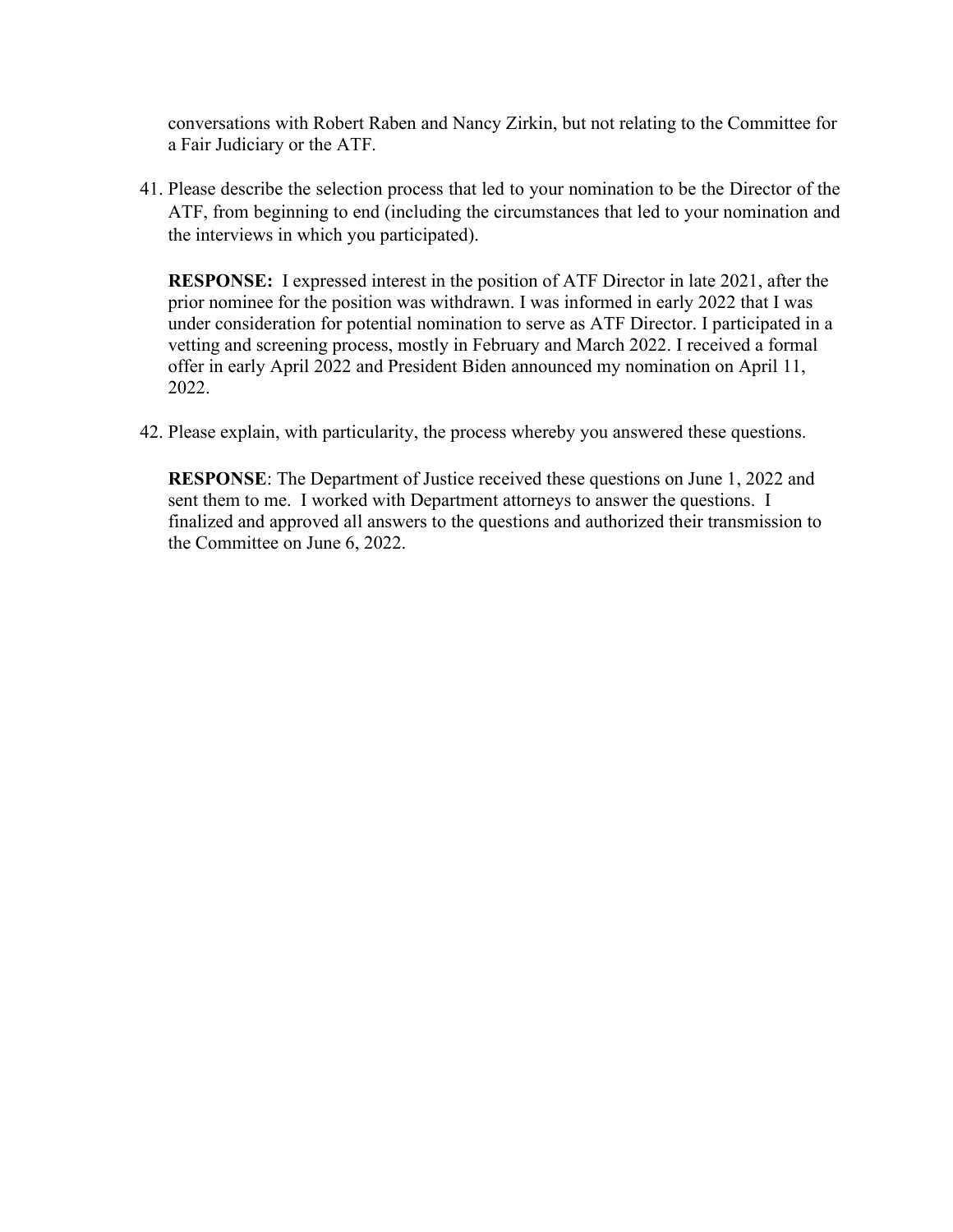conversations with Robert Raben and Nancy Zirkin, but not relating to the Committee for a Fair Judiciary or the ATF.

41. Please describe the selection process that led to your nomination to be the Director of the ATF, from beginning to end (including the circumstances that led to your nomination and the interviews in which you participated).

**RESPONSE:** I expressed interest in the position of ATF Director in late 2021, after the prior nominee for the position was withdrawn. I was informed in early 2022 that I was under consideration for potential nomination to serve as ATF Director. I participated in a vetting and screening process, mostly in February and March 2022. I received a formal offer in early April 2022 and President Biden announced my nomination on April 11, 2022.

42. Please explain, with particularity, the process whereby you answered these questions.

**RESPONSE**: The Department of Justice received these questions on June 1, 2022 and sent them to me. I worked with Department attorneys to answer the questions. I finalized and approved all answers to the questions and authorized their transmission to the Committee on June 6, 2022.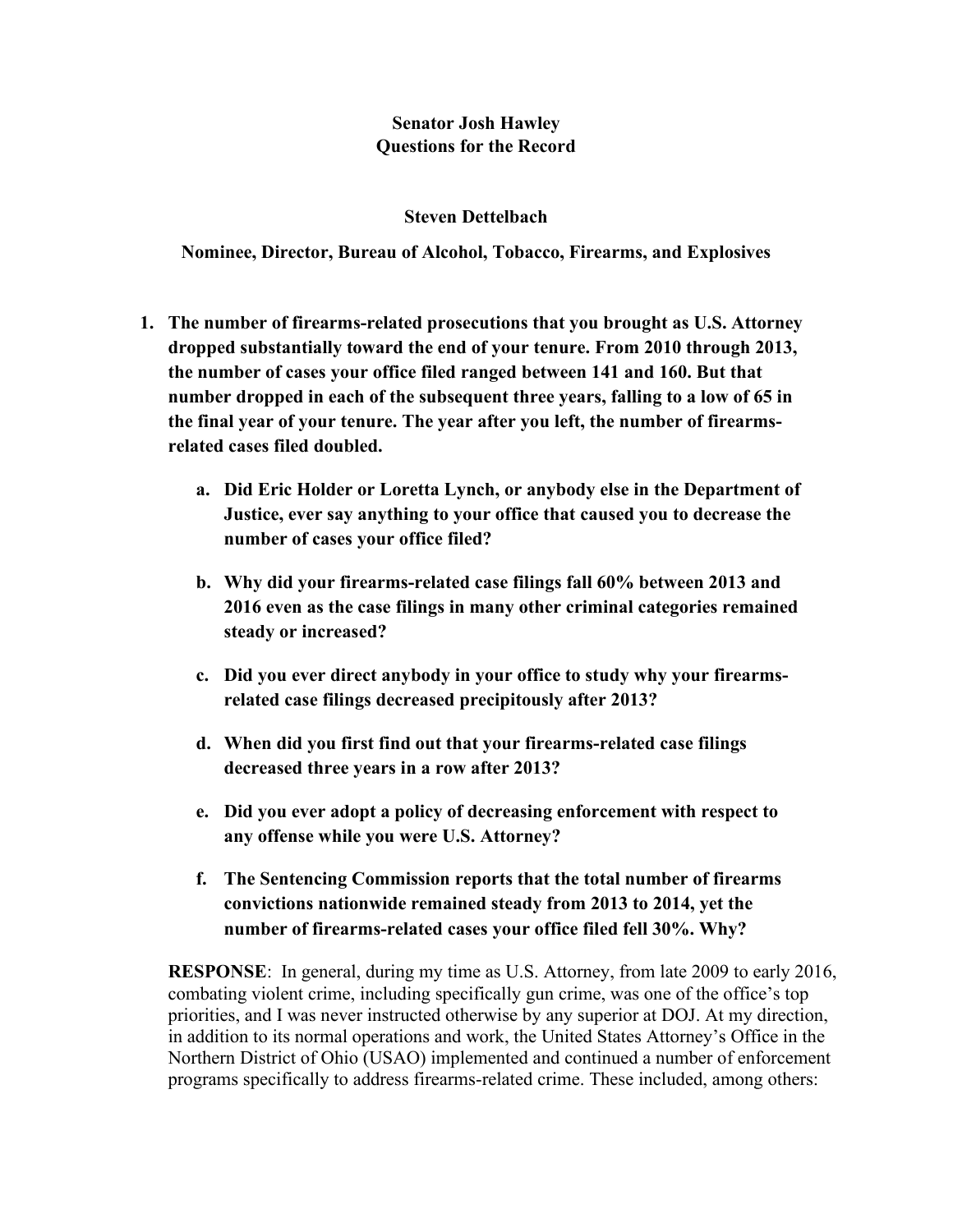# **Senator Josh Hawley Questions for the Record**

# **Steven Dettelbach**

**Nominee, Director, Bureau of Alcohol, Tobacco, Firearms, and Explosives**

- **1. The number of firearms-related prosecutions that you brought as U.S. Attorney dropped substantially toward the end of your tenure. From 2010 through 2013, the number of cases your office filed ranged between 141 and 160. But that number dropped in each of the subsequent three years, falling to a low of 65 in the final year of your tenure. The year after you left, the number of firearmsrelated cases filed doubled.** 
	- **a. Did Eric Holder or Loretta Lynch, or anybody else in the Department of Justice, ever say anything to your office that caused you to decrease the number of cases your office filed?**
	- **b. Why did your firearms-related case filings fall 60% between 2013 and 2016 even as the case filings in many other criminal categories remained steady or increased?**
	- **c. Did you ever direct anybody in your office to study why your firearmsrelated case filings decreased precipitously after 2013?**
	- **d. When did you first find out that your firearms-related case filings decreased three years in a row after 2013?**
	- **e. Did you ever adopt a policy of decreasing enforcement with respect to any offense while you were U.S. Attorney?**
	- **f. The Sentencing Commission reports that the total number of firearms convictions nationwide remained steady from 2013 to 2014, yet the number of firearms-related cases your office filed fell 30%. Why?**

**RESPONSE**: In general, during my time as U.S. Attorney, from late 2009 to early 2016, combating violent crime, including specifically gun crime, was one of the office's top priorities, and I was never instructed otherwise by any superior at DOJ. At my direction, in addition to its normal operations and work, the United States Attorney's Office in the Northern District of Ohio (USAO) implemented and continued a number of enforcement programs specifically to address firearms-related crime. These included, among others: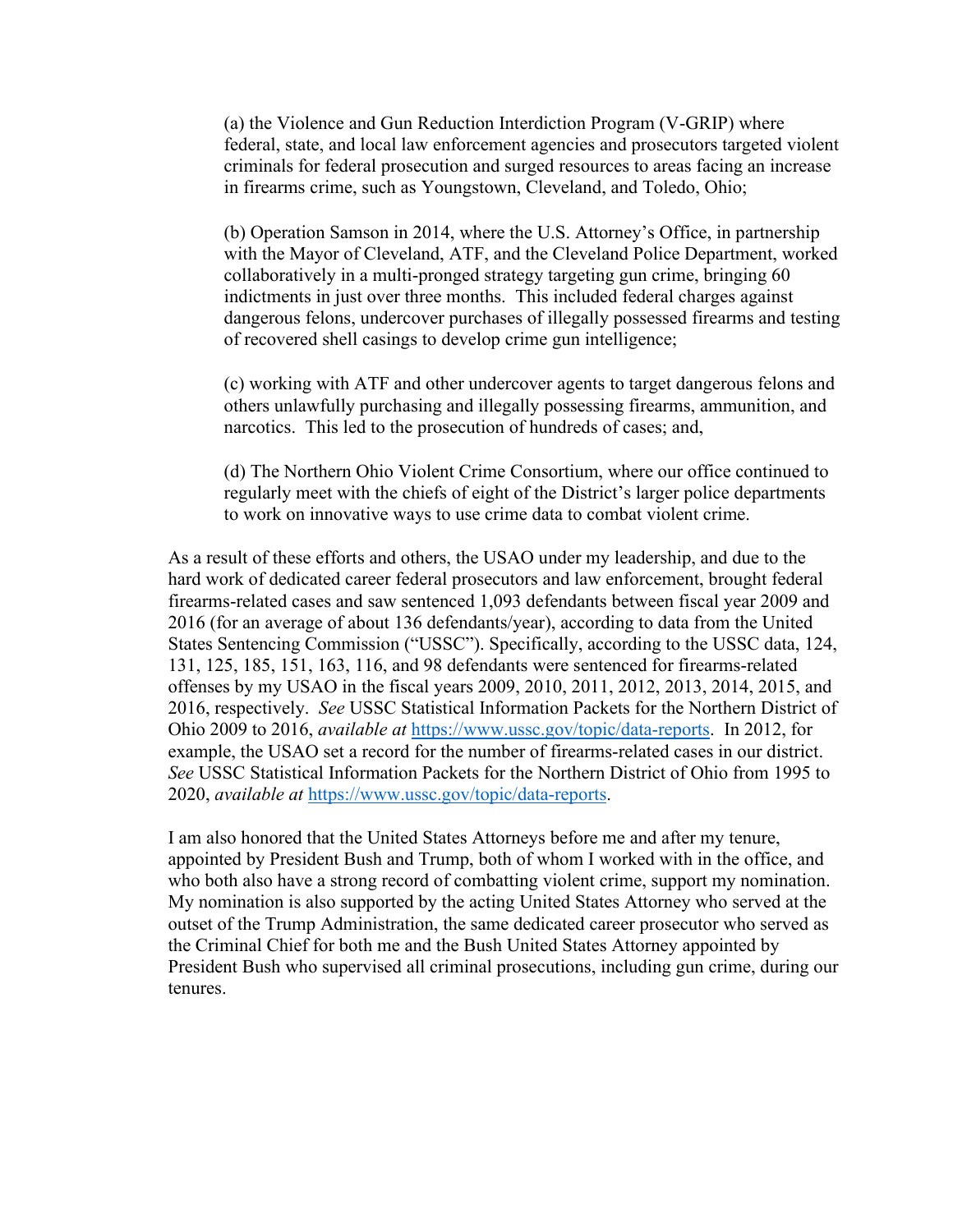(a) the Violence and Gun Reduction Interdiction Program (V-GRIP) where federal, state, and local law enforcement agencies and prosecutors targeted violent criminals for federal prosecution and surged resources to areas facing an increase in firearms crime, such as Youngstown, Cleveland, and Toledo, Ohio;

(b) Operation Samson in 2014, where the U.S. Attorney's Office, in partnership with the Mayor of Cleveland, ATF, and the Cleveland Police Department, worked collaboratively in a multi-pronged strategy targeting gun crime, bringing 60 indictments in just over three months. This included federal charges against dangerous felons, undercover purchases of illegally possessed firearms and testing of recovered shell casings to develop crime gun intelligence;

(c) working with ATF and other undercover agents to target dangerous felons and others unlawfully purchasing and illegally possessing firearms, ammunition, and narcotics. This led to the prosecution of hundreds of cases; and,

(d) The Northern Ohio Violent Crime Consortium, where our office continued to regularly meet with the chiefs of eight of the District's larger police departments to work on innovative ways to use crime data to combat violent crime.

As a result of these efforts and others, the USAO under my leadership, and due to the hard work of dedicated career federal prosecutors and law enforcement, brought federal firearms-related cases and saw sentenced 1,093 defendants between fiscal year 2009 and 2016 (for an average of about 136 defendants/year), according to data from the United States Sentencing Commission ("USSC"). Specifically, according to the USSC data, 124, 131, 125, 185, 151, 163, 116, and 98 defendants were sentenced for firearms-related offenses by my USAO in the fiscal years 2009, 2010, 2011, 2012, 2013, 2014, 2015, and 2016, respectively. *See* USSC Statistical Information Packets for the Northern District of Ohio 2009 to 2016, *available at* https://www.ussc.gov/topic/data-reports. In 2012, for example, the USAO set a record for the number of firearms-related cases in our district. *See* USSC Statistical Information Packets for the Northern District of Ohio from 1995 to 2020, *available at* https://www.ussc.gov/topic/data-reports.

I am also honored that the United States Attorneys before me and after my tenure, appointed by President Bush and Trump, both of whom I worked with in the office, and who both also have a strong record of combatting violent crime, support my nomination. My nomination is also supported by the acting United States Attorney who served at the outset of the Trump Administration, the same dedicated career prosecutor who served as the Criminal Chief for both me and the Bush United States Attorney appointed by President Bush who supervised all criminal prosecutions, including gun crime, during our tenures.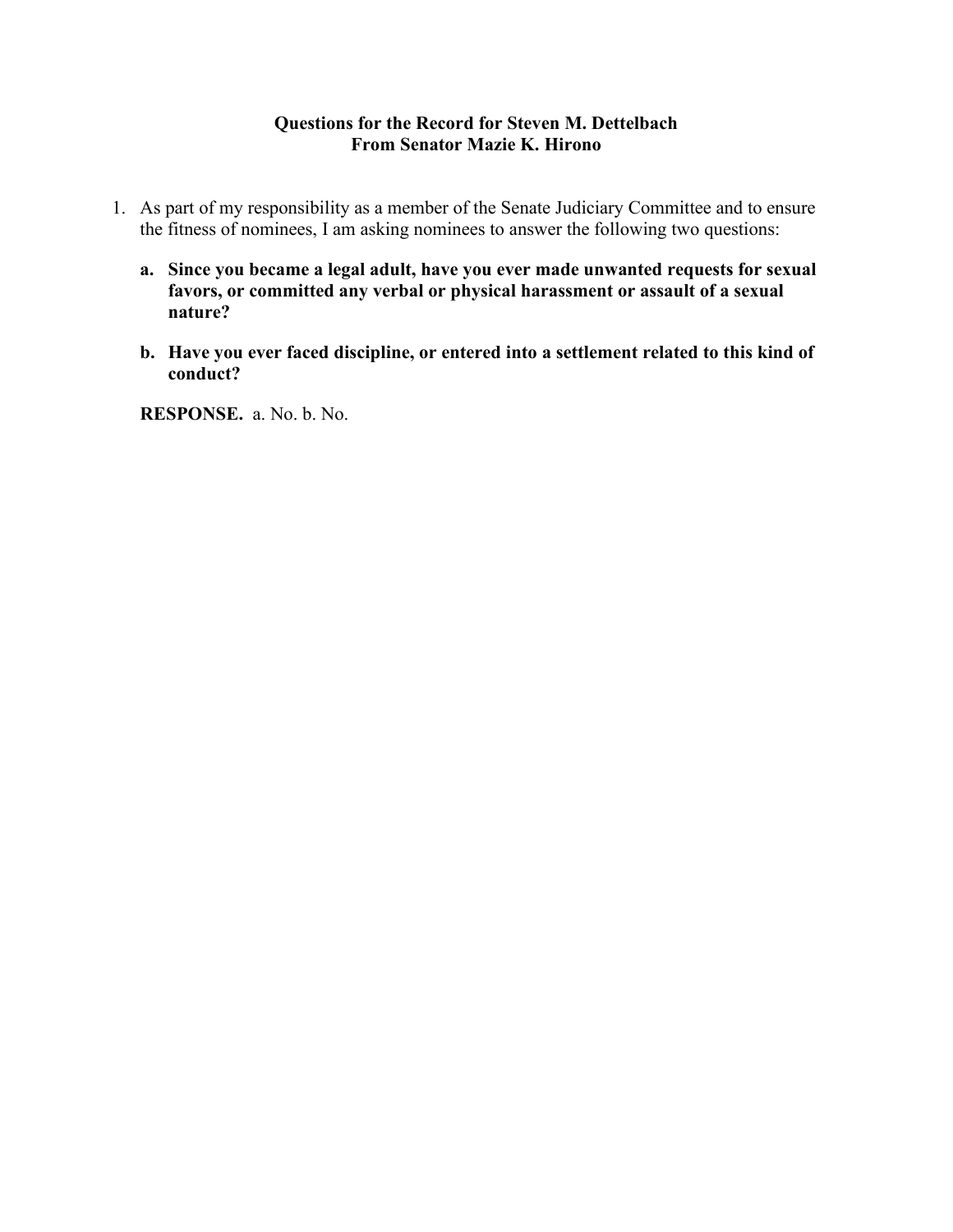### **Questions for the Record for Steven M. Dettelbach From Senator Mazie K. Hirono**

- 1. As part of my responsibility as a member of the Senate Judiciary Committee and to ensure the fitness of nominees, I am asking nominees to answer the following two questions:
	- **a. Since you became a legal adult, have you ever made unwanted requests for sexual favors, or committed any verbal or physical harassment or assault of a sexual nature?**
	- **b. Have you ever faced discipline, or entered into a settlement related to this kind of conduct?**

**RESPONSE.** a. No. b. No.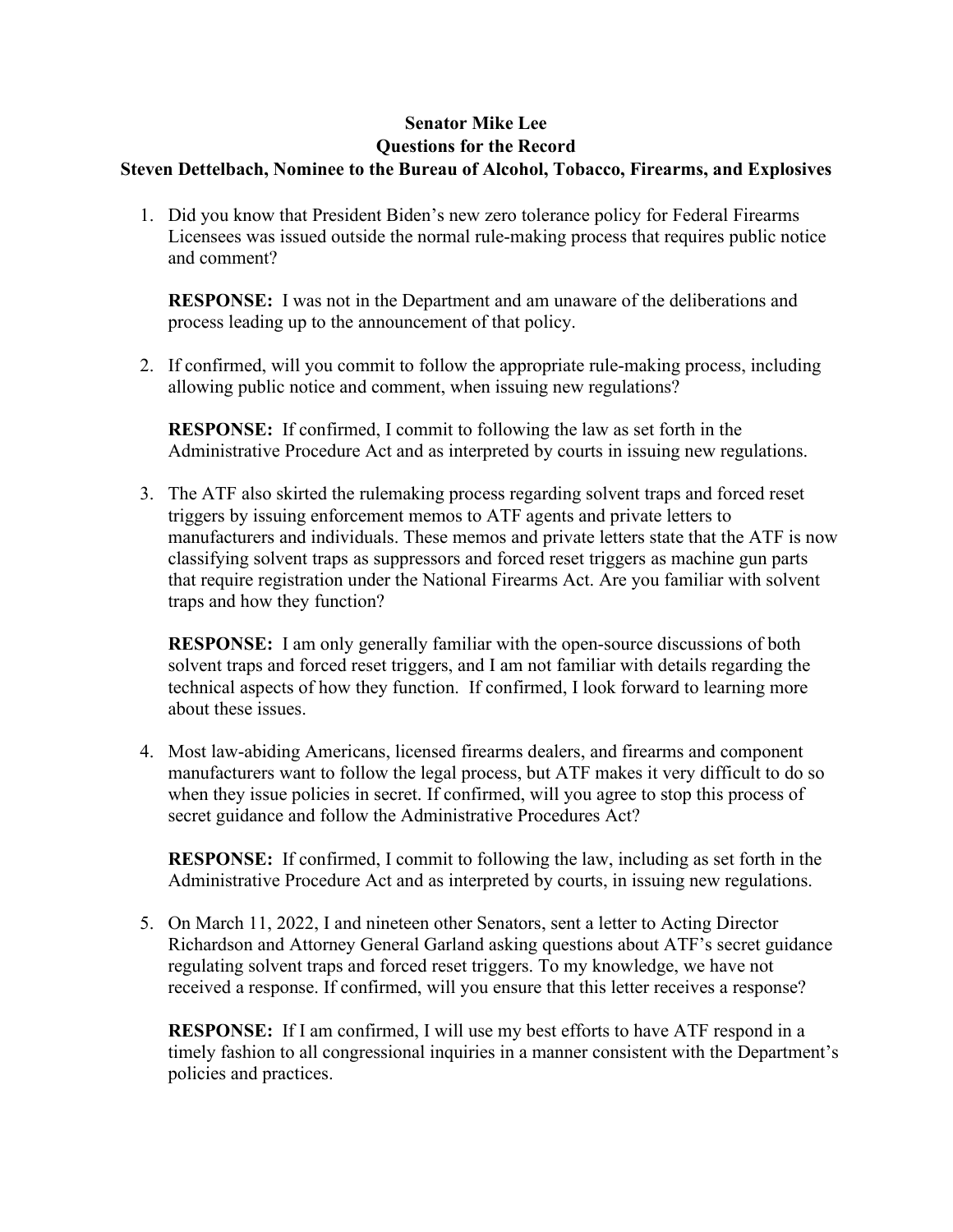### **Senator Mike Lee Questions for the Record Steven Dettelbach, Nominee to the Bureau of Alcohol, Tobacco, Firearms, and Explosives**

1. Did you know that President Biden's new zero tolerance policy for Federal Firearms Licensees was issued outside the normal rule-making process that requires public notice and comment?

**RESPONSE:** I was not in the Department and am unaware of the deliberations and process leading up to the announcement of that policy.

2. If confirmed, will you commit to follow the appropriate rule-making process, including allowing public notice and comment, when issuing new regulations?

**RESPONSE:** If confirmed, I commit to following the law as set forth in the Administrative Procedure Act and as interpreted by courts in issuing new regulations.

3. The ATF also skirted the rulemaking process regarding solvent traps and forced reset triggers by issuing enforcement memos to ATF agents and private letters to manufacturers and individuals. These memos and private letters state that the ATF is now classifying solvent traps as suppressors and forced reset triggers as machine gun parts that require registration under the National Firearms Act. Are you familiar with solvent traps and how they function?

**RESPONSE:** I am only generally familiar with the open-source discussions of both solvent traps and forced reset triggers, and I am not familiar with details regarding the technical aspects of how they function. If confirmed, I look forward to learning more about these issues.

4. Most law-abiding Americans, licensed firearms dealers, and firearms and component manufacturers want to follow the legal process, but ATF makes it very difficult to do so when they issue policies in secret. If confirmed, will you agree to stop this process of secret guidance and follow the Administrative Procedures Act?

**RESPONSE:** If confirmed, I commit to following the law, including as set forth in the Administrative Procedure Act and as interpreted by courts, in issuing new regulations.

5. On March 11, 2022, I and nineteen other Senators, sent a letter to Acting Director Richardson and Attorney General Garland asking questions about ATF's secret guidance regulating solvent traps and forced reset triggers. To my knowledge, we have not received a response. If confirmed, will you ensure that this letter receives a response?

**RESPONSE:** If I am confirmed, I will use my best efforts to have ATF respond in a timely fashion to all congressional inquiries in a manner consistent with the Department's policies and practices.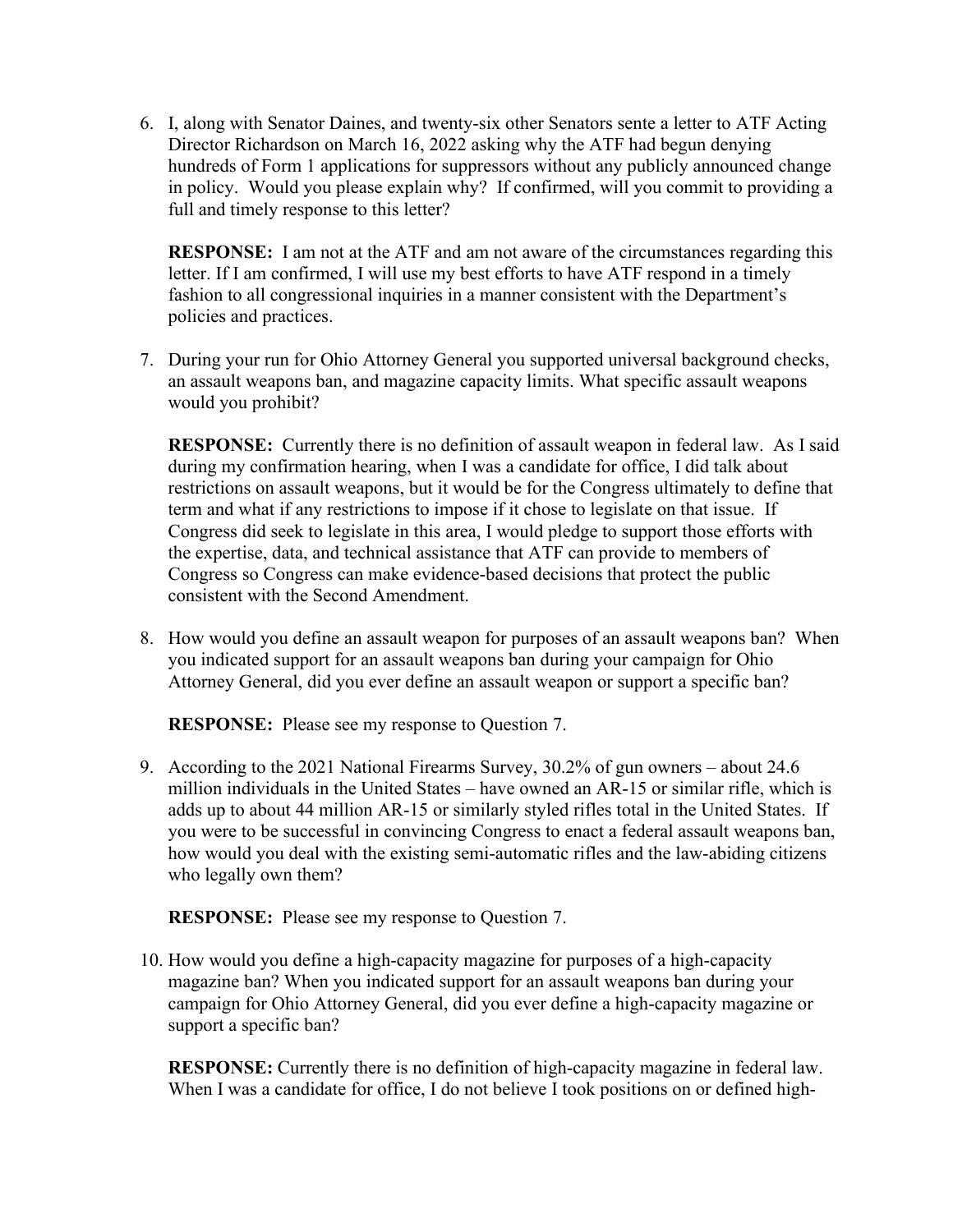6. I, along with Senator Daines, and twenty-six other Senators sente a letter to ATF Acting Director Richardson on March 16, 2022 asking why the ATF had begun denying hundreds of Form 1 applications for suppressors without any publicly announced change in policy. Would you please explain why? If confirmed, will you commit to providing a full and timely response to this letter?

**RESPONSE:** I am not at the ATF and am not aware of the circumstances regarding this letter. If I am confirmed, I will use my best efforts to have ATF respond in a timely fashion to all congressional inquiries in a manner consistent with the Department's policies and practices.

7. During your run for Ohio Attorney General you supported universal background checks, an assault weapons ban, and magazine capacity limits. What specific assault weapons would you prohibit?

**RESPONSE:** Currently there is no definition of assault weapon in federal law. As I said during my confirmation hearing, when I was a candidate for office, I did talk about restrictions on assault weapons, but it would be for the Congress ultimately to define that term and what if any restrictions to impose if it chose to legislate on that issue. If Congress did seek to legislate in this area, I would pledge to support those efforts with the expertise, data, and technical assistance that ATF can provide to members of Congress so Congress can make evidence-based decisions that protect the public consistent with the Second Amendment.

8. How would you define an assault weapon for purposes of an assault weapons ban? When you indicated support for an assault weapons ban during your campaign for Ohio Attorney General, did you ever define an assault weapon or support a specific ban?

**RESPONSE:** Please see my response to Question 7.

9. According to the 2021 National Firearms Survey, 30.2% of gun owners – about 24.6 million individuals in the United States – have owned an AR-15 or similar rifle, which is adds up to about 44 million AR-15 or similarly styled rifles total in the United States. If you were to be successful in convincing Congress to enact a federal assault weapons ban, how would you deal with the existing semi-automatic rifles and the law-abiding citizens who legally own them?

**RESPONSE:** Please see my response to Question 7.

10. How would you define a high-capacity magazine for purposes of a high-capacity magazine ban? When you indicated support for an assault weapons ban during your campaign for Ohio Attorney General, did you ever define a high-capacity magazine or support a specific ban?

**RESPONSE:** Currently there is no definition of high-capacity magazine in federal law. When I was a candidate for office, I do not believe I took positions on or defined high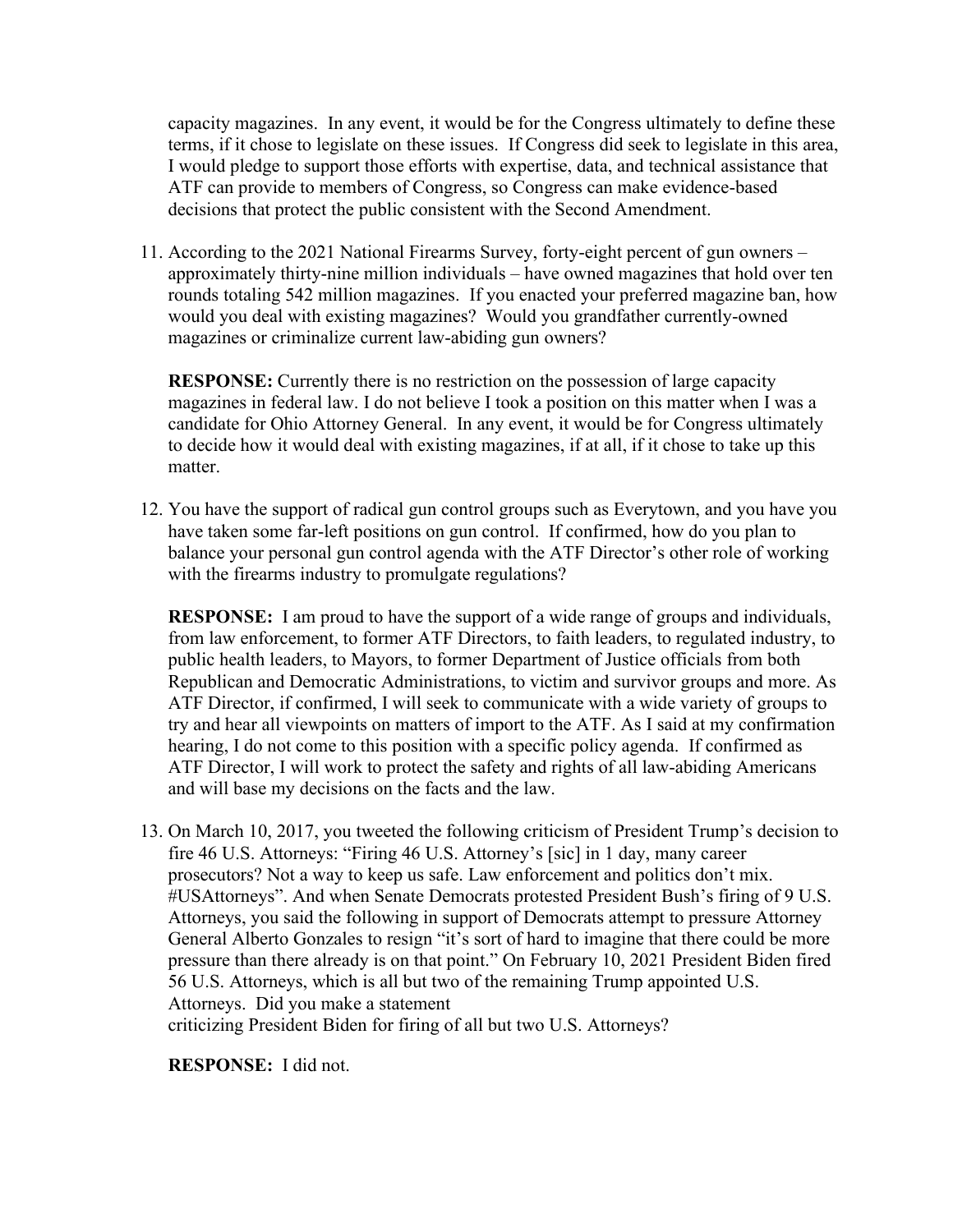capacity magazines. In any event, it would be for the Congress ultimately to define these terms, if it chose to legislate on these issues. If Congress did seek to legislate in this area, I would pledge to support those efforts with expertise, data, and technical assistance that ATF can provide to members of Congress, so Congress can make evidence-based decisions that protect the public consistent with the Second Amendment.

11. According to the 2021 National Firearms Survey, forty-eight percent of gun owners – approximately thirty-nine million individuals – have owned magazines that hold over ten rounds totaling 542 million magazines. If you enacted your preferred magazine ban, how would you deal with existing magazines? Would you grandfather currently-owned magazines or criminalize current law-abiding gun owners?

**RESPONSE:** Currently there is no restriction on the possession of large capacity magazines in federal law. I do not believe I took a position on this matter when I was a candidate for Ohio Attorney General. In any event, it would be for Congress ultimately to decide how it would deal with existing magazines, if at all, if it chose to take up this matter.

12. You have the support of radical gun control groups such as Everytown, and you have you have taken some far-left positions on gun control. If confirmed, how do you plan to balance your personal gun control agenda with the ATF Director's other role of working with the firearms industry to promulgate regulations?

**RESPONSE:** I am proud to have the support of a wide range of groups and individuals, from law enforcement, to former ATF Directors, to faith leaders, to regulated industry, to public health leaders, to Mayors, to former Department of Justice officials from both Republican and Democratic Administrations, to victim and survivor groups and more. As ATF Director, if confirmed, I will seek to communicate with a wide variety of groups to try and hear all viewpoints on matters of import to the ATF. As I said at my confirmation hearing, I do not come to this position with a specific policy agenda. If confirmed as ATF Director, I will work to protect the safety and rights of all law-abiding Americans and will base my decisions on the facts and the law.

13. On March 10, 2017, you tweeted the following criticism of President Trump's decision to fire 46 U.S. Attorneys: "Firing 46 U.S. Attorney's [sic] in 1 day, many career prosecutors? Not a way to keep us safe. Law enforcement and politics don't mix. #USAttorneys". And when Senate Democrats protested President Bush's firing of 9 U.S. Attorneys, you said the following in support of Democrats attempt to pressure Attorney General Alberto Gonzales to resign "it's sort of hard to imagine that there could be more pressure than there already is on that point." On February 10, 2021 President Biden fired 56 U.S. Attorneys, which is all but two of the remaining Trump appointed U.S. Attorneys. Did you make a statement criticizing President Biden for firing of all but two U.S. Attorneys?

**RESPONSE:** I did not.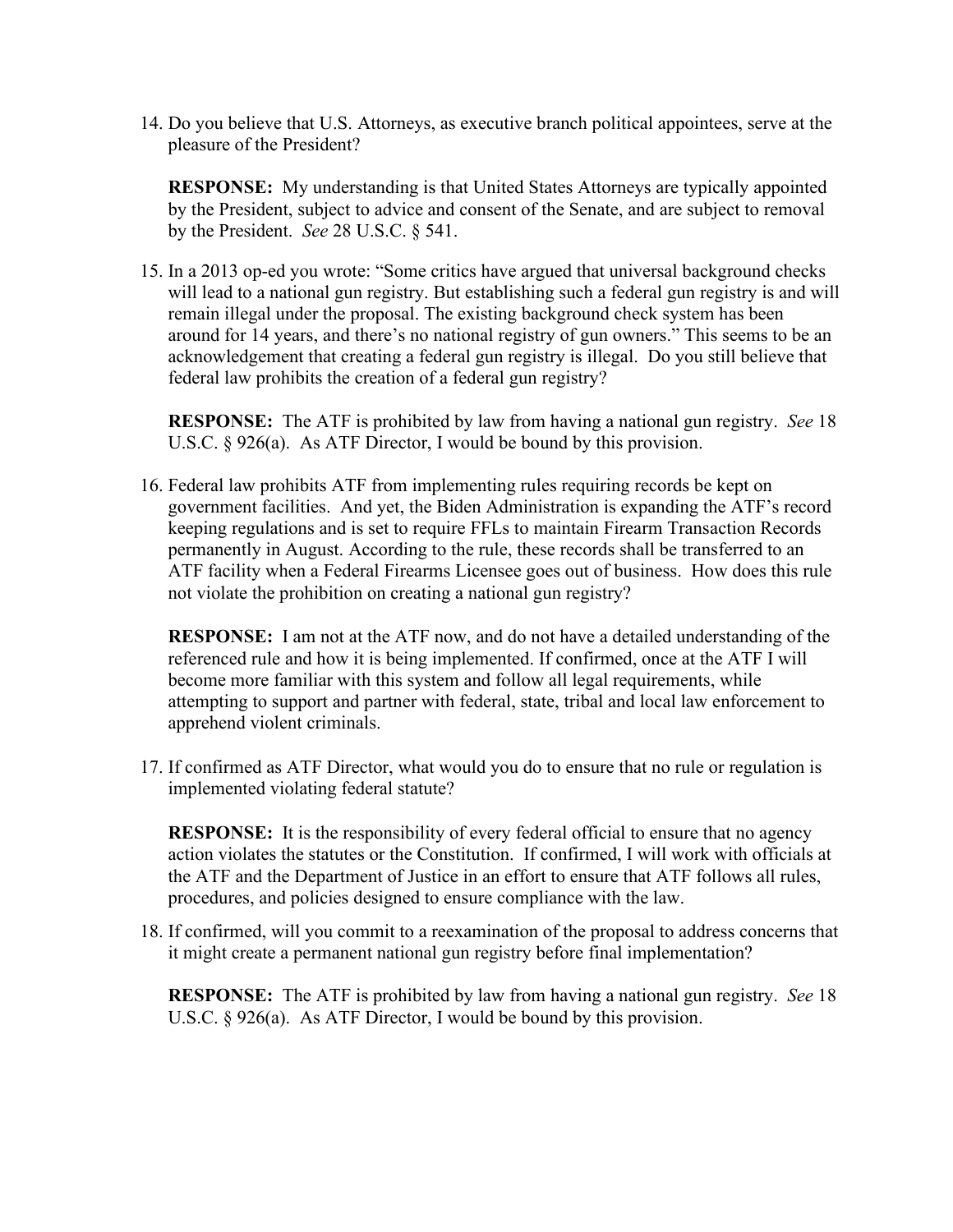14. Do you believe that U.S. Attorneys, as executive branch political appointees, serve at the pleasure of the President?

**RESPONSE:** My understanding is that United States Attorneys are typically appointed by the President, subject to advice and consent of the Senate, and are subject to removal by the President. *See* 28 U.S.C. § 541.

15. In a 2013 op-ed you wrote: "Some critics have argued that universal background checks will lead to a national gun registry. But establishing such a federal gun registry is and will remain illegal under the proposal. The existing background check system has been around for 14 years, and there's no national registry of gun owners." This seems to be an acknowledgement that creating a federal gun registry is illegal. Do you still believe that federal law prohibits the creation of a federal gun registry?

**RESPONSE:** The ATF is prohibited by law from having a national gun registry. *See* 18 U.S.C. § 926(a). As ATF Director, I would be bound by this provision.

16. Federal law prohibits ATF from implementing rules requiring records be kept on government facilities. And yet, the Biden Administration is expanding the ATF's record keeping regulations and is set to require FFLs to maintain Firearm Transaction Records permanently in August. According to the rule, these records shall be transferred to an ATF facility when a Federal Firearms Licensee goes out of business. How does this rule not violate the prohibition on creating a national gun registry?

**RESPONSE:** I am not at the ATF now, and do not have a detailed understanding of the referenced rule and how it is being implemented. If confirmed, once at the ATF I will become more familiar with this system and follow all legal requirements, while attempting to support and partner with federal, state, tribal and local law enforcement to apprehend violent criminals.

17. If confirmed as ATF Director, what would you do to ensure that no rule or regulation is implemented violating federal statute?

**RESPONSE:** It is the responsibility of every federal official to ensure that no agency action violates the statutes or the Constitution. If confirmed, I will work with officials at the ATF and the Department of Justice in an effort to ensure that ATF follows all rules, procedures, and policies designed to ensure compliance with the law.

18. If confirmed, will you commit to a reexamination of the proposal to address concerns that it might create a permanent national gun registry before final implementation?

**RESPONSE:** The ATF is prohibited by law from having a national gun registry. *See* 18 U.S.C. § 926(a). As ATF Director, I would be bound by this provision.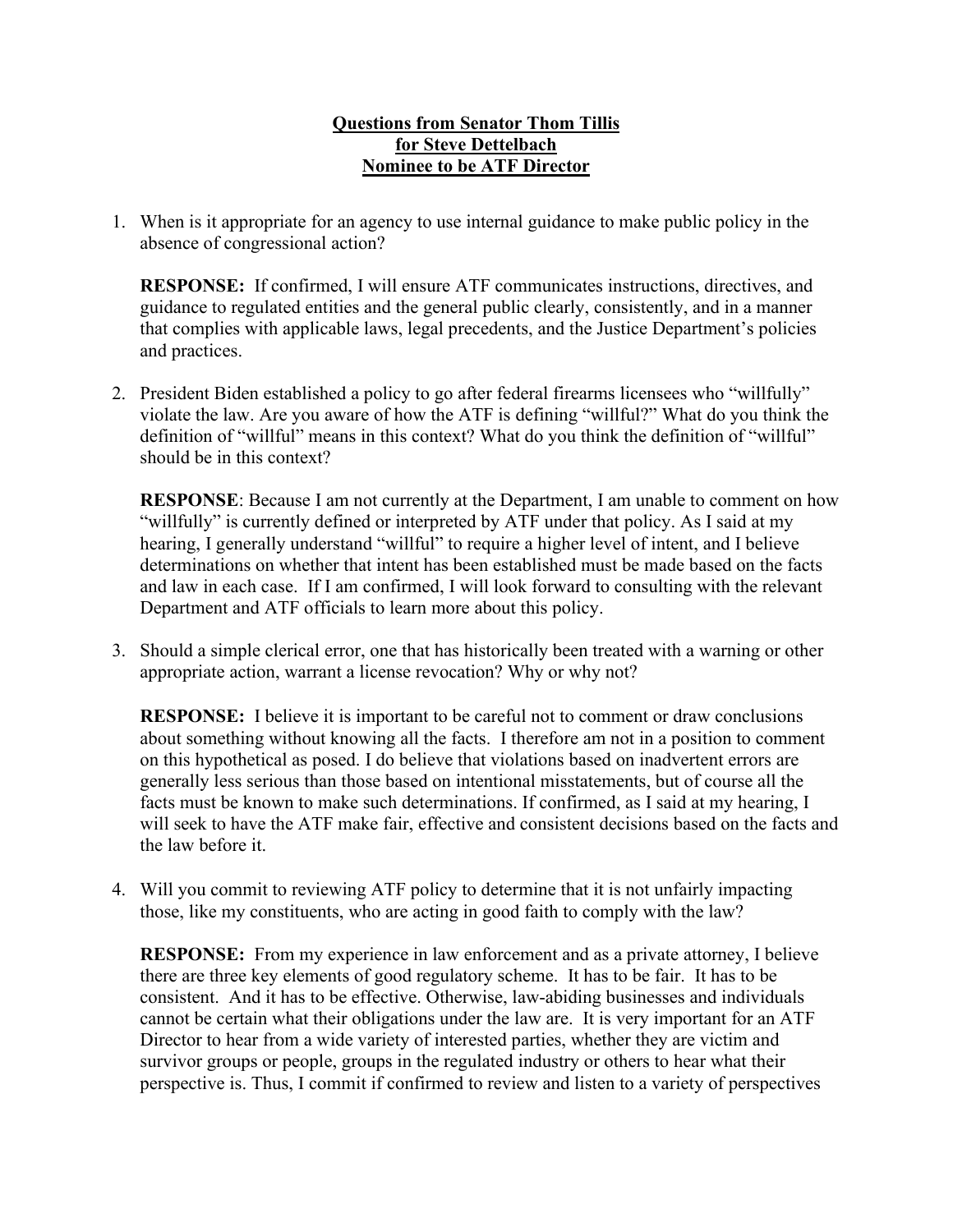# **Questions from Senator Thom Tillis for Steve Dettelbach Nominee to be ATF Director**

1. When is it appropriate for an agency to use internal guidance to make public policy in the absence of congressional action?

**RESPONSE:** If confirmed, I will ensure ATF communicates instructions, directives, and guidance to regulated entities and the general public clearly, consistently, and in a manner that complies with applicable laws, legal precedents, and the Justice Department's policies and practices.

2. President Biden established a policy to go after federal firearms licensees who "willfully" violate the law. Are you aware of how the ATF is defining "willful?" What do you think the definition of "willful" means in this context? What do you think the definition of "willful" should be in this context?

**RESPONSE:** Because I am not currently at the Department, I am unable to comment on how "willfully" is currently defined or interpreted by ATF under that policy. As I said at my hearing, I generally understand "willful" to require a higher level of intent, and I believe determinations on whether that intent has been established must be made based on the facts and law in each case. If I am confirmed, I will look forward to consulting with the relevant Department and ATF officials to learn more about this policy.

3. Should a simple clerical error, one that has historically been treated with a warning or other appropriate action, warrant a license revocation? Why or why not?

**RESPONSE:** I believe it is important to be careful not to comment or draw conclusions about something without knowing all the facts. I therefore am not in a position to comment on this hypothetical as posed. I do believe that violations based on inadvertent errors are generally less serious than those based on intentional misstatements, but of course all the facts must be known to make such determinations. If confirmed, as I said at my hearing, I will seek to have the ATF make fair, effective and consistent decisions based on the facts and the law before it.

4. Will you commit to reviewing ATF policy to determine that it is not unfairly impacting those, like my constituents, who are acting in good faith to comply with the law?

**RESPONSE:** From my experience in law enforcement and as a private attorney, I believe there are three key elements of good regulatory scheme. It has to be fair. It has to be consistent. And it has to be effective. Otherwise, law-abiding businesses and individuals cannot be certain what their obligations under the law are. It is very important for an ATF Director to hear from a wide variety of interested parties, whether they are victim and survivor groups or people, groups in the regulated industry or others to hear what their perspective is. Thus, I commit if confirmed to review and listen to a variety of perspectives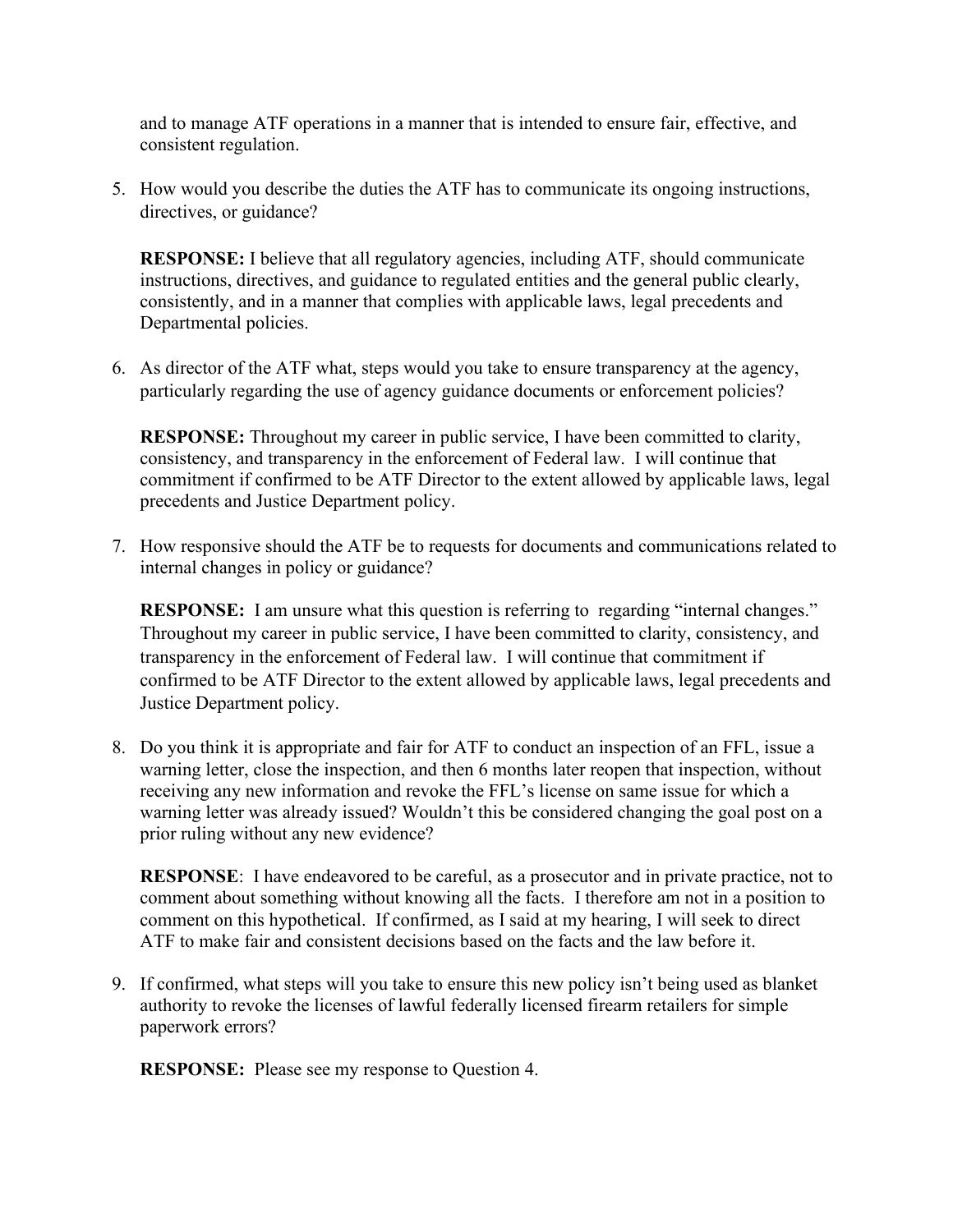and to manage ATF operations in a manner that is intended to ensure fair, effective, and consistent regulation.

5. How would you describe the duties the ATF has to communicate its ongoing instructions, directives, or guidance?

**RESPONSE:** I believe that all regulatory agencies, including ATF, should communicate instructions, directives, and guidance to regulated entities and the general public clearly, consistently, and in a manner that complies with applicable laws, legal precedents and Departmental policies.

6. As director of the ATF what, steps would you take to ensure transparency at the agency, particularly regarding the use of agency guidance documents or enforcement policies?

**RESPONSE:** Throughout my career in public service, I have been committed to clarity, consistency, and transparency in the enforcement of Federal law. I will continue that commitment if confirmed to be ATF Director to the extent allowed by applicable laws, legal precedents and Justice Department policy.

7. How responsive should the ATF be to requests for documents and communications related to internal changes in policy or guidance?

**RESPONSE:** I am unsure what this question is referring to regarding "internal changes." Throughout my career in public service, I have been committed to clarity, consistency, and transparency in the enforcement of Federal law. I will continue that commitment if confirmed to be ATF Director to the extent allowed by applicable laws, legal precedents and Justice Department policy.

8. Do you think it is appropriate and fair for ATF to conduct an inspection of an FFL, issue a warning letter, close the inspection, and then 6 months later reopen that inspection, without receiving any new information and revoke the FFL's license on same issue for which a warning letter was already issued? Wouldn't this be considered changing the goal post on a prior ruling without any new evidence?

**RESPONSE**: I have endeavored to be careful, as a prosecutor and in private practice, not to comment about something without knowing all the facts. I therefore am not in a position to comment on this hypothetical. If confirmed, as I said at my hearing, I will seek to direct ATF to make fair and consistent decisions based on the facts and the law before it.

9. If confirmed, what steps will you take to ensure this new policy isn't being used as blanket authority to revoke the licenses of lawful federally licensed firearm retailers for simple paperwork errors?

**RESPONSE:** Please see my response to Question 4.